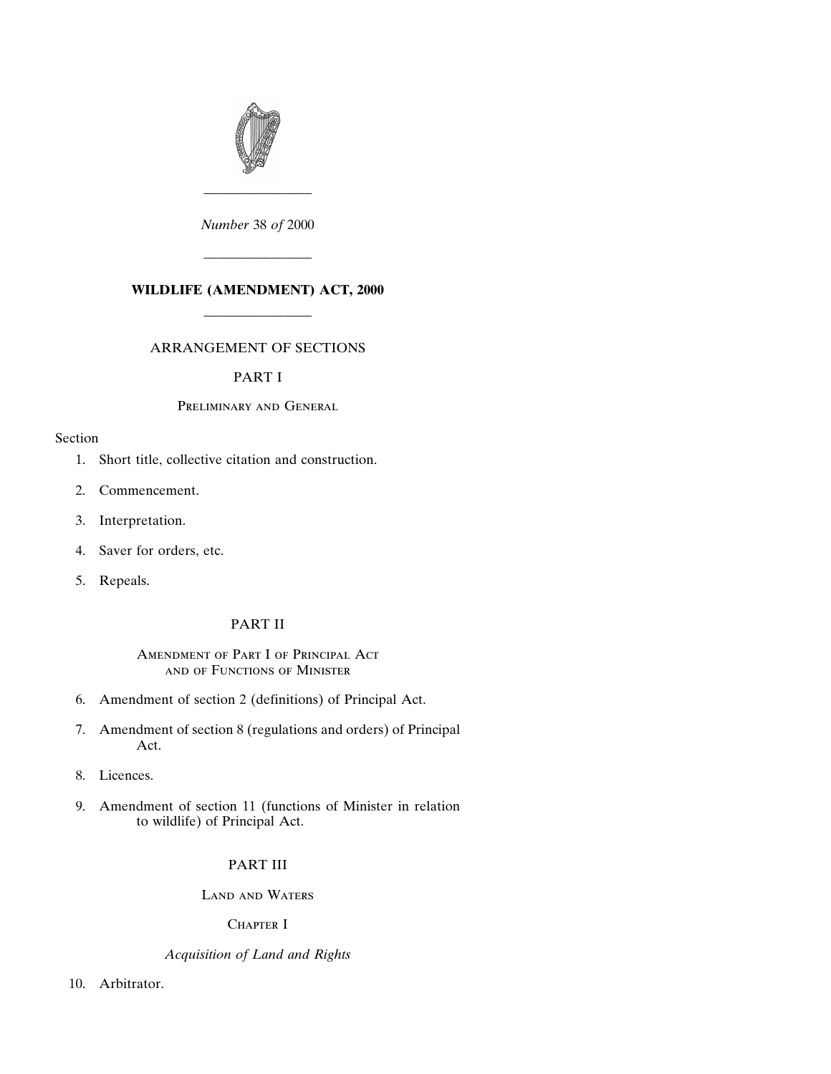

*Number* 38 *of* 2000

————————

## **WILDLIFE (AMENDMENT) ACT, 2000**

————————

————————

## ARRANGEMENT OF SECTIONS

## PART I

## Preliminary and General

## Section

- [1. Short title, collective citation and construction.](#page-6-0)
- [2. Commencement.](#page-6-0)
- [3. Interpretation.](#page-6-0)
- [4. Saver for orders, etc.](#page-7-0)
- [5. Repeals.](#page-7-0)

## PART II

## Amendment of Part I of Principal Act and of Functions of Minister

- [6. Amendment of section 2 \(definitions\) of Principal Act.](#page-7-0)
- [7. Amendment of section 8 \(regulations and orders\) of Principal](#page-10-0) Act.
- [8. Licences.](#page-11-0)
- [9. Amendment of section 11 \(functions of Minister in relation](#page-11-0) to wildlife) of Principal Act.

## PART III

Land and Waters

CHAPTER I

## *Acquisition of Land and Rights*

[10. Arbitrator.](#page-12-0)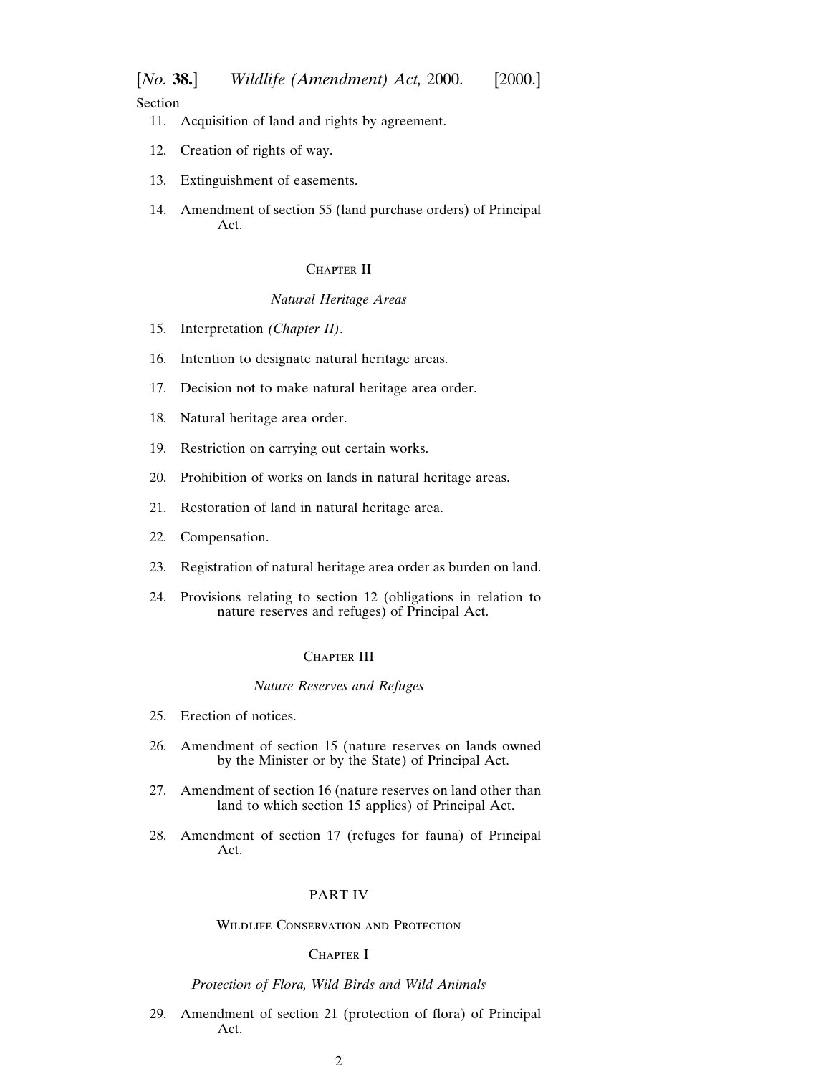Section

- [11. Acquisition of land and rights by agreement.](#page-12-0)
- [12. Creation of rights of way.](#page-13-0)
- [13. Extinguishment of easements.](#page-15-0)
- [14. Amendment of section 55 \(land purchase orders\) of Principal](#page-15-0) Act.

## CHAPTER II

## *Natural Heritage Areas*

- [15. Interpretation](#page-16-0) *(Chapter II)*.
- [16. Intention to designate natural heritage areas.](#page-16-0)
- [17. Decision not to make natural heritage area order.](#page-18-0)
- [18. Natural heritage area order.](#page-18-0)
- [19. Restriction on carrying out certain works.](#page-19-0)
- [20. Prohibition of works on lands in natural heritage areas.](#page-21-0)
- [21. Restoration of land in natural heritage area.](#page-21-0)
- [22. Compensation.](#page-22-0)
- [23. Registration of natural heritage area order as burden on land.](#page-23-0)
- [24. Provisions relating to section 12 \(obligations in relation to](#page-24-0) nature reserves and refuges) of Principal Act.

## CHAPTER III

#### *Nature Reserves and Refuges*

- [25. Erection of notices.](#page-24-0)
- [26. Amendment of section 15 \(nature reserves on lands owned](#page-24-0) by the Minister or by the State) of Principal Act.
- [27. Amendment of section 16 \(nature reserves on land other than](#page-25-0) land to which section 15 applies) of Principal Act.
- [28. Amendment of section 17 \(refuges for fauna\) of Principal](#page-25-0) Act.

## PART IV

## Wildlife Conservation and Protection

## CHAPTER I

## *Protection of Flora, Wild Birds and Wild Animals*

[29. Amendment of section 21 \(protection of flora\) of Principal](#page-26-0) Act.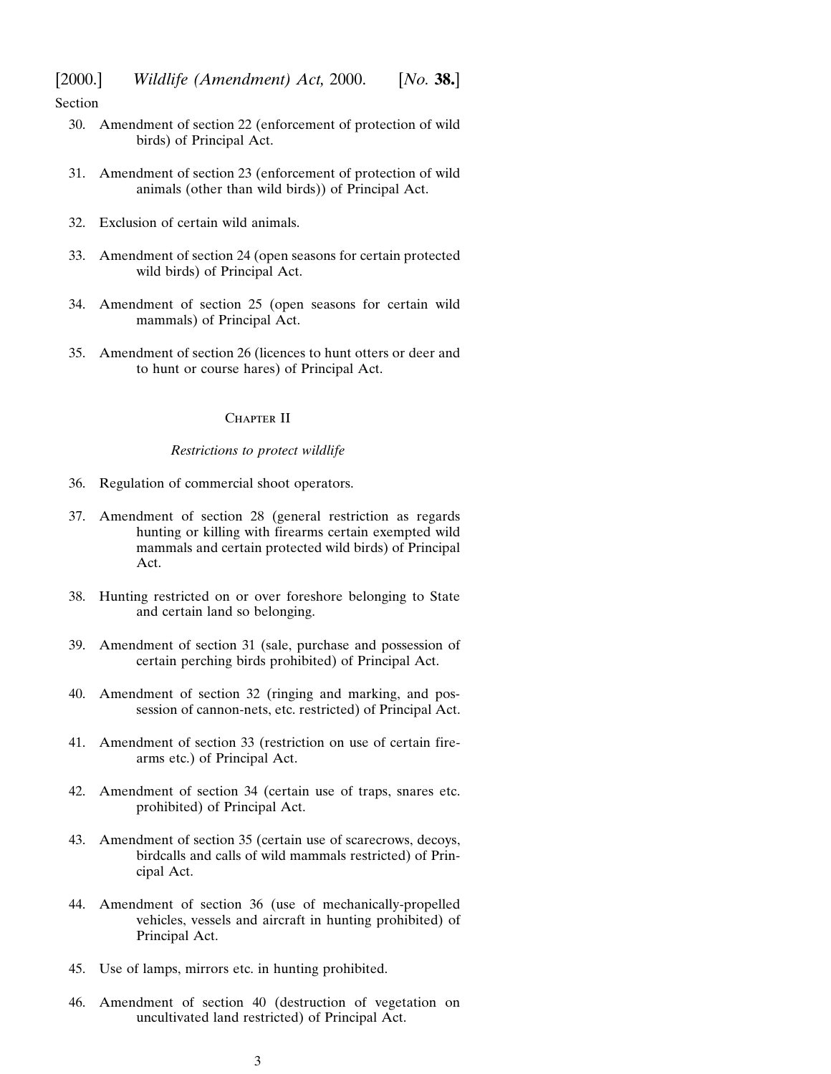Section

- [30. Amendment of section 22 \(enforcement of protection of wild](#page-28-0) birds) of Principal Act.
- [31. Amendment of section 23 \(enforcement of protection of wild](#page-29-0) animals (other than wild birds)) of Principal Act.
- [32. Exclusion of certain wild animals.](#page-31-0)
- [33. Amendment of section 24 \(open seasons for certain protected](#page-31-0) wild birds) of Principal Act.
- [34. Amendment of section 25 \(open seasons for certain wild](#page-32-0) mammals) of Principal Act.
- [35. Amendment of section 26 \(licences to hunt otters or deer and](#page-32-0) to hunt or course hares) of Principal Act.

#### CHAPTER II

#### *Restrictions to protect wildlife*

- [36. Regulation of commercial shoot operators.](#page-32-0)
- [37. Amendment of section 28 \(general restriction as regards](#page-35-0) hunting or killing with firearms certain exempted wild mammals and certain protected wild birds) of Principal Act.
- [38. Hunting restricted on or over foreshore belonging to State](#page-35-0) and certain land so belonging.
- [39. Amendment of section 31 \(sale, purchase and possession of](#page-36-0) certain perching birds prohibited) of Principal Act.
- [40. Amendment of section 32 \(ringing and marking, and pos](#page-36-0)session of cannon-nets, etc. restricted) of Principal Act.
- [41. Amendment of section 33 \(restriction on use of certain fire](#page-37-0)arms etc.) of Principal Act.
- [42. Amendment of section 34 \(certain use of traps, snares etc.](#page-38-0) prohibited) of Principal Act.
- [43. Amendment of section 35 \(certain use of scarecrows, decoys,](#page-40-0) birdcalls and calls of wild mammals restricted) of Principal Act.
- [44. Amendment of section 36 \(use of mechanically-propelled](#page-42-0) vehicles, vessels and aircraft in hunting prohibited) of Principal Act.
- [45. Use of lamps, mirrors etc. in hunting prohibited.](#page-42-0)
- [46. Amendment of section 40 \(destruction of vegetation on](#page-43-0) uncultivated land restricted) of Principal Act.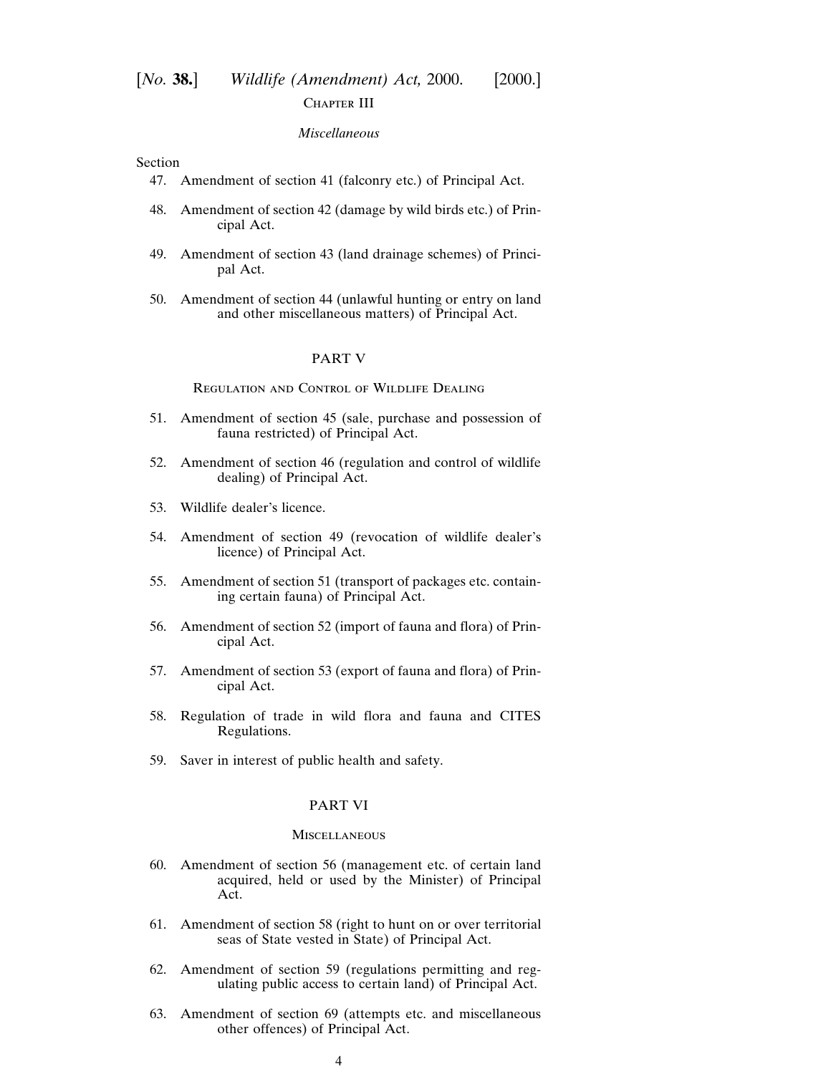## [*No.* **38.**] *Wildlife (Amendment) Act,* 2000. [2000.] CHAPTER III

## *Miscellaneous*

#### Section

- [47. Amendment of section 41 \(falconry etc.\) of Principal Act.](#page-44-0)
- [48. Amendment of section 42 \(damage by wild birds etc.\) of Prin](#page-45-0)cipal Act.
- [49. Amendment of section 43 \(land drainage schemes\) of Princi](#page-47-0)pal Act.
- [50. Amendment of section 44 \(unlawful hunting or entry on land](#page-47-0) and other miscellaneous matters) of Principal Act.

#### PART V

## Regulation and Control of Wildlife Dealing

- [51. Amendment of section 45 \(sale, purchase and possession of](#page-48-0) fauna restricted) of Principal Act.
- [52. Amendment of section 46 \(regulation and control of wildlife](#page-51-0) dealing) of Principal Act.
- [53. Wildlife dealer's licence.](#page-52-0)
- [54. Amendment of section 49 \(revocation of wildlife dealer's](#page-54-0) licence) of Principal Act.
- [55. Amendment of section 51 \(transport of packages etc. contain](#page-54-0)ing certain fauna) of Principal Act.
- [56. Amendment of section 52 \(import of fauna and flora\) of Prin](#page-55-0)cipal Act.
- [57. Amendment of section 53 \(export of fauna and flora\) of Prin](#page-58-0)cipal Act.
- [58. Regulation of trade in wild flora and fauna and CITES](#page-59-0) Regulations.
- [59. Saver in interest of public health and safety.](#page-62-0)

## PART VI

## **MISCELLANEOUS**

- [60. Amendment of section 56 \(management etc. of certain land](#page-62-0) acquired, held or used by the Minister) of Principal Act.
- [61. Amendment of section 58 \(right to hunt on or over territorial](#page-63-0) seas of State vested in State) of Principal Act.
- [62. Amendment of section 59 \(regulations permitting and reg](#page-63-0)ulating public access to certain land) of Principal Act.
- [63. Amendment of section 69 \(attempts etc. and miscellaneous](#page-64-0) other offences) of Principal Act.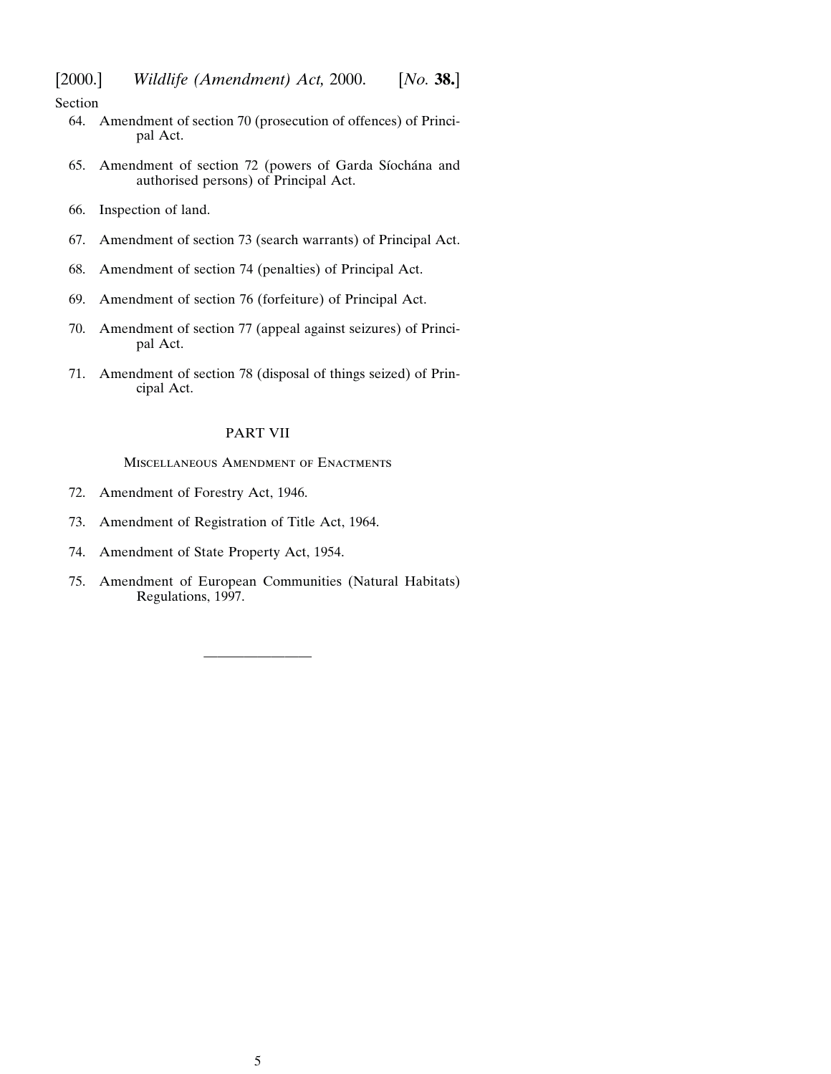Section

- [64. Amendment of section 70 \(prosecution of offences\) of Princi](#page-65-0)pal Act.
- 65. Amendment of section 72 (powers of Garda Síochána and authorised persons) of Principal Act.
- [66. Inspection of land.](#page-69-0)
- [67. Amendment of section 73 \(search warrants\) of Principal Act.](#page-70-0)
- [68. Amendment of section 74 \(penalties\) of Principal Act.](#page-70-0)
- [69. Amendment of section 76 \(forfeiture\) of Principal Act.](#page-72-0)
- [70. Amendment of section 77 \(appeal against seizures\) of Princi](#page-74-0)pal Act.
- [71. Amendment of section 78 \(disposal of things seized\) of Prin](#page-75-0)cipal Act.

## PART VII

Miscellaneous Amendment of Enactments

- [72. Amendment of Forestry Act, 1946.](#page-76-0)
- [73. Amendment of Registration of Title Act, 1964.](#page-76-0)
- [74. Amendment of State Property Act, 1954.](#page-76-0)
- [75. Amendment of European Communities \(Natural Habitats\)](#page-76-0) Regulations, 1997.

————————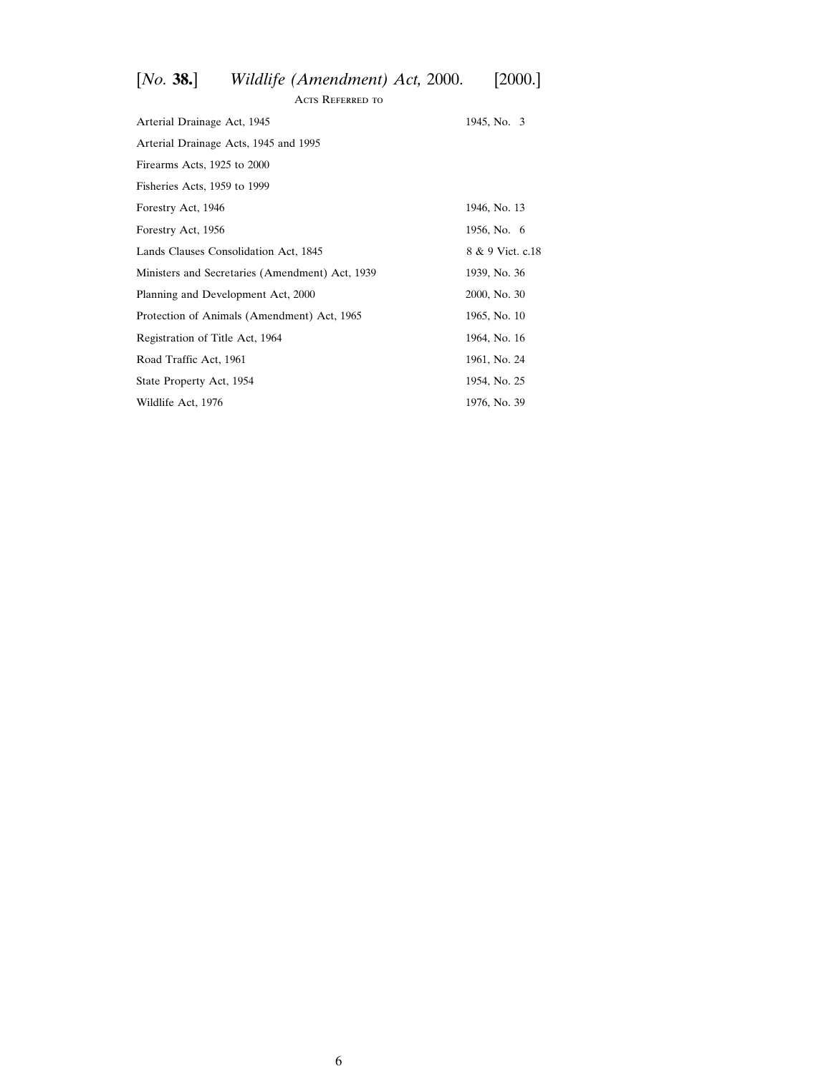# [*No.* **38.**] *Wildlife (Amendment) Act,* 2000. [2000.]

| <b>ACTS REFERRED TO</b>                         |                  |  |  |
|-------------------------------------------------|------------------|--|--|
| Arterial Drainage Act, 1945                     | 1945, No. 3      |  |  |
| Arterial Drainage Acts, 1945 and 1995           |                  |  |  |
| Firearms Acts, 1925 to 2000                     |                  |  |  |
| Fisheries Acts, 1959 to 1999                    |                  |  |  |
| Forestry Act, 1946                              | 1946, No. 13     |  |  |
| Forestry Act, 1956                              | 1956, No. 6      |  |  |
| Lands Clauses Consolidation Act, 1845           | 8 & 9 Vict. c.18 |  |  |
| Ministers and Secretaries (Amendment) Act, 1939 | 1939, No. 36     |  |  |
| Planning and Development Act, 2000              | 2000, No. 30     |  |  |
| Protection of Animals (Amendment) Act, 1965     | 1965, No. 10     |  |  |
| Registration of Title Act, 1964                 | 1964, No. 16     |  |  |
| Road Traffic Act, 1961                          | 1961, No. 24     |  |  |
| State Property Act, 1954                        | 1954, No. 25     |  |  |
| Wildlife Act, 1976                              | 1976, No. 39     |  |  |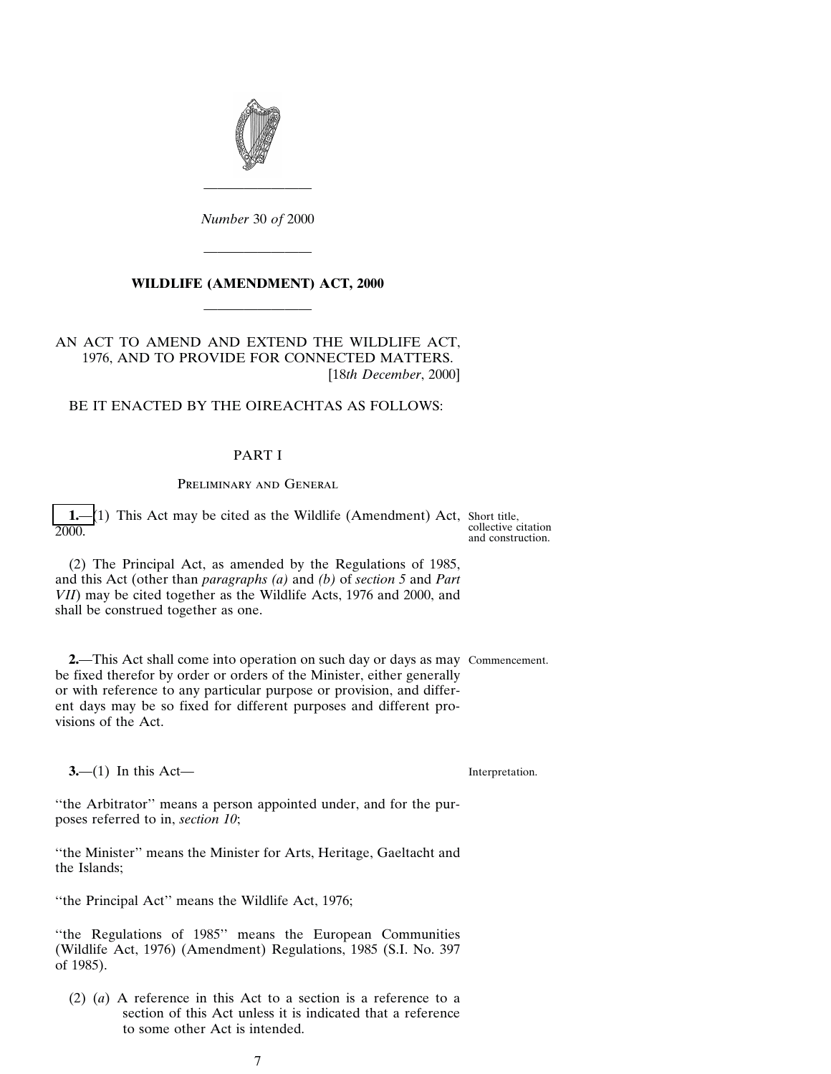<span id="page-6-0"></span>

*Number* 30 *of* 2000

————————

## **WILDLIFE (AMENDMENT) ACT, 2000** ————————

————————

## AN ACT TO AMEND AND EXTEND THE WILDLIFE ACT, 1976, AND TO PROVIDE FOR CONNECTED MATTERS. [18*th December*, 2000]

## BE IT ENACTED BY THE OIREACHTAS AS FOLLOWS:

## PART I

## Preliminary and General

**1.**—(1) This Act may be cited as the Wildlife (Amendment) Act, Short title, collective citation 2000. and construction.

(2) The Principal Act, as amended by the Regulations of 1985, and this Act (other than *paragraphs (a)* and *(b)* of *section 5* and *Part VII*) may be cited together as the Wildlife Acts, 1976 and 2000, and shall be construed together as one.

**2.**—This Act shall come into operation on such day or days as may Commencement. be fixed therefor by order or orders of the Minister, either generally or with reference to any particular purpose or provision, and different days may be so fixed for different purposes and different provisions of the Act.

**3.**—(1) In this Act—

Interpretation.

''the Arbitrator'' means a person appointed under, and for the purposes referred to in, *section 10*;

''the Minister'' means the Minister for Arts, Heritage, Gaeltacht and the Islands;

''the Principal Act'' means the Wildlife Act, 1976;

''the Regulations of 1985'' means the European Communities (Wildlife Act, 1976) (Amendment) Regulations, 1985 (S.I. No. 397 of 1985).

(2) (*a*) A reference in this Act to a section is a reference to a section of this Act unless it is indicated that a reference to some other Act is intended.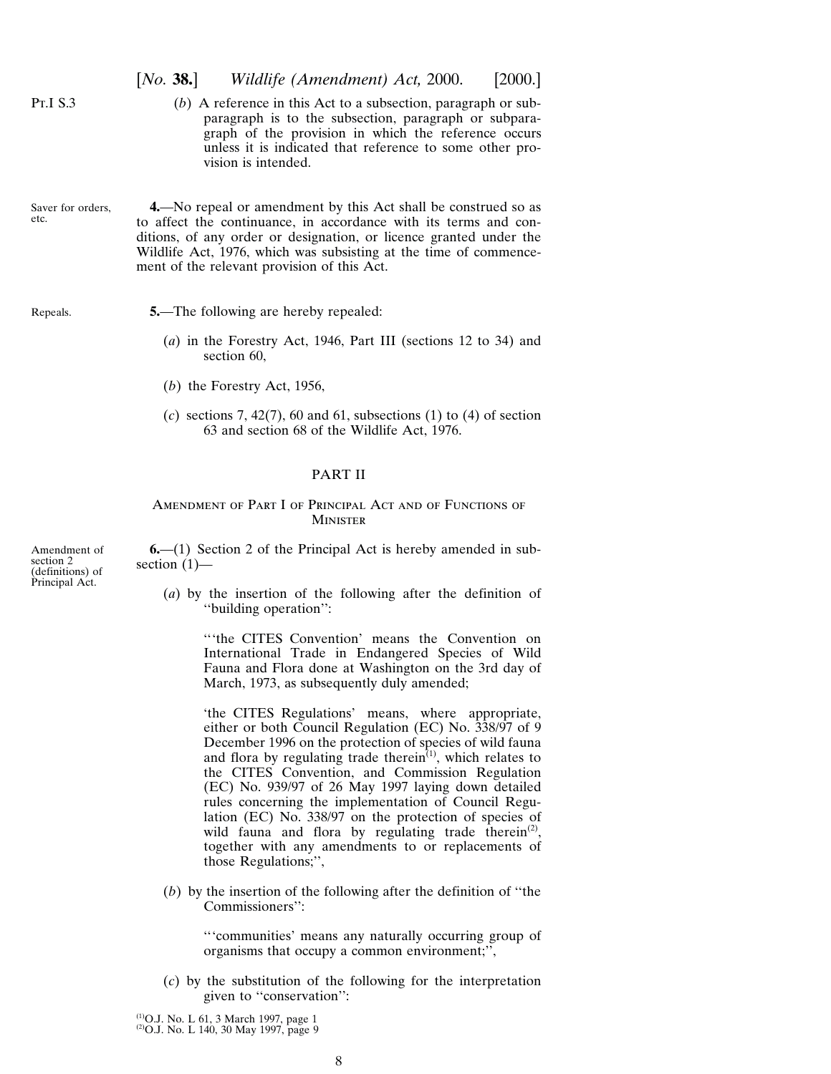<span id="page-7-0"></span>

|                                                                 | [No. 38.]                                    | Wildlife (Amendment) Act, 2000.                                                                                                                                                                                                                                                                                              | [2000.] |
|-----------------------------------------------------------------|----------------------------------------------|------------------------------------------------------------------------------------------------------------------------------------------------------------------------------------------------------------------------------------------------------------------------------------------------------------------------------|---------|
| Pr.I S.3                                                        |                                              | $(b)$ A reference in this Act to a subsection, paragraph or sub-<br>paragraph is to the subsection, paragraph or subpara-<br>graph of the provision in which the reference occurs<br>unless it is indicated that reference to some other pro-<br>vision is intended.                                                         |         |
| Saver for orders,<br>etc.                                       |                                              | 4. No repeal or amendment by this Act shall be construed so as<br>to affect the continuance, in accordance with its terms and con-<br>ditions, of any order or designation, or licence granted under the<br>Wildlife Act, 1976, which was subsisting at the time of commence-<br>ment of the relevant provision of this Act. |         |
| Repeals.                                                        | section 60,<br>$(b)$ the Forestry Act, 1956, | <b>5.</b> —The following are hereby repealed:<br>$(a)$ in the Forestry Act, 1946, Part III (sections 12 to 34) and<br>(c) sections 7, 42(7), 60 and 61, subsections (1) to (4) of section<br>63 and section 68 of the Wildlife Act, 1976.<br><b>PART II</b>                                                                  |         |
|                                                                 |                                              | AMENDMENT OF PART I OF PRINCIPAL ACT AND OF FUNCTIONS OF<br><b>MINISTER</b>                                                                                                                                                                                                                                                  |         |
| Amendment of<br>section 2<br>(definitions) of<br>Principal Act. | section $(1)$ —                              | $6-(1)$ Section 2 of the Principal Act is hereby amended in sub-                                                                                                                                                                                                                                                             |         |
|                                                                 |                                              | (a) by the insertion of the following after the definition of<br>"building operation":                                                                                                                                                                                                                                       |         |

'''the CITES Convention' means the Convention on International Trade in Endangered Species of Wild Fauna and Flora done at Washington on the 3rd day of March, 1973, as subsequently duly amended;

'the CITES Regulations' means, where appropriate, either or both Council Regulation (EC) No. 338/97 of 9 December 1996 on the protection of species of wild fauna and flora by regulating trade therein<sup>(1)</sup>, which relates to the CITES Convention, and Commission Regulation (EC) No. 939/97 of 26 May 1997 laying down detailed rules concerning the implementation of Council Regulation (EC) No. 338/97 on the protection of species of wild fauna and flora by regulating trade therein<sup>(2)</sup>, together with any amendments to or replacements of those Regulations;'',

(*b*) by the insertion of the following after the definition of ''the Commissioners'':

> '''communities' means any naturally occurring group of organisms that occupy a common environment;'',

(*c*) by the substitution of the following for the interpretation given to ''conservation'':

(1)O.J. No. L 61, 3 March 1997, page 1 (2)O.J. No. L 140, 30 May 1997, page 9

8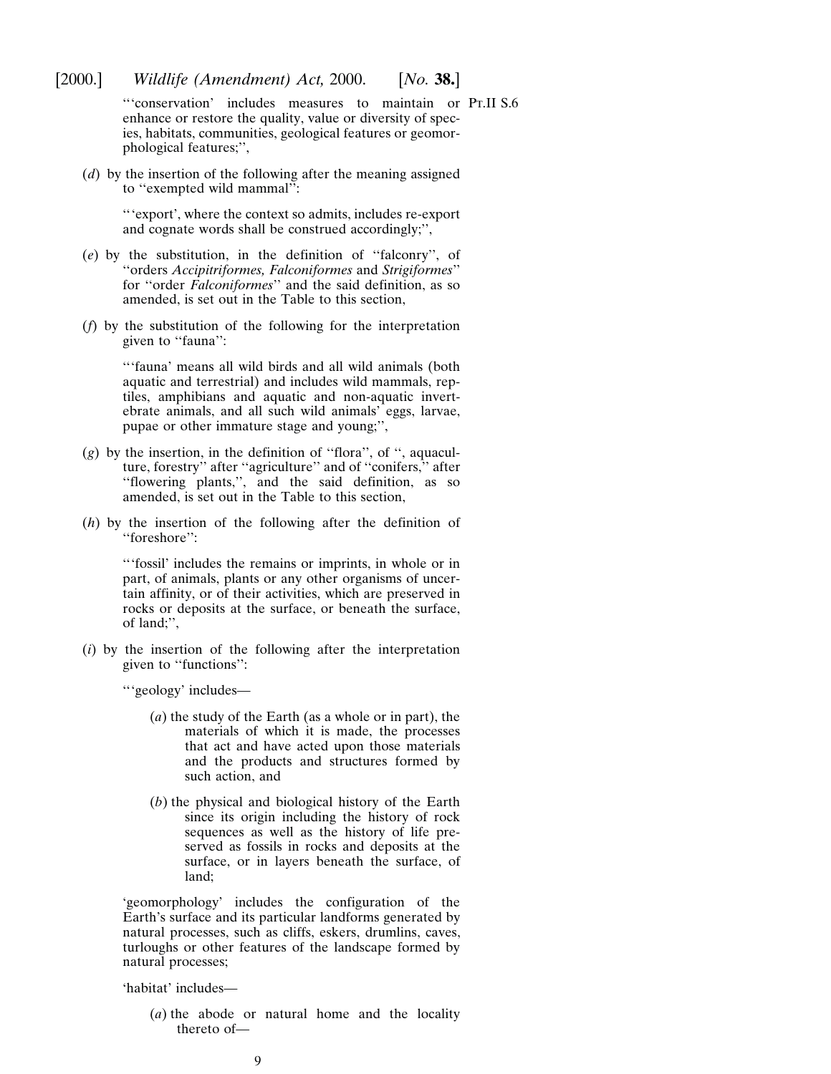'''conservation' includes measures to maintain or Pt.II S.6enhance or restore the quality, value or diversity of species, habitats, communities, geological features or geomorphological features;'',

(*d*) by the insertion of the following after the meaning assigned to ''exempted wild mammal'':

> '''export', where the context so admits, includes re-export and cognate words shall be construed accordingly;'',

- (*e*) by the substitution, in the definition of ''falconry'', of ''orders *Accipitriformes, Falconiformes* and *Strigiformes*'' for ''order *Falconiformes*'' and the said definition, as so amended, is set out in the Table to this section,
- (*f*) by the substitution of the following for the interpretation given to "fauna":

'''fauna' means all wild birds and all wild animals (both aquatic and terrestrial) and includes wild mammals, reptiles, amphibians and aquatic and non-aquatic invertebrate animals, and all such wild animals' eggs, larvae, pupae or other immature stage and young;'',

- (*g*) by the insertion, in the definition of ''flora'', of '', aquaculture, forestry'' after ''agriculture'' and of ''conifers,'' after ''flowering plants,'', and the said definition, as so amended, is set out in the Table to this section,
- (*h*) by the insertion of the following after the definition of ''foreshore'':

'''fossil' includes the remains or imprints, in whole or in part, of animals, plants or any other organisms of uncertain affinity, or of their activities, which are preserved in rocks or deposits at the surface, or beneath the surface, of land;'',

(*i*) by the insertion of the following after the interpretation given to "functions":

'''geology' includes—

- (*a*) the study of the Earth (as a whole or in part), the materials of which it is made, the processes that act and have acted upon those materials and the products and structures formed by such action, and
- (*b*) the physical and biological history of the Earth since its origin including the history of rock sequences as well as the history of life preserved as fossils in rocks and deposits at the surface, or in layers beneath the surface, of land;

'geomorphology' includes the configuration of the Earth's surface and its particular landforms generated by natural processes, such as cliffs, eskers, drumlins, caves, turloughs or other features of the landscape formed by natural processes;

'habitat' includes—

(*a*) the abode or natural home and the locality thereto of—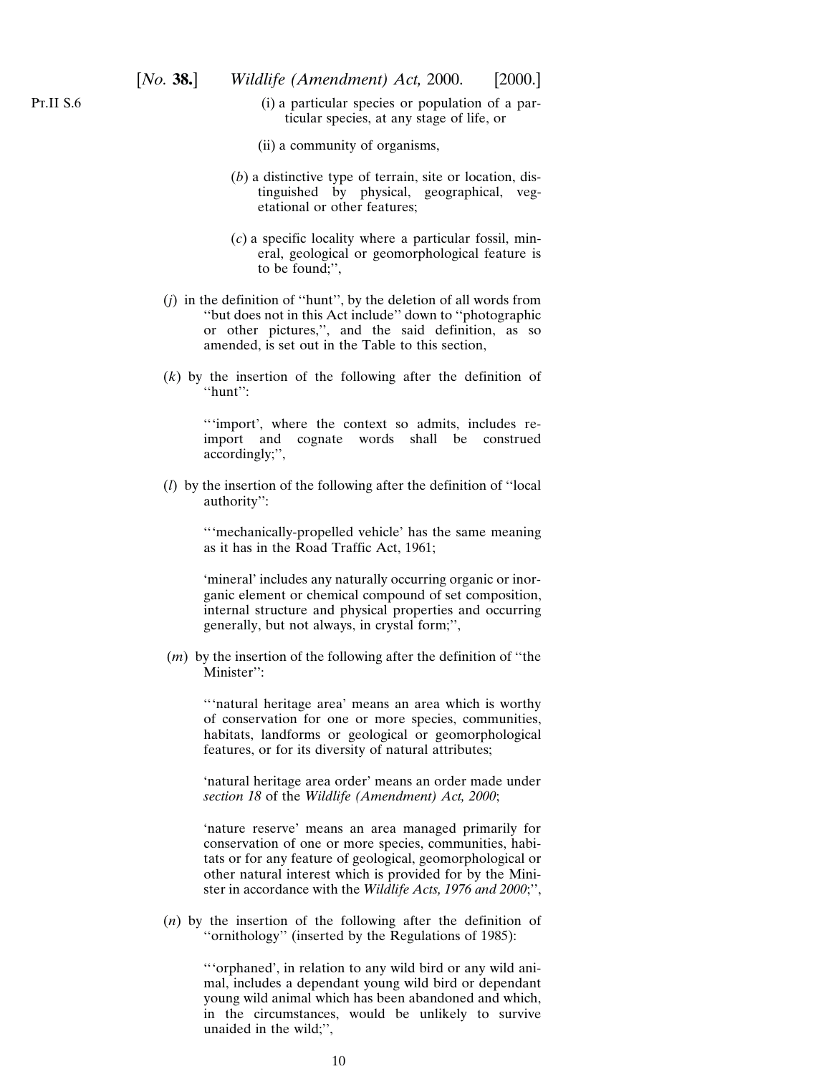- (i) a particular species or population of a particular species, at any stage of life, or
- (ii) a community of organisms,
- (*b*) a distinctive type of terrain, site or location, distinguished by physical, geographical, vegetational or other features;
- (*c*) a specific locality where a particular fossil, mineral, geological or geomorphological feature is to be found;'',
- (*j*) in the definition of ''hunt'', by the deletion of all words from ''but does not in this Act include'' down to ''photographic or other pictures,'', and the said definition, as so amended, is set out in the Table to this section,
- (*k*) by the insertion of the following after the definition of ''hunt'':

'''import', where the context so admits, includes reimport and cognate words shall be construed accordingly;'',

(*l*) by the insertion of the following after the definition of ''local authority'':

> '''mechanically-propelled vehicle' has the same meaning as it has in the Road Traffic Act, 1961;

> 'mineral' includes any naturally occurring organic or inorganic element or chemical compound of set composition, internal structure and physical properties and occurring generally, but not always, in crystal form;'',

(*m*) by the insertion of the following after the definition of ''the Minister'':

'''natural heritage area' means an area which is worthy of conservation for one or more species, communities, habitats, landforms or geological or geomorphological features, or for its diversity of natural attributes;

'natural heritage area order' means an order made under *section 18* of the *Wildlife (Amendment) Act, 2000*;

'nature reserve' means an area managed primarily for conservation of one or more species, communities, habitats or for any feature of geological, geomorphological or other natural interest which is provided for by the Minister in accordance with the *Wildlife Acts, 1976 and 2000*;'',

(*n*) by the insertion of the following after the definition of ''ornithology'' (inserted by the Regulations of 1985):

> '''orphaned', in relation to any wild bird or any wild animal, includes a dependant young wild bird or dependant young wild animal which has been abandoned and which, in the circumstances, would be unlikely to survive unaided in the wild;'',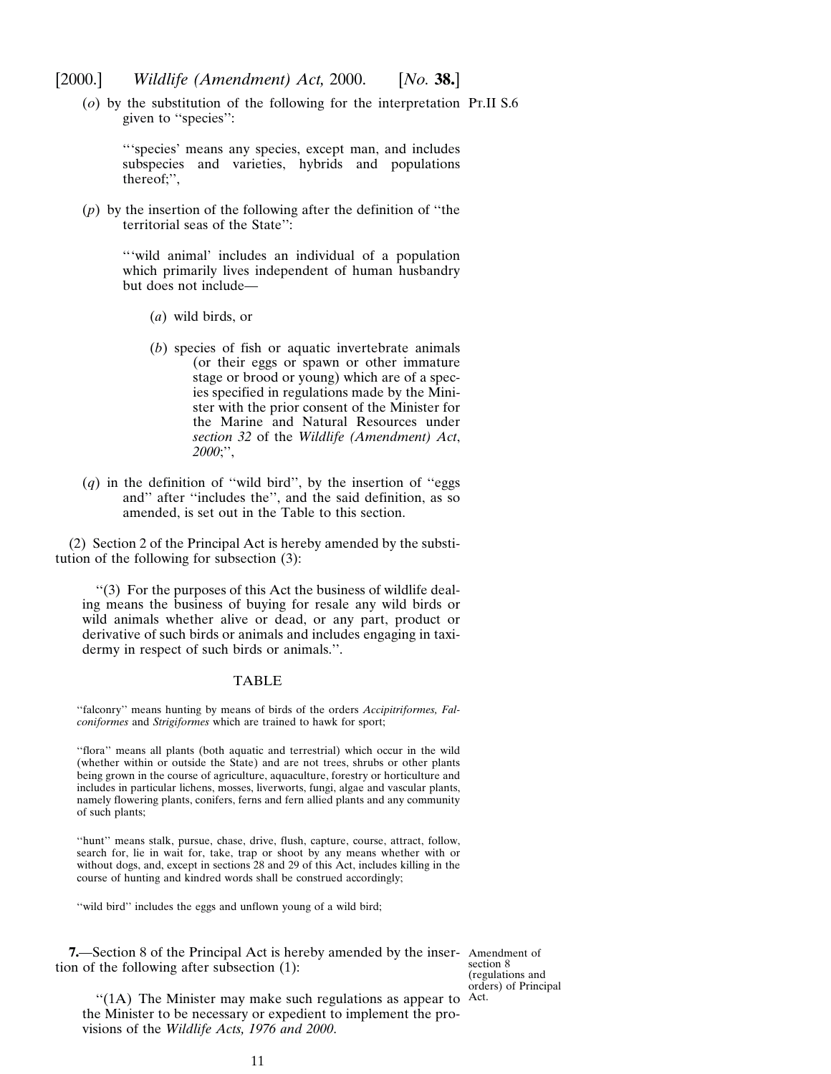<span id="page-10-0"></span>[2000.] *Wildlife (Amendment) Act,* 2000. [*No.* **38.**]

(*o*) by the substitution of the following for the interpretation Pt.II S.6 given to ''species'':

'''species' means any species, except man, and includes subspecies and varieties, hybrids and populations thereof;'',

(*p*) by the insertion of the following after the definition of ''the territorial seas of the State'':

> '''wild animal' includes an individual of a population which primarily lives independent of human husbandry but does not include—

- (*a*) wild birds, or
- (*b*) species of fish or aquatic invertebrate animals (or their eggs or spawn or other immature stage or brood or young) which are of a species specified in regulations made by the Minister with the prior consent of the Minister for the Marine and Natural Resources under *section 32* of the *Wildlife (Amendment) Act*, *2000*;'',
- $(q)$  in the definition of "wild bird", by the insertion of "eggs" and'' after ''includes the'', and the said definition, as so amended, is set out in the Table to this section.

(2) Section 2 of the Principal Act is hereby amended by the substitution of the following for subsection (3):

''(3) For the purposes of this Act the business of wildlife dealing means the business of buying for resale any wild birds or wild animals whether alive or dead, or any part, product or derivative of such birds or animals and includes engaging in taxidermy in respect of such birds or animals.''.

#### TABLE

"falconry" means hunting by means of birds of the orders Accipitriformes, Fal*coniformes* and *Strigiformes* which are trained to hawk for sport;

''flora'' means all plants (both aquatic and terrestrial) which occur in the wild (whether within or outside the State) and are not trees, shrubs or other plants being grown in the course of agriculture, aquaculture, forestry or horticulture and includes in particular lichens, mosses, liverworts, fungi, algae and vascular plants, namely flowering plants, conifers, ferns and fern allied plants and any community of such plants;

''hunt'' means stalk, pursue, chase, drive, flush, capture, course, attract, follow, search for, lie in wait for, take, trap or shoot by any means whether with or without dogs, and, except in sections 28 and 29 of this Act, includes killing in the course of hunting and kindred words shall be construed accordingly;

"wild bird" includes the eggs and unflown young of a wild bird;

**7.**—Section 8 of the Principal Act is hereby amended by the inser- Amendment of tion of the following after subsection (1):

section 8 (regulations and orders) of Principal

 $\mathcal{L}(1A)$  The Minister may make such regulations as appear to Act. the Minister to be necessary or expedient to implement the provisions of the *Wildlife Acts, 1976 and 2000*.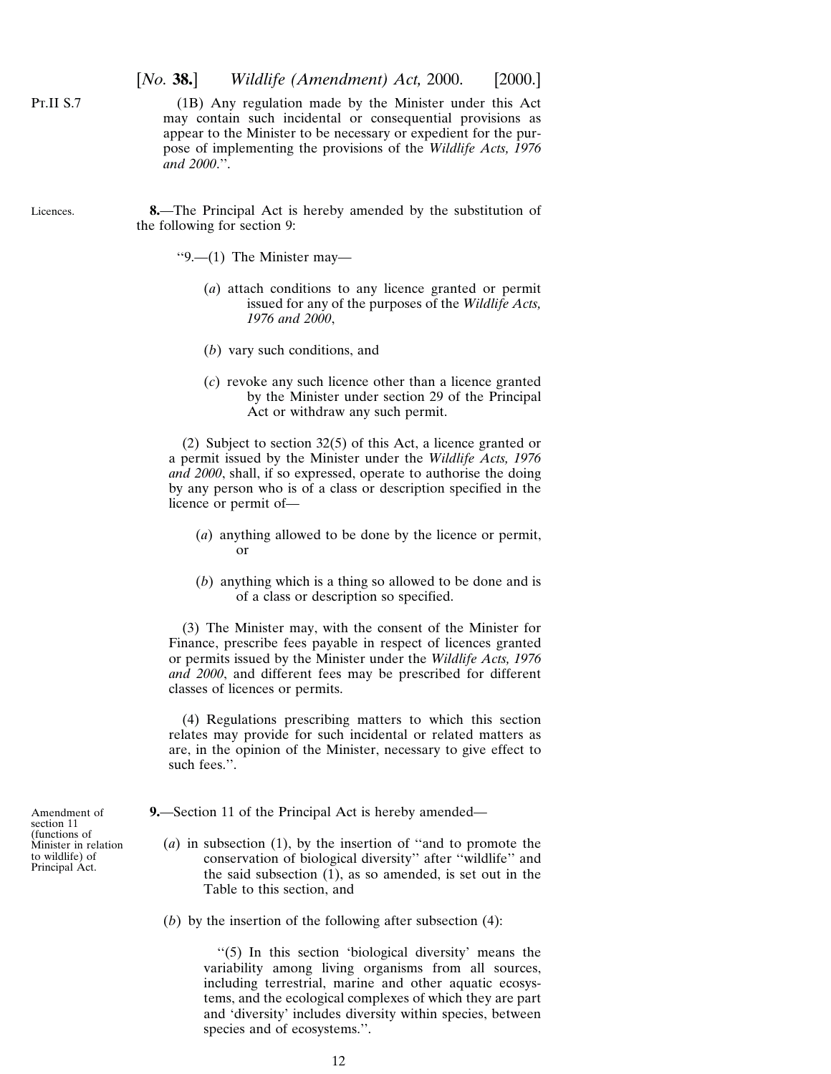## [*No.* **38.**] *Wildlife (Amendment) Act,* 2000. [2000.]

(1B) Any regulation made by the Minister under this Act may contain such incidental or consequential provisions as appear to the Minister to be necessary or expedient for the purpose of implementing the provisions of the *Wildlife Acts, 1976 and 2000*.''.

**8.**—The Principal Act is hereby amended by the substitution of the following for section 9:

''9.—(1) The Minister may—

- (*a*) attach conditions to any licence granted or permit issued for any of the purposes of the *Wildlife Acts, 1976 and 2000*,
- (*b*) vary such conditions, and
- (*c*) revoke any such licence other than a licence granted by the Minister under section 29 of the Principal Act or withdraw any such permit.

(2) Subject to section 32(5) of this Act, a licence granted or a permit issued by the Minister under the *Wildlife Acts, 1976 and 2000*, shall, if so expressed, operate to authorise the doing by any person who is of a class or description specified in the licence or permit of—

- (*a*) anything allowed to be done by the licence or permit, or
- (*b*) anything which is a thing so allowed to be done and is of a class or description so specified.

(3) The Minister may, with the consent of the Minister for Finance, prescribe fees payable in respect of licences granted or permits issued by the Minister under the *Wildlife Acts, 1976 and 2000*, and different fees may be prescribed for different classes of licences or permits.

(4) Regulations prescribing matters to which this section relates may provide for such incidental or related matters as are, in the opinion of the Minister, necessary to give effect to such fees.''.

**9.**—Section 11 of the Principal Act is hereby amended—

- (*a*) in subsection (1), by the insertion of ''and to promote the conservation of biological diversity'' after ''wildlife'' and the said subsection (1), as so amended, is set out in the Table to this section, and
- (*b*) by the insertion of the following after subsection (4):

"(5) In this section 'biological diversity' means the variability among living organisms from all sources, including terrestrial, marine and other aquatic ecosystems, and the ecological complexes of which they are part and 'diversity' includes diversity within species, between species and of ecosystems.''.

Amendment of section 11 (functions of Minister in relation to wildlife) of Principal Act.

<span id="page-11-0"></span>P<sub>T.II</sub> S<sub>.7</sub>

Licences.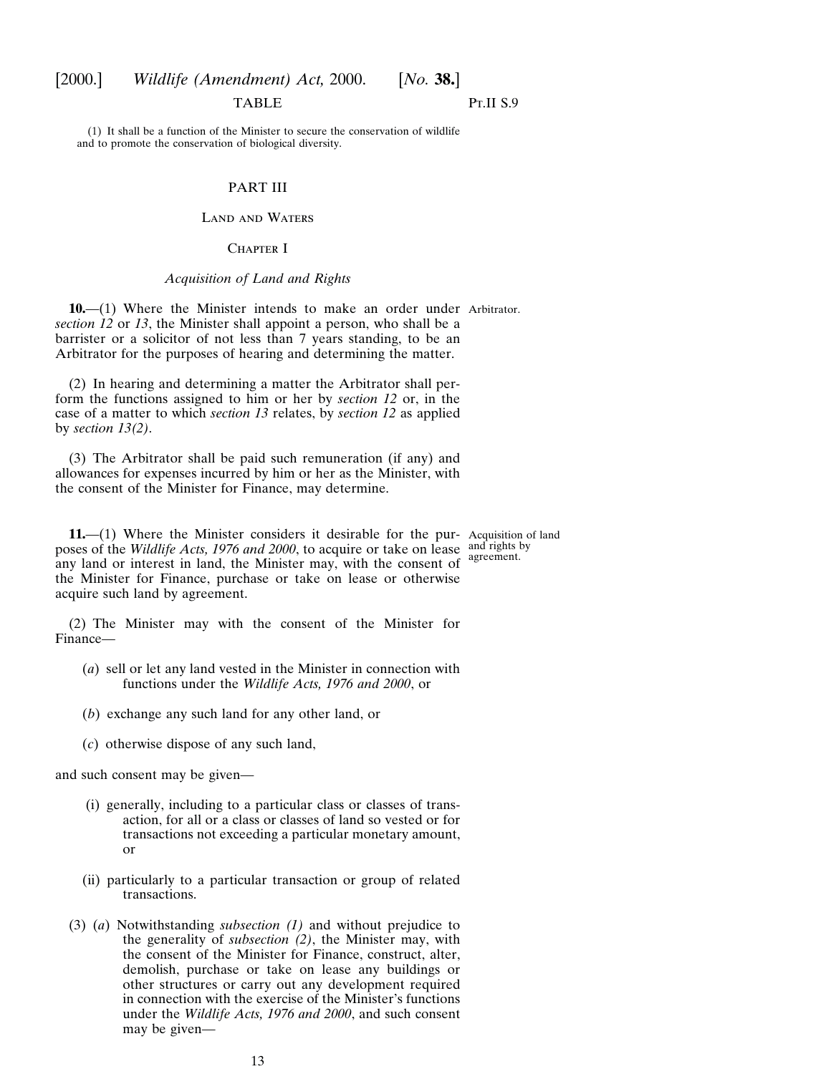## <span id="page-12-0"></span>[2000.] *Wildlife (Amendment) Act,* 2000. [*No.* **38.**]

## TABLE

## P<sub>T.II</sub> S<sub>.9</sub>

(1) It shall be a function of the Minister to secure the conservation of wildlife and to promote the conservation of biological diversity.

## PART III

#### Land and Waters

#### CHAPTER I

#### *Acquisition of Land and Rights*

**10.**—(1) Where the Minister intends to make an order under Arbitrator. *section 12* or *13*, the Minister shall appoint a person, who shall be a barrister or a solicitor of not less than 7 years standing, to be an Arbitrator for the purposes of hearing and determining the matter.

(2) In hearing and determining a matter the Arbitrator shall perform the functions assigned to him or her by *section 12* or, in the case of a matter to which *section 13* relates, by *section 12* as applied by *section 13(2)*.

(3) The Arbitrator shall be paid such remuneration (if any) and allowances for expenses incurred by him or her as the Minister, with the consent of the Minister for Finance, may determine.

**11.**—(1) Where the Minister considers it desirable for the pur-Acquisition of land poses of the *Wildlife Acts, 1976 and 2000*, to acquire or take on lease and rights by any land or interest in land, the Minister may, with the consent of agreement. the Minister for Finance, purchase or take on lease or otherwise acquire such land by agreement.

(2) The Minister may with the consent of the Minister for Finance—

- (*a*) sell or let any land vested in the Minister in connection with functions under the *Wildlife Acts, 1976 and 2000*, or
- (*b*) exchange any such land for any other land, or
- (*c*) otherwise dispose of any such land,

and such consent may be given—

- (i) generally, including to a particular class or classes of transaction, for all or a class or classes of land so vested or for transactions not exceeding a particular monetary amount, or
- (ii) particularly to a particular transaction or group of related transactions.
- (3) (*a*) Notwithstanding *subsection (1)* and without prejudice to the generality of *subsection (2)*, the Minister may, with the consent of the Minister for Finance, construct, alter, demolish, purchase or take on lease any buildings or other structures or carry out any development required in connection with the exercise of the Minister's functions under the *Wildlife Acts, 1976 and 2000*, and such consent may be given—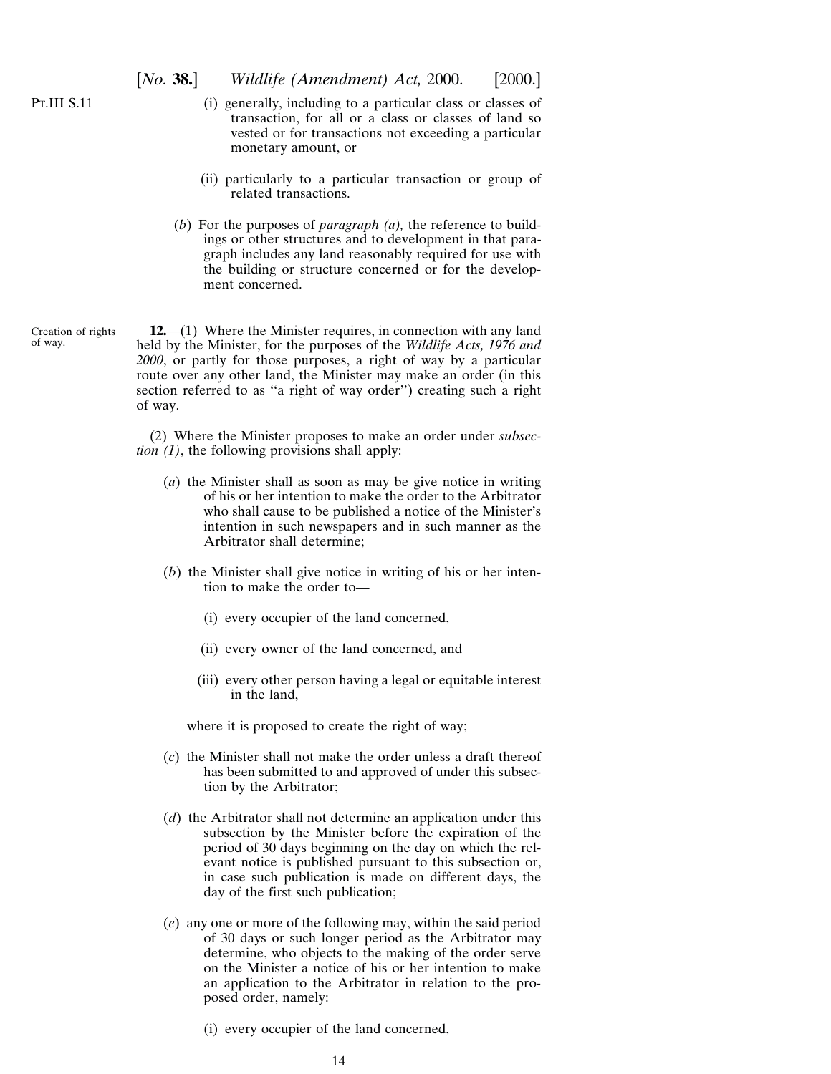- <span id="page-13-0"></span>(i) generally, including to a particular class or classes of transaction, for all or a class or classes of land so vested or for transactions not exceeding a particular monetary amount, or
- (ii) particularly to a particular transaction or group of related transactions.
- (*b*) For the purposes of *paragraph (a),* the reference to buildings or other structures and to development in that paragraph includes any land reasonably required for use with the building or structure concerned or for the development concerned.
- Creation of rights of way.

**12.**—(1) Where the Minister requires, in connection with any land held by the Minister, for the purposes of the *Wildlife Acts, 1976 and 2000*, or partly for those purposes, a right of way by a particular route over any other land, the Minister may make an order (in this section referred to as ''a right of way order'') creating such a right of way.

(2) Where the Minister proposes to make an order under *subsection (1)*, the following provisions shall apply:

- (*a*) the Minister shall as soon as may be give notice in writing of his or her intention to make the order to the Arbitrator who shall cause to be published a notice of the Minister's intention in such newspapers and in such manner as the Arbitrator shall determine;
- (*b*) the Minister shall give notice in writing of his or her intention to make the order to—
	- (i) every occupier of the land concerned,
	- (ii) every owner of the land concerned, and
	- (iii) every other person having a legal or equitable interest in the land,

where it is proposed to create the right of way;

- (*c*) the Minister shall not make the order unless a draft thereof has been submitted to and approved of under this subsection by the Arbitrator;
- (*d*) the Arbitrator shall not determine an application under this subsection by the Minister before the expiration of the period of 30 days beginning on the day on which the relevant notice is published pursuant to this subsection or, in case such publication is made on different days, the day of the first such publication;
- (*e*) any one or more of the following may, within the said period of 30 days or such longer period as the Arbitrator may determine, who objects to the making of the order serve on the Minister a notice of his or her intention to make an application to the Arbitrator in relation to the proposed order, namely:
	- (i) every occupier of the land concerned,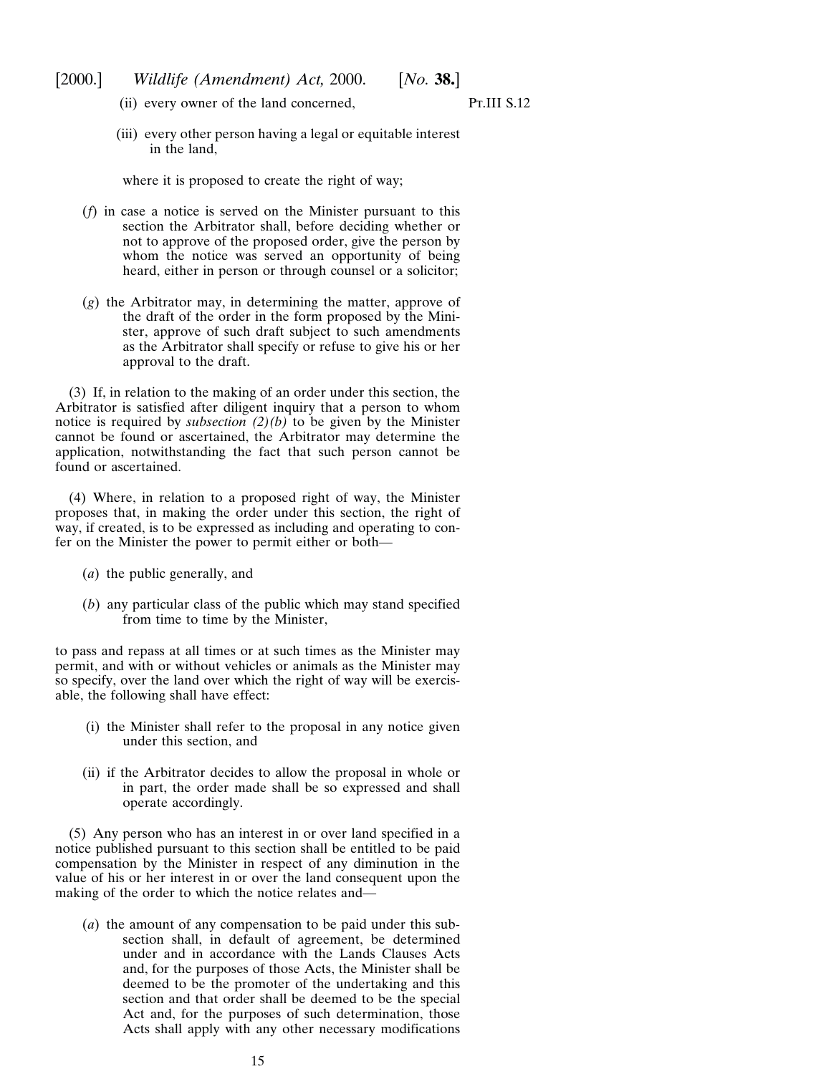- [2000.] *Wildlife (Amendment) Act,* 2000. [*No.* **38.**]
	- (ii) every owner of the land concerned,

P<sub>T</sub>.III S.12

(iii) every other person having a legal or equitable interest in the land,

where it is proposed to create the right of way;

- (*f*) in case a notice is served on the Minister pursuant to this section the Arbitrator shall, before deciding whether or not to approve of the proposed order, give the person by whom the notice was served an opportunity of being heard, either in person or through counsel or a solicitor;
- (*g*) the Arbitrator may, in determining the matter, approve of the draft of the order in the form proposed by the Minister, approve of such draft subject to such amendments as the Arbitrator shall specify or refuse to give his or her approval to the draft.

(3) If, in relation to the making of an order under this section, the Arbitrator is satisfied after diligent inquiry that a person to whom notice is required by *subsection (2)(b)* to be given by the Minister cannot be found or ascertained, the Arbitrator may determine the application, notwithstanding the fact that such person cannot be found or ascertained.

(4) Where, in relation to a proposed right of way, the Minister proposes that, in making the order under this section, the right of way, if created, is to be expressed as including and operating to confer on the Minister the power to permit either or both—

- (*a*) the public generally, and
- (*b*) any particular class of the public which may stand specified from time to time by the Minister,

to pass and repass at all times or at such times as the Minister may permit, and with or without vehicles or animals as the Minister may so specify, over the land over which the right of way will be exercisable, the following shall have effect:

- (i) the Minister shall refer to the proposal in any notice given under this section, and
- (ii) if the Arbitrator decides to allow the proposal in whole or in part, the order made shall be so expressed and shall operate accordingly.

(5) Any person who has an interest in or over land specified in a notice published pursuant to this section shall be entitled to be paid compensation by the Minister in respect of any diminution in the value of his or her interest in or over the land consequent upon the making of the order to which the notice relates and—

(*a*) the amount of any compensation to be paid under this subsection shall, in default of agreement, be determined under and in accordance with the Lands Clauses Acts and, for the purposes of those Acts, the Minister shall be deemed to be the promoter of the undertaking and this section and that order shall be deemed to be the special Act and, for the purposes of such determination, those Acts shall apply with any other necessary modifications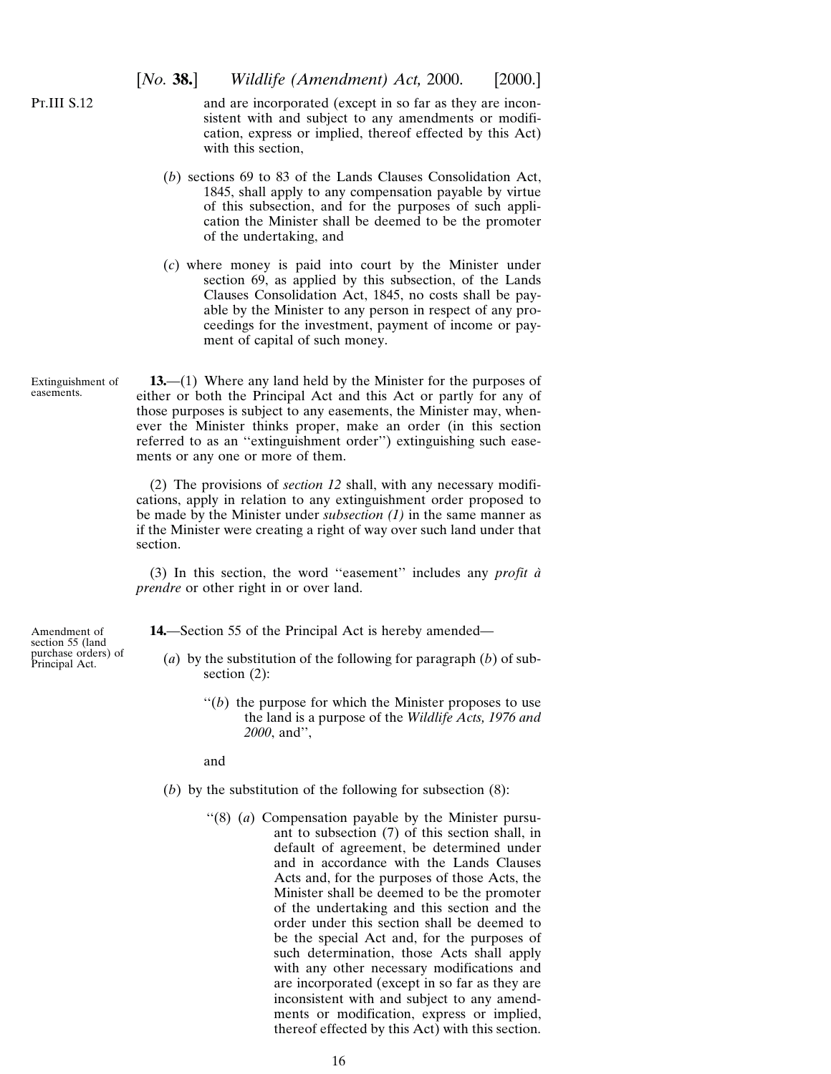<span id="page-15-0"></span>P<sub>T</sub>.III S<sub>.12</sub>

and are incorporated (except in so far as they are inconsistent with and subject to any amendments or modification, express or implied, thereof effected by this Act) with this section.

- (*b*) sections 69 to 83 of the Lands Clauses Consolidation Act, 1845, shall apply to any compensation payable by virtue of this subsection, and for the purposes of such application the Minister shall be deemed to be the promoter of the undertaking, and
- (*c*) where money is paid into court by the Minister under section 69, as applied by this subsection, of the Lands Clauses Consolidation Act, 1845, no costs shall be payable by the Minister to any person in respect of any proceedings for the investment, payment of income or payment of capital of such money.
- Extinguishment of easements. **13.**—(1) Where any land held by the Minister for the purposes of either or both the Principal Act and this Act or partly for any of those purposes is subject to any easements, the Minister may, whenever the Minister thinks proper, make an order (in this section referred to as an ''extinguishment order'') extinguishing such easements or any one or more of them.

(2) The provisions of *section 12* shall, with any necessary modifications, apply in relation to any extinguishment order proposed to be made by the Minister under *subsection (1)* in the same manner as if the Minister were creating a right of way over such land under that section.

(3) In this section, the word ''easement'' includes any *profit a` prendre* or other right in or over land.

Amendment of section 55 (land purchase orders) of Principal Act. **14.**—Section 55 of the Principal Act is hereby amended—

- (*a*) by the substitution of the following for paragraph (*b*) of subsection  $(2)$ :
	- $''(b)$  the purpose for which the Minister proposes to use the land is a purpose of the *Wildlife Acts, 1976 and 2000*, and'',

and

- (*b*) by the substitution of the following for subsection (8):
	- ''(8) (*a*) Compensation payable by the Minister pursuant to subsection (7) of this section shall, in default of agreement, be determined under and in accordance with the Lands Clauses Acts and, for the purposes of those Acts, the Minister shall be deemed to be the promoter of the undertaking and this section and the order under this section shall be deemed to be the special Act and, for the purposes of such determination, those Acts shall apply with any other necessary modifications and are incorporated (except in so far as they are inconsistent with and subject to any amendments or modification, express or implied, thereof effected by this  $Act)$  with this section.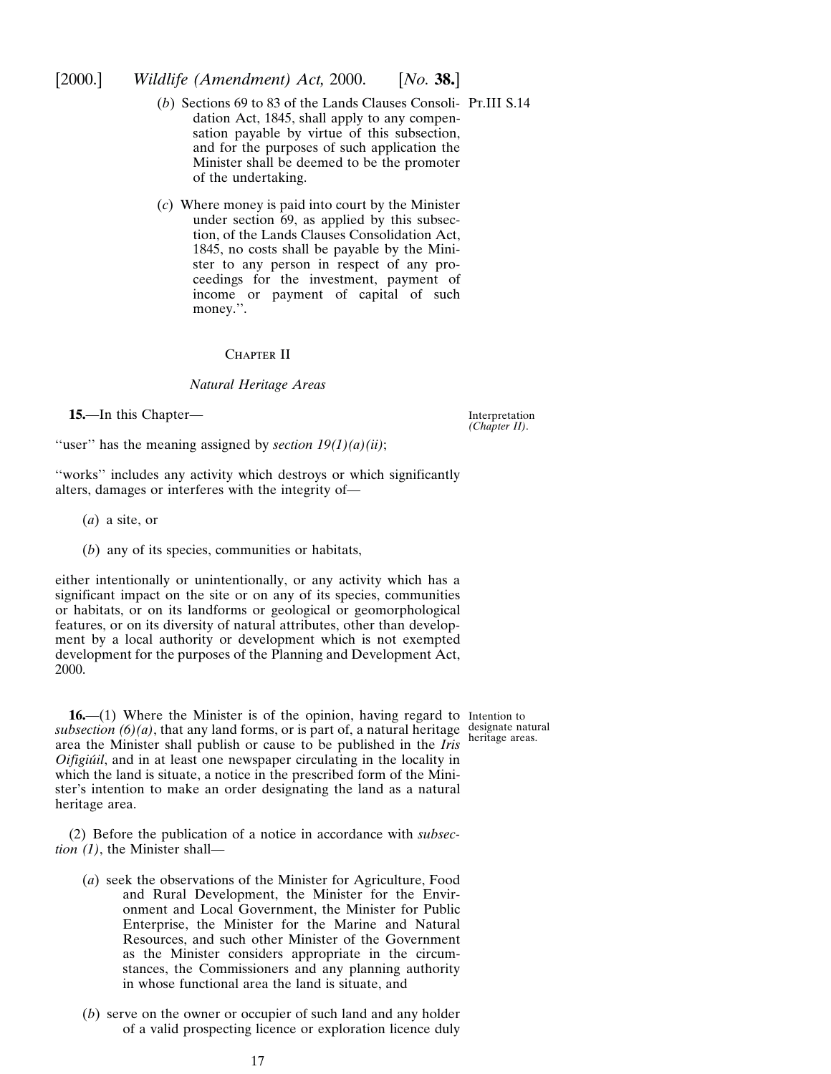## <span id="page-16-0"></span>[2000.] *Wildlife (Amendment) Act,* 2000. [*No.* **38.**]

- (*b*) Sections 69 to 83 of the Lands Clauses Consoli-Pt.III S.14 dation Act, 1845, shall apply to any compensation payable by virtue of this subsection, and for the purposes of such application the Minister shall be deemed to be the promoter of the undertaking.
- (*c*) Where money is paid into court by the Minister under section 69, as applied by this subsection, of the Lands Clauses Consolidation Act, 1845, no costs shall be payable by the Minister to any person in respect of any proceedings for the investment, payment of income or payment of capital of such money.''.

## CHAPTER II

## *Natural Heritage Areas*

**15.**—In this Chapter—

Interpretation *(Chapter II)*.

"user" has the meaning assigned by *section*  $19(1)(a)(ii)$ ;

''works'' includes any activity which destroys or which significantly alters, damages or interferes with the integrity of—

- (*a*) a site, or
- (*b*) any of its species, communities or habitats,

either intentionally or unintentionally, or any activity which has a significant impact on the site or on any of its species, communities or habitats, or on its landforms or geological or geomorphological features, or on its diversity of natural attributes, other than development by a local authority or development which is not exempted development for the purposes of the Planning and Development Act, 2000.

**16.**—(1) Where the Minister is of the opinion, having regard to Intention to subsection  $(6)(a)$ , that any land forms, or is part of, a natural heritage designate natural area the Minister shall publish or cause to be published in the *Iris Oifigiu´il*, and in at least one newspaper circulating in the locality in which the land is situate, a notice in the prescribed form of the Minister's intention to make an order designating the land as a natural heritage area.

(2) Before the publication of a notice in accordance with *subsection (1)*, the Minister shall—

- (*a*) seek the observations of the Minister for Agriculture, Food and Rural Development, the Minister for the Environment and Local Government, the Minister for Public Enterprise, the Minister for the Marine and Natural Resources, and such other Minister of the Government as the Minister considers appropriate in the circumstances, the Commissioners and any planning authority in whose functional area the land is situate, and
- (*b*) serve on the owner or occupier of such land and any holder of a valid prospecting licence or exploration licence duly

heritage areas.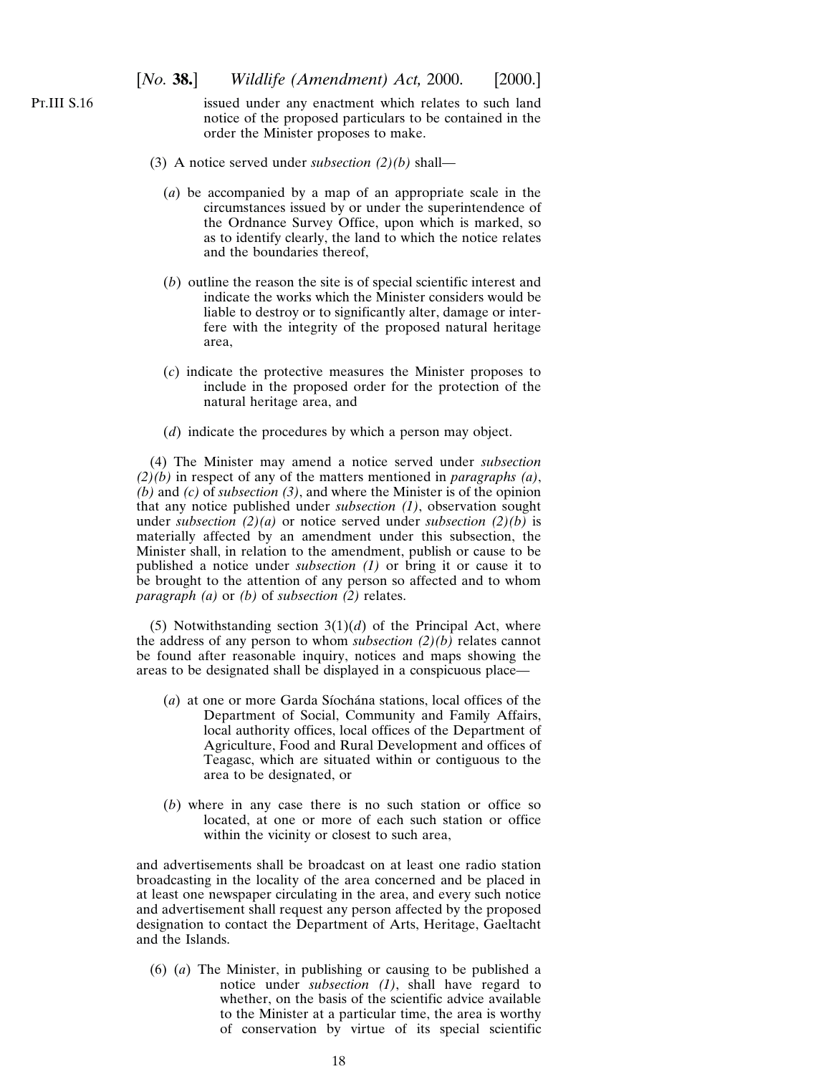P<sub>T</sub>.III S<sub>.16</sub>

issued under any enactment which relates to such land notice of the proposed particulars to be contained in the order the Minister proposes to make.

- (3) A notice served under *subsection (2)(b)* shall—
	- (*a*) be accompanied by a map of an appropriate scale in the circumstances issued by or under the superintendence of the Ordnance Survey Office, upon which is marked, so as to identify clearly, the land to which the notice relates and the boundaries thereof,
	- (*b*) outline the reason the site is of special scientific interest and indicate the works which the Minister considers would be liable to destroy or to significantly alter, damage or interfere with the integrity of the proposed natural heritage area,
	- (*c*) indicate the protective measures the Minister proposes to include in the proposed order for the protection of the natural heritage area, and
	- (*d*) indicate the procedures by which a person may object.

(4) The Minister may amend a notice served under *subsection (2)(b)* in respect of any of the matters mentioned in *paragraphs (a)*, *(b)* and *(c)* of *subsection (3)*, and where the Minister is of the opinion that any notice published under *subsection (1)*, observation sought under *subsection (2)(a)* or notice served under *subsection (2)(b)* is materially affected by an amendment under this subsection, the Minister shall, in relation to the amendment, publish or cause to be published a notice under *subsection (1)* or bring it or cause it to be brought to the attention of any person so affected and to whom *paragraph (a)* or *(b)* of *subsection (2)* relates.

(5) Notwithstanding section  $3(1)(d)$  of the Principal Act, where the address of any person to whom *subsection (2)(b)* relates cannot be found after reasonable inquiry, notices and maps showing the areas to be designated shall be displayed in a conspicuous place—

- (*a*) at one or more Garda Síochána stations, local offices of the Department of Social, Community and Family Affairs, local authority offices, local offices of the Department of Agriculture, Food and Rural Development and offices of Teagasc, which are situated within or contiguous to the area to be designated, or
- (*b*) where in any case there is no such station or office so located, at one or more of each such station or office within the vicinity or closest to such area,

and advertisements shall be broadcast on at least one radio station broadcasting in the locality of the area concerned and be placed in at least one newspaper circulating in the area, and every such notice and advertisement shall request any person affected by the proposed designation to contact the Department of Arts, Heritage, Gaeltacht and the Islands.

(6) (*a*) The Minister, in publishing or causing to be published a notice under *subsection (1)*, shall have regard to whether, on the basis of the scientific advice available to the Minister at a particular time, the area is worthy of conservation by virtue of its special scientific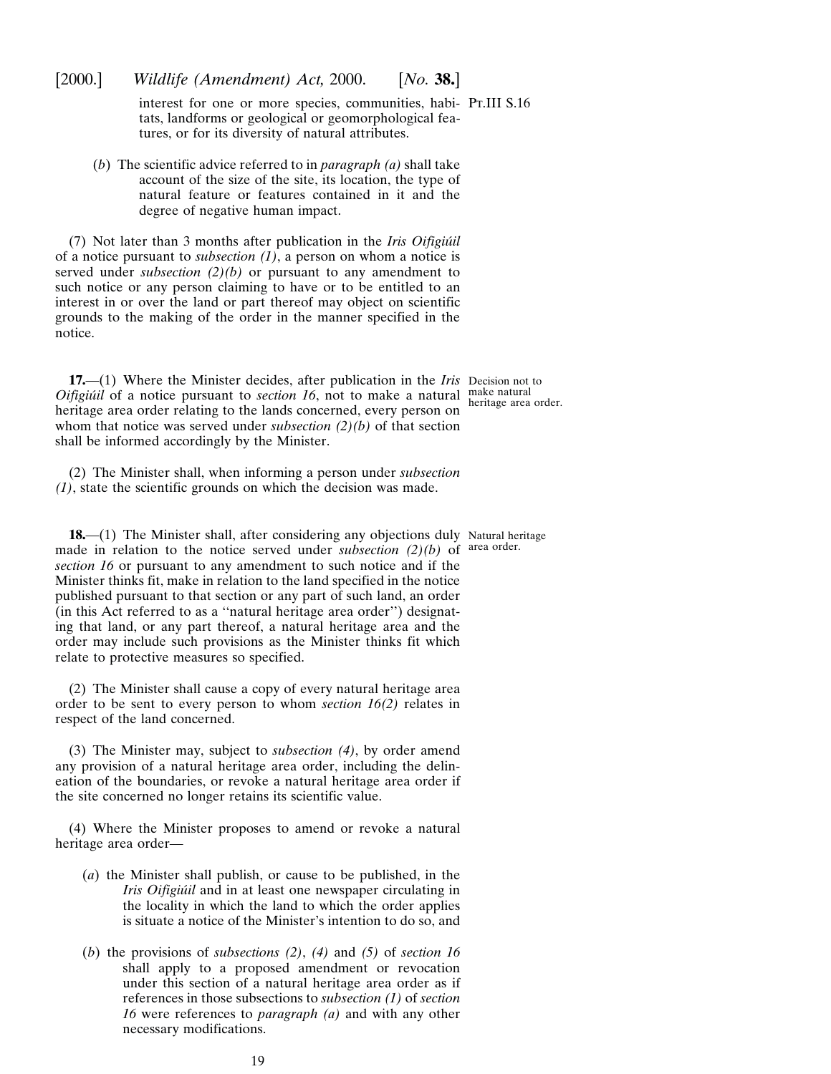interest for one or more species, communities, habi-Pt.III S.16 tats, landforms or geological or geomorphological features, or for its diversity of natural attributes.

(*b*) The scientific advice referred to in *paragraph (a)* shall take account of the size of the site, its location, the type of natural feature or features contained in it and the degree of negative human impact.

<span id="page-18-0"></span>[2000.] *Wildlife (Amendment) Act,* 2000. [*No.* **38.**]

(7) Not later than 3 months after publication in the *Iris Oifigiu´il* of a notice pursuant to *subsection (1)*, a person on whom a notice is served under *subsection (2)(b)* or pursuant to any amendment to such notice or any person claiming to have or to be entitled to an interest in or over the land or part thereof may object on scientific grounds to the making of the order in the manner specified in the notice.

**17.**—(1) Where the Minister decides, after publication in the *Iris* Decision not to *Oifigiúil* of a notice pursuant to *section 16*, not to make a natural make natural heritage area order relating to the lands concerned, every person on whom that notice was served under *subsection (2)(b)* of that section shall be informed accordingly by the Minister.

(2) The Minister shall, when informing a person under *subsection (1)*, state the scientific grounds on which the decision was made.

**18.**—(1) The Minister shall, after considering any objections duly Natural heritage made in relation to the notice served under *subsection*  $(2)(b)$  of area order. *section 16* or pursuant to any amendment to such notice and if the Minister thinks fit, make in relation to the land specified in the notice published pursuant to that section or any part of such land, an order (in this Act referred to as a ''natural heritage area order'') designating that land, or any part thereof, a natural heritage area and the order may include such provisions as the Minister thinks fit which relate to protective measures so specified.

(2) The Minister shall cause a copy of every natural heritage area order to be sent to every person to whom *section 16(2)* relates in respect of the land concerned.

(3) The Minister may, subject to *subsection (4)*, by order amend any provision of a natural heritage area order, including the delineation of the boundaries, or revoke a natural heritage area order if the site concerned no longer retains its scientific value.

(4) Where the Minister proposes to amend or revoke a natural heritage area order—

- (*a*) the Minister shall publish, or cause to be published, in the *Iris Oifigiúil* and in at least one newspaper circulating in the locality in which the land to which the order applies is situate a notice of the Minister's intention to do so, and
- (*b*) the provisions of *subsections (2)*, *(4)* and *(5)* of *section 16* shall apply to a proposed amendment or revocation under this section of a natural heritage area order as if references in those subsections to *subsection (1)* of *section 16* were references to *paragraph (a)* and with any other necessary modifications.

heritage area order.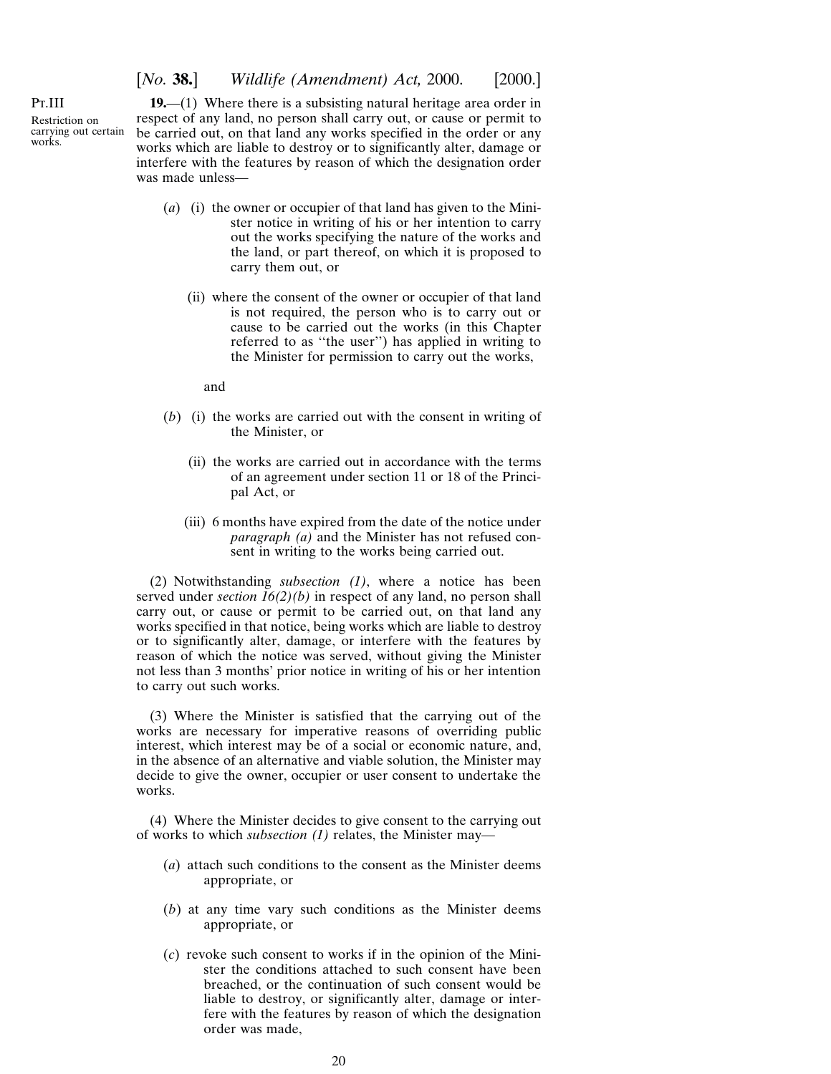[*No.* **38.**] *Wildlife (Amendment) Act,* 2000. [2000.]

<span id="page-19-0"></span>Pt.III Restriction on carrying out certain works.

**19.**—(1) Where there is a subsisting natural heritage area order in respect of any land, no person shall carry out, or cause or permit to be carried out, on that land any works specified in the order or any works which are liable to destroy or to significantly alter, damage or interfere with the features by reason of which the designation order was made unless—

- (*a*) (i) the owner or occupier of that land has given to the Minister notice in writing of his or her intention to carry out the works specifying the nature of the works and the land, or part thereof, on which it is proposed to carry them out, or
	- (ii) where the consent of the owner or occupier of that land is not required, the person who is to carry out or cause to be carried out the works (in this Chapter referred to as ''the user'') has applied in writing to the Minister for permission to carry out the works,

and

- (*b*) (i) the works are carried out with the consent in writing of the Minister, or
	- (ii) the works are carried out in accordance with the terms of an agreement under section 11 or 18 of the Principal Act, or
	- (iii) 6 months have expired from the date of the notice under *paragraph (a)* and the Minister has not refused consent in writing to the works being carried out.

(2) Notwithstanding *subsection (1)*, where a notice has been served under *section 16(2)(b)* in respect of any land, no person shall carry out, or cause or permit to be carried out, on that land any works specified in that notice, being works which are liable to destroy or to significantly alter, damage, or interfere with the features by reason of which the notice was served, without giving the Minister not less than 3 months' prior notice in writing of his or her intention to carry out such works.

(3) Where the Minister is satisfied that the carrying out of the works are necessary for imperative reasons of overriding public interest, which interest may be of a social or economic nature, and, in the absence of an alternative and viable solution, the Minister may decide to give the owner, occupier or user consent to undertake the works.

(4) Where the Minister decides to give consent to the carrying out of works to which *subsection (1)* relates, the Minister may—

- (*a*) attach such conditions to the consent as the Minister deems appropriate, or
- (*b*) at any time vary such conditions as the Minister deems appropriate, or
- (*c*) revoke such consent to works if in the opinion of the Minister the conditions attached to such consent have been breached, or the continuation of such consent would be liable to destroy, or significantly alter, damage or interfere with the features by reason of which the designation order was made,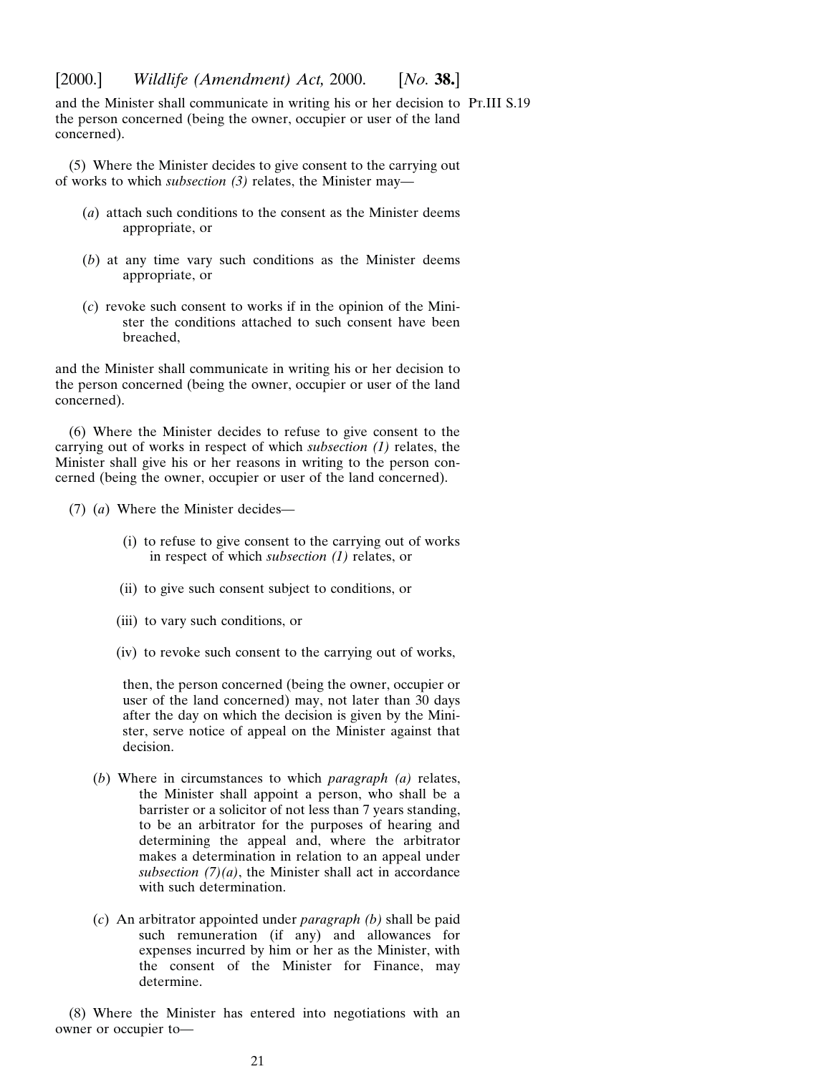and the Minister shall communicate in writing his or her decision to Pt.III S.19the person concerned (being the owner, occupier or user of the land concerned).

(5) Where the Minister decides to give consent to the carrying out of works to which *subsection (3)* relates, the Minister may—

- (*a*) attach such conditions to the consent as the Minister deems appropriate, or
- (*b*) at any time vary such conditions as the Minister deems appropriate, or
- (*c*) revoke such consent to works if in the opinion of the Minister the conditions attached to such consent have been breached,

and the Minister shall communicate in writing his or her decision to the person concerned (being the owner, occupier or user of the land concerned).

(6) Where the Minister decides to refuse to give consent to the carrying out of works in respect of which *subsection (1)* relates, the Minister shall give his or her reasons in writing to the person concerned (being the owner, occupier or user of the land concerned).

- (7) (*a*) Where the Minister decides—
	- (i) to refuse to give consent to the carrying out of works in respect of which *subsection (1)* relates, or
	- (ii) to give such consent subject to conditions, or
	- (iii) to vary such conditions, or
	- (iv) to revoke such consent to the carrying out of works,

then, the person concerned (being the owner, occupier or user of the land concerned) may, not later than 30 days after the day on which the decision is given by the Minister, serve notice of appeal on the Minister against that decision.

- (*b*) Where in circumstances to which *paragraph (a)* relates, the Minister shall appoint a person, who shall be a barrister or a solicitor of not less than 7 years standing, to be an arbitrator for the purposes of hearing and determining the appeal and, where the arbitrator makes a determination in relation to an appeal under subsection  $(7)(a)$ , the Minister shall act in accordance with such determination.
- (*c*) An arbitrator appointed under *paragraph (b)* shall be paid such remuneration (if any) and allowances for expenses incurred by him or her as the Minister, with the consent of the Minister for Finance, may determine.

(8) Where the Minister has entered into negotiations with an owner or occupier to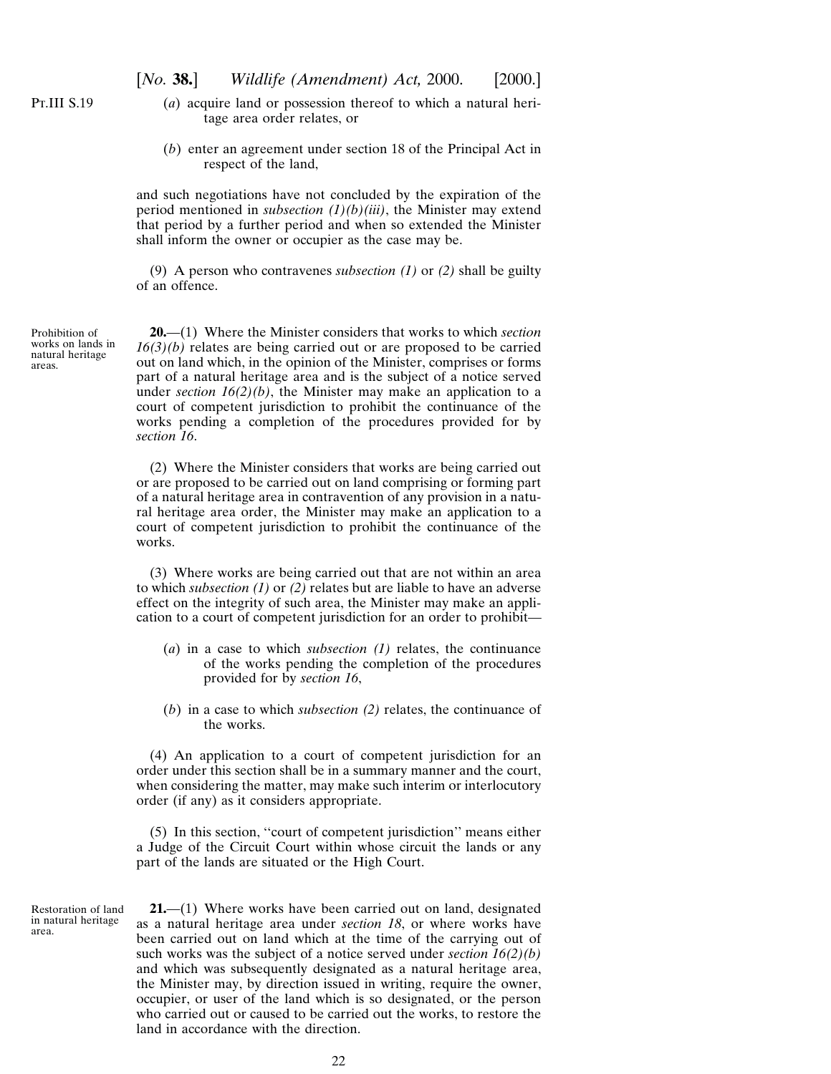<span id="page-21-0"></span>P<sub>T</sub>.III S.19

- (*a*) acquire land or possession thereof to which a natural heritage area order relates, or
- (*b*) enter an agreement under section 18 of the Principal Act in respect of the land,

and such negotiations have not concluded by the expiration of the period mentioned in *subsection (1)(b)(iii)*, the Minister may extend that period by a further period and when so extended the Minister shall inform the owner or occupier as the case may be.

(9) A person who contravenes *subsection (1)* or *(2)* shall be guilty of an offence.

Prohibition of works on lands in natural heritage areas.

**20.**—(1) Where the Minister considers that works to which *section 16(3)(b)* relates are being carried out or are proposed to be carried out on land which, in the opinion of the Minister, comprises or forms part of a natural heritage area and is the subject of a notice served under *section 16(2)(b)*, the Minister may make an application to a court of competent jurisdiction to prohibit the continuance of the works pending a completion of the procedures provided for by *section 16*.

(2) Where the Minister considers that works are being carried out or are proposed to be carried out on land comprising or forming part of a natural heritage area in contravention of any provision in a natural heritage area order, the Minister may make an application to a court of competent jurisdiction to prohibit the continuance of the works.

(3) Where works are being carried out that are not within an area to which *subsection (1)* or *(2)* relates but are liable to have an adverse effect on the integrity of such area, the Minister may make an application to a court of competent jurisdiction for an order to prohibit—

- (*a*) in a case to which *subsection (1)* relates, the continuance of the works pending the completion of the procedures provided for by *section 16*,
- (*b*) in a case to which *subsection (2)* relates, the continuance of the works.

(4) An application to a court of competent jurisdiction for an order under this section shall be in a summary manner and the court, when considering the matter, may make such interim or interlocutory order (if any) as it considers appropriate.

(5) In this section, ''court of competent jurisdiction'' means either a Judge of the Circuit Court within whose circuit the lands or any part of the lands are situated or the High Court.

Restoration of land in natural heritage area.

**21.**—(1) Where works have been carried out on land, designated as a natural heritage area under *section 18*, or where works have been carried out on land which at the time of the carrying out of such works was the subject of a notice served under *section 16(2)(b)* and which was subsequently designated as a natural heritage area, the Minister may, by direction issued in writing, require the owner, occupier, or user of the land which is so designated, or the person who carried out or caused to be carried out the works, to restore the land in accordance with the direction.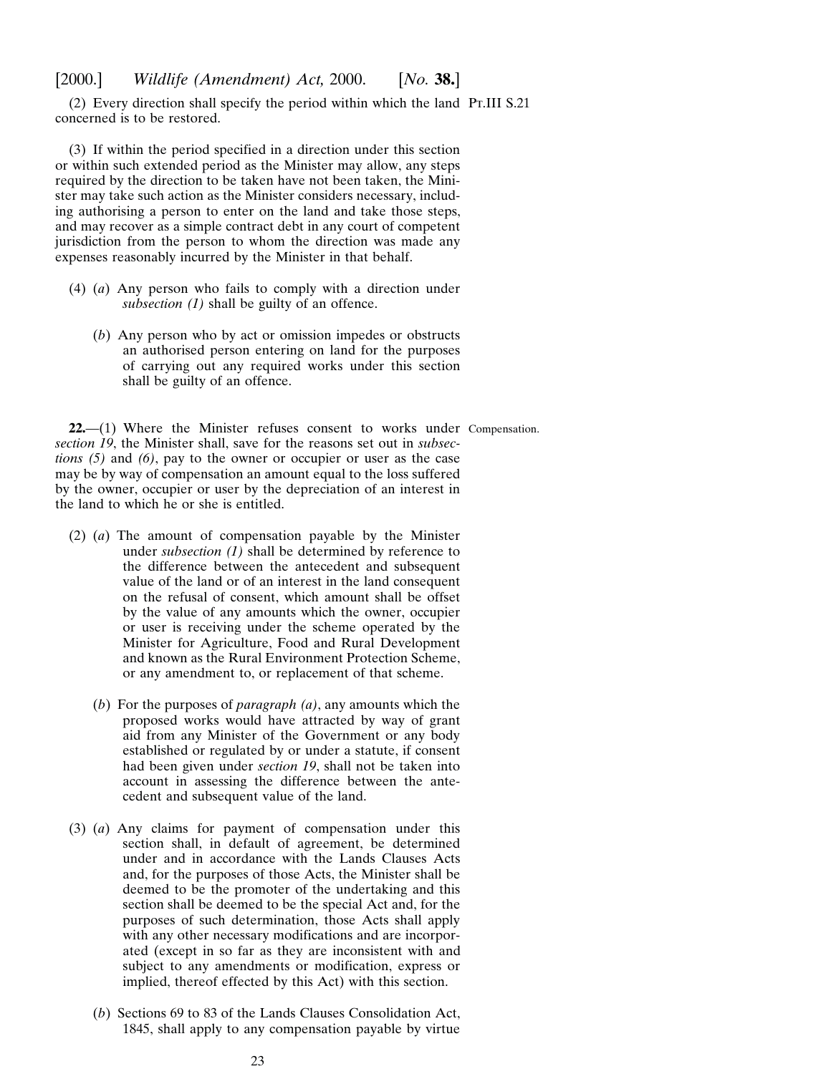<span id="page-22-0"></span>(2) Every direction shall specify the period within which the land Pt.III S.21 concerned is to be restored.

(3) If within the period specified in a direction under this section or within such extended period as the Minister may allow, any steps required by the direction to be taken have not been taken, the Minister may take such action as the Minister considers necessary, including authorising a person to enter on the land and take those steps, and may recover as a simple contract debt in any court of competent jurisdiction from the person to whom the direction was made any expenses reasonably incurred by the Minister in that behalf.

- (4) (*a*) Any person who fails to comply with a direction under *subsection (1)* shall be guilty of an offence.
	- (*b*) Any person who by act or omission impedes or obstructs an authorised person entering on land for the purposes of carrying out any required works under this section shall be guilty of an offence.

22.—(1) Where the Minister refuses consent to works under Compensation. *section 19*, the Minister shall, save for the reasons set out in *subsections (5)* and *(6)*, pay to the owner or occupier or user as the case may be by way of compensation an amount equal to the loss suffered by the owner, occupier or user by the depreciation of an interest in the land to which he or she is entitled.

- (2) (*a*) The amount of compensation payable by the Minister under *subsection (1)* shall be determined by reference to the difference between the antecedent and subsequent value of the land or of an interest in the land consequent on the refusal of consent, which amount shall be offset by the value of any amounts which the owner, occupier or user is receiving under the scheme operated by the Minister for Agriculture, Food and Rural Development and known as the Rural Environment Protection Scheme, or any amendment to, or replacement of that scheme.
	- (*b*) For the purposes of *paragraph (a)*, any amounts which the proposed works would have attracted by way of grant aid from any Minister of the Government or any body established or regulated by or under a statute, if consent had been given under *section 19*, shall not be taken into account in assessing the difference between the antecedent and subsequent value of the land.
- (3) (*a*) Any claims for payment of compensation under this section shall, in default of agreement, be determined under and in accordance with the Lands Clauses Acts and, for the purposes of those Acts, the Minister shall be deemed to be the promoter of the undertaking and this section shall be deemed to be the special Act and, for the purposes of such determination, those Acts shall apply with any other necessary modifications and are incorporated (except in so far as they are inconsistent with and subject to any amendments or modification, express or implied, thereof effected by this Act) with this section.
	- (*b*) Sections 69 to 83 of the Lands Clauses Consolidation Act, 1845, shall apply to any compensation payable by virtue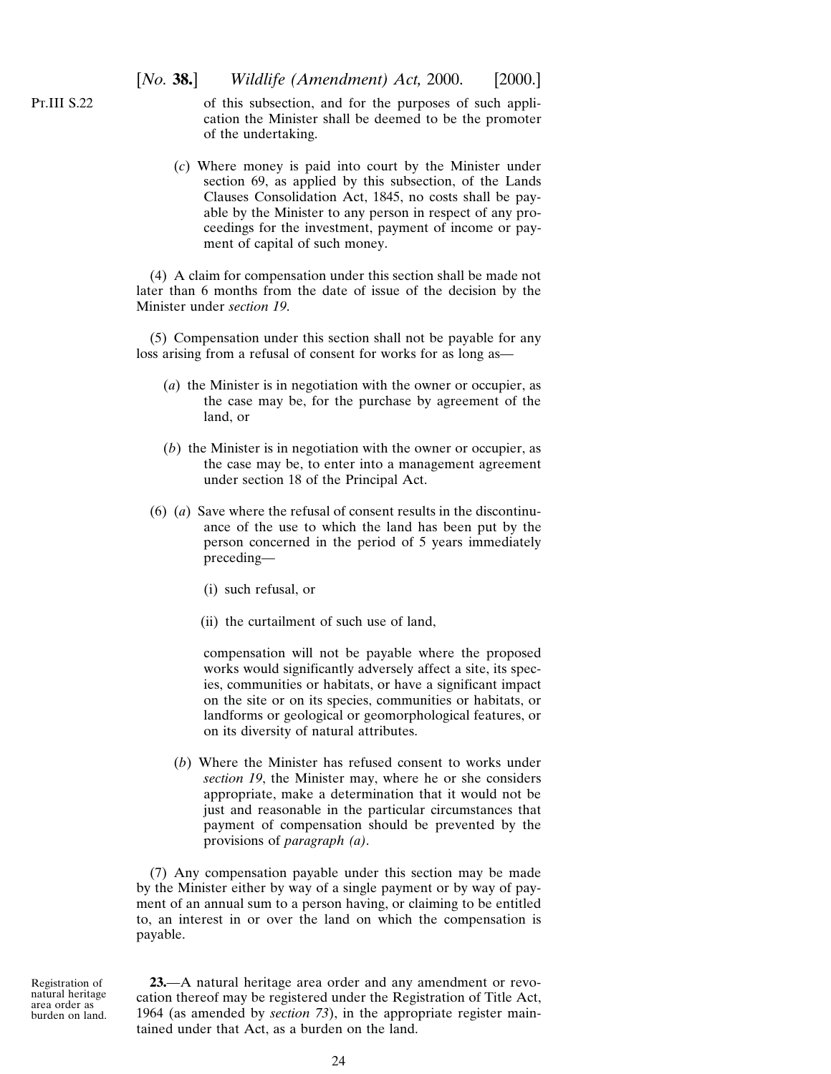<span id="page-23-0"></span>of this subsection, and for the purposes of such application the Minister shall be deemed to be the promoter of the undertaking.

(*c*) Where money is paid into court by the Minister under section 69, as applied by this subsection, of the Lands Clauses Consolidation Act, 1845, no costs shall be payable by the Minister to any person in respect of any proceedings for the investment, payment of income or payment of capital of such money.

(4) A claim for compensation under this section shall be made not later than 6 months from the date of issue of the decision by the Minister under *section 19*.

(5) Compensation under this section shall not be payable for any loss arising from a refusal of consent for works for as long as—

- (*a*) the Minister is in negotiation with the owner or occupier, as the case may be, for the purchase by agreement of the land, or
- (*b*) the Minister is in negotiation with the owner or occupier, as the case may be, to enter into a management agreement under section 18 of the Principal Act.
- (6) (*a*) Save where the refusal of consent results in the discontinuance of the use to which the land has been put by the person concerned in the period of 5 years immediately preceding—
	- (i) such refusal, or
	- (ii) the curtailment of such use of land,

compensation will not be payable where the proposed works would significantly adversely affect a site, its species, communities or habitats, or have a significant impact on the site or on its species, communities or habitats, or landforms or geological or geomorphological features, or on its diversity of natural attributes.

(*b*) Where the Minister has refused consent to works under *section 19*, the Minister may, where he or she considers appropriate, make a determination that it would not be just and reasonable in the particular circumstances that payment of compensation should be prevented by the provisions of *paragraph (a)*.

(7) Any compensation payable under this section may be made by the Minister either by way of a single payment or by way of payment of an annual sum to a person having, or claiming to be entitled to, an interest in or over the land on which the compensation is payable.

Registration of natural heritage area order as burden on land.

**23.**—A natural heritage area order and any amendment or revocation thereof may be registered under the Registration of Title Act, 1964 (as amended by *section 73*), in the appropriate register maintained under that Act, as a burden on the land.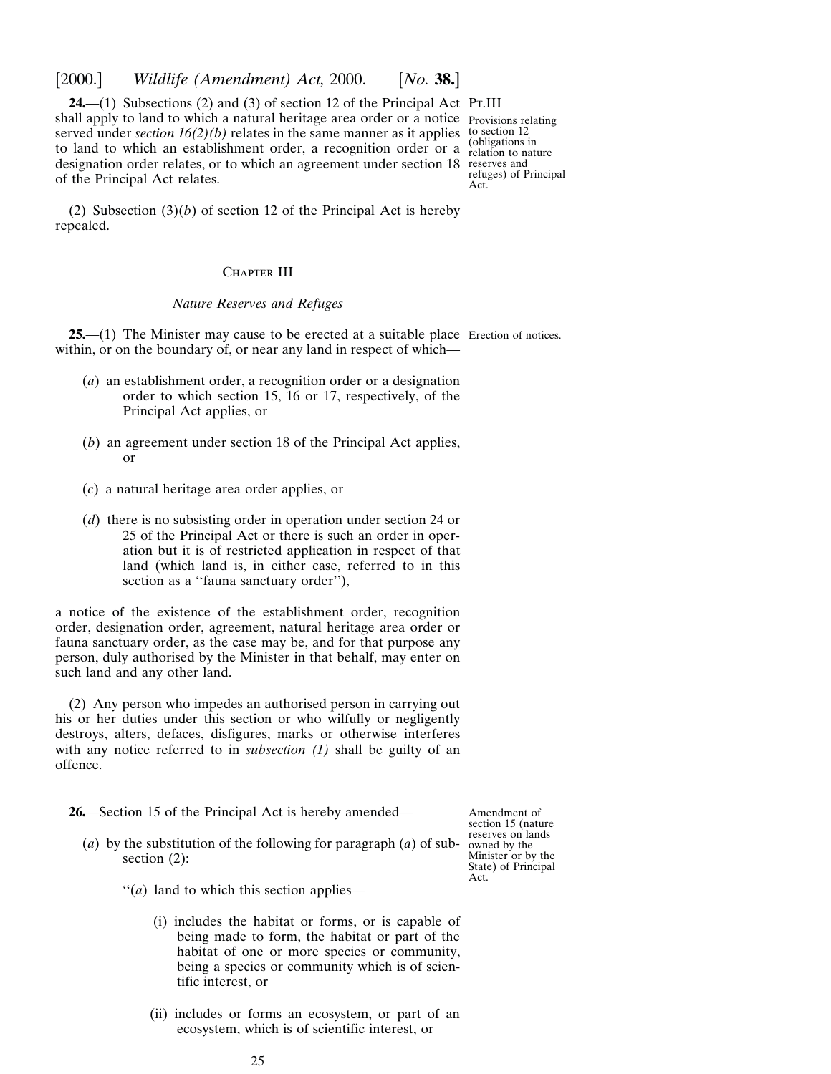<span id="page-24-0"></span>[2000.] *Wildlife (Amendment) Act,* 2000. [*No.* **38.**]

**24.**—(1) Subsections (2) and (3) of section 12 of the Principal Act Pt.III shall apply to land to which a natural heritage area order or a notice Provisions relating served under *section*  $16(2)(b)$  relates in the same manner as it applies to section 12 to land to which an establishment order, a recognition order or a  $\frac{1}{\text{relation to nature}}$ designation order relates, or to which an agreement under section 18 reserves and of the Principal Act relates.

refuges) of Principal Act.

(2) Subsection (3)(*b*) of section 12 of the Principal Act is hereby repealed.

## CHAPTER III

## *Nature Reserves and Refuges*

**25.**—(1) The Minister may cause to be erected at a suitable place Erection of notices. within, or on the boundary of, or near any land in respect of which—

- (*a*) an establishment order, a recognition order or a designation order to which section 15, 16 or 17, respectively, of the Principal Act applies, or
- (*b*) an agreement under section 18 of the Principal Act applies, or
- (*c*) a natural heritage area order applies, or
- (*d*) there is no subsisting order in operation under section 24 or 25 of the Principal Act or there is such an order in operation but it is of restricted application in respect of that land (which land is, in either case, referred to in this section as a "fauna sanctuary order"),

a notice of the existence of the establishment order, recognition order, designation order, agreement, natural heritage area order or fauna sanctuary order, as the case may be, and for that purpose any person, duly authorised by the Minister in that behalf, may enter on such land and any other land.

(2) Any person who impedes an authorised person in carrying out his or her duties under this section or who wilfully or negligently destroys, alters, defaces, disfigures, marks or otherwise interferes with any notice referred to in *subsection (1)* shall be guilty of an offence.

**26.**—Section 15 of the Principal Act is hereby amended—

(*a*) by the substitution of the following for paragraph (*a*) of subsection (2):

Amendment of section 15 (nature reserves on lands owned by the Minister or by the State) of Principal Act.

- ''(*a*) land to which this section applies—
	- (i) includes the habitat or forms, or is capable of being made to form, the habitat or part of the habitat of one or more species or community, being a species or community which is of scientific interest, or
	- (ii) includes or forms an ecosystem, or part of an ecosystem, which is of scientific interest, or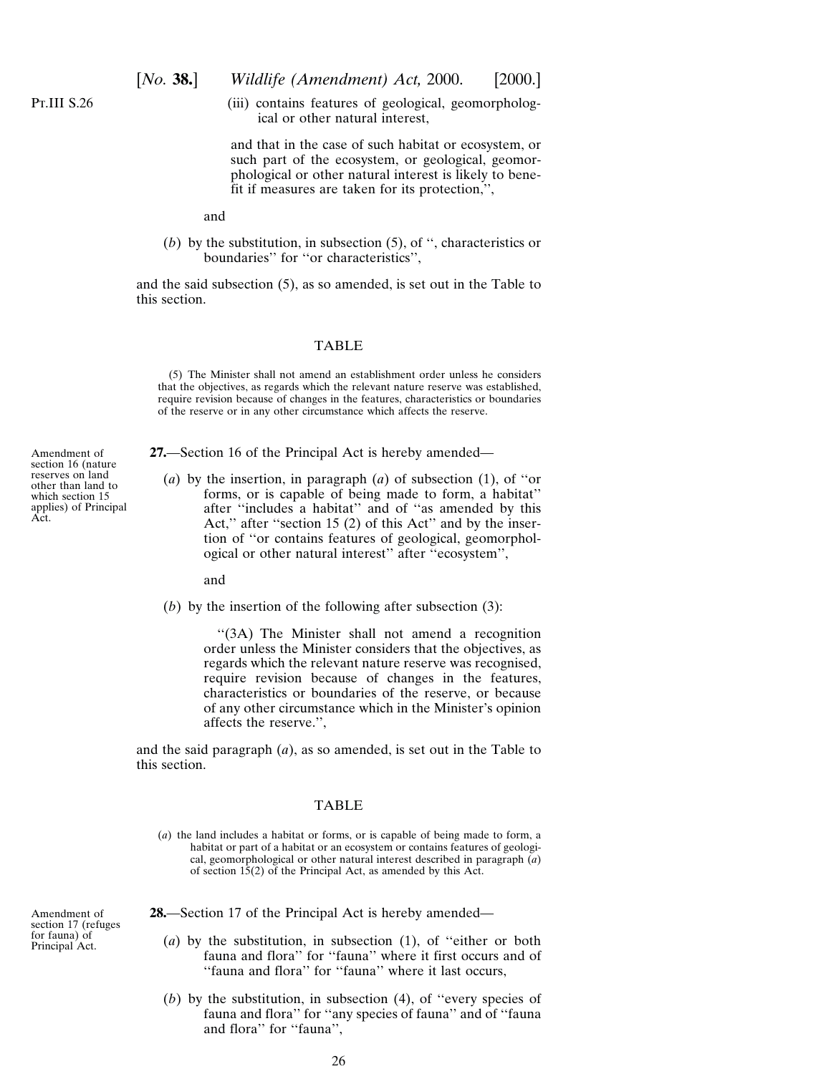Amendment of section 16 (nature reserves on land other than land to which section 15 applies) of Principal

Act.

<span id="page-25-0"></span>(iii) contains features of geological, geomorphological or other natural interest,

and that in the case of such habitat or ecosystem, or such part of the ecosystem, or geological, geomorphological or other natural interest is likely to benefit if measures are taken for its protection,'',

and

(*b*) by the substitution, in subsection (5), of '', characteristics or boundaries'' for ''or characteristics'',

and the said subsection (5), as so amended, is set out in the Table to this section.

#### TABLE

(5) The Minister shall not amend an establishment order unless he considers that the objectives, as regards which the relevant nature reserve was established, require revision because of changes in the features, characteristics or boundaries of the reserve or in any other circumstance which affects the reserve.

**27.**—Section 16 of the Principal Act is hereby amended—

(*a*) by the insertion, in paragraph (*a*) of subsection (1), of ''or forms, or is capable of being made to form, a habitat'' after ''includes a habitat'' and of ''as amended by this Act," after "section 15 (2) of this Act" and by the insertion of ''or contains features of geological, geomorphological or other natural interest'' after ''ecosystem'',

and

(*b*) by the insertion of the following after subsection (3):

''(3A) The Minister shall not amend a recognition order unless the Minister considers that the objectives, as regards which the relevant nature reserve was recognised, require revision because of changes in the features, characteristics or boundaries of the reserve, or because of any other circumstance which in the Minister's opinion affects the reserve.'',

and the said paragraph (*a*), as so amended, is set out in the Table to this section.

## TABLE

(*a*) the land includes a habitat or forms, or is capable of being made to form, a habitat or part of a habitat or an ecosystem or contains features of geological, geomorphological or other natural interest described in paragraph (*a*) of section  $15(2)$  of the Principal Act, as amended by this Act.

Amendment of section 17 (refuges for fauna) of Principal Act.

- **28.**—Section 17 of the Principal Act is hereby amended—
	- (*a*) by the substitution, in subsection (1), of ''either or both fauna and flora'' for ''fauna'' where it first occurs and of "fauna and flora" for "fauna" where it last occurs,
	- (*b*) by the substitution, in subsection (4), of ''every species of fauna and flora'' for ''any species of fauna'' and of ''fauna and flora'' for ''fauna'',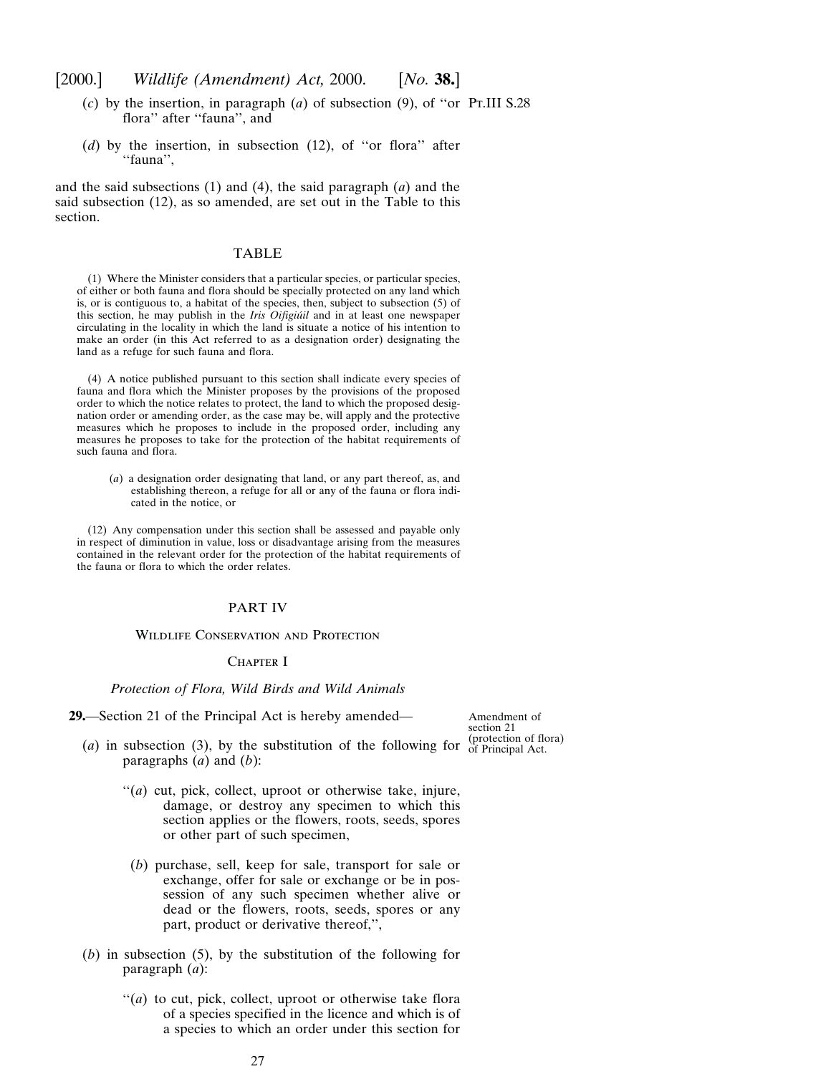- <span id="page-26-0"></span>(*c*) by the insertion, in paragraph (*a*) of subsection (9), of ''or Pt.III S.28 flora'' after ''fauna'', and
- (*d*) by the insertion, in subsection (12), of ''or flora'' after ''fauna'',

and the said subsections (1) and (4), the said paragraph (*a*) and the said subsection (12), as so amended, are set out in the Table to this section.

### TABLE

(1) Where the Minister considers that a particular species, or particular species, of either or both fauna and flora should be specially protected on any land which is, or is contiguous to, a habitat of the species, then, subject to subsection (5) of this section, he may publish in the *Iris Oifigiu´il* and in at least one newspaper circulating in the locality in which the land is situate a notice of his intention to make an order (in this Act referred to as a designation order) designating the land as a refuge for such fauna and flora.

(4) A notice published pursuant to this section shall indicate every species of fauna and flora which the Minister proposes by the provisions of the proposed order to which the notice relates to protect, the land to which the proposed designation order or amending order, as the case may be, will apply and the protective measures which he proposes to include in the proposed order, including any measures he proposes to take for the protection of the habitat requirements of such fauna and flora.

(*a*) a designation order designating that land, or any part thereof, as, and establishing thereon, a refuge for all or any of the fauna or flora indicated in the notice, or

(12) Any compensation under this section shall be assessed and payable only in respect of diminution in value, loss or disadvantage arising from the measures contained in the relevant order for the protection of the habitat requirements of the fauna or flora to which the order relates.

## PART IV

#### Wildlife Conservation and Protection

## CHAPTER I

#### *Protection of Flora, Wild Birds and Wild Animals*

**29.**—Section 21 of the Principal Act is hereby amended—

Amendment of section 21

- (*a*) in subsection (3), by the substitution of the following for  $\frac{\text{(protection of flora)}}{\text{of Principal Act.}}$ paragraphs (*a*) and (*b*):
	- ''(*a*) cut, pick, collect, uproot or otherwise take, injure, damage, or destroy any specimen to which this section applies or the flowers, roots, seeds, spores or other part of such specimen,
	- (*b*) purchase, sell, keep for sale, transport for sale or exchange, offer for sale or exchange or be in possession of any such specimen whether alive or dead or the flowers, roots, seeds, spores or any part, product or derivative thereof,'',
- (*b*) in subsection (5), by the substitution of the following for paragraph (*a*):
	- "(*a*) to cut, pick, collect, uproot or otherwise take flora of a species specified in the licence and which is of a species to which an order under this section for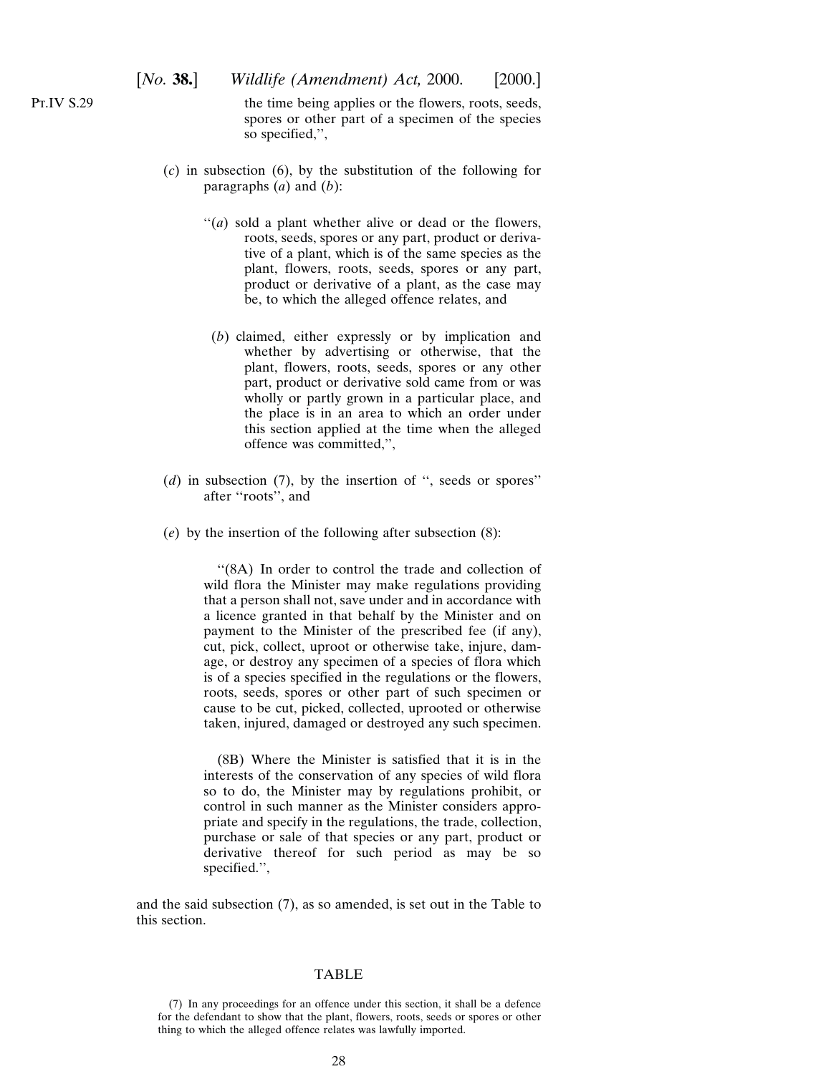the time being applies or the flowers, roots, seeds, spores or other part of a specimen of the species so specified,'',

- (*c*) in subsection (6), by the substitution of the following for paragraphs (*a*) and (*b*):
	- ''(*a*) sold a plant whether alive or dead or the flowers, roots, seeds, spores or any part, product or derivative of a plant, which is of the same species as the plant, flowers, roots, seeds, spores or any part, product or derivative of a plant, as the case may be, to which the alleged offence relates, and
	- (*b*) claimed, either expressly or by implication and whether by advertising or otherwise, that the plant, flowers, roots, seeds, spores or any other part, product or derivative sold came from or was wholly or partly grown in a particular place, and the place is in an area to which an order under this section applied at the time when the alleged offence was committed,'',
- (*d*) in subsection (7), by the insertion of '', seeds or spores'' after ''roots'', and
- (*e*) by the insertion of the following after subsection (8):

''(8A) In order to control the trade and collection of wild flora the Minister may make regulations providing that a person shall not, save under and in accordance with a licence granted in that behalf by the Minister and on payment to the Minister of the prescribed fee (if any), cut, pick, collect, uproot or otherwise take, injure, damage, or destroy any specimen of a species of flora which is of a species specified in the regulations or the flowers, roots, seeds, spores or other part of such specimen or cause to be cut, picked, collected, uprooted or otherwise taken, injured, damaged or destroyed any such specimen.

(8B) Where the Minister is satisfied that it is in the interests of the conservation of any species of wild flora so to do, the Minister may by regulations prohibit, or control in such manner as the Minister considers appropriate and specify in the regulations, the trade, collection, purchase or sale of that species or any part, product or derivative thereof for such period as may be so specified.'',

and the said subsection (7), as so amended, is set out in the Table to this section.

#### TABLE

Pt.IV S.29

<sup>(7)</sup> In any proceedings for an offence under this section, it shall be a defence for the defendant to show that the plant, flowers, roots, seeds or spores or other thing to which the alleged offence relates was lawfully imported.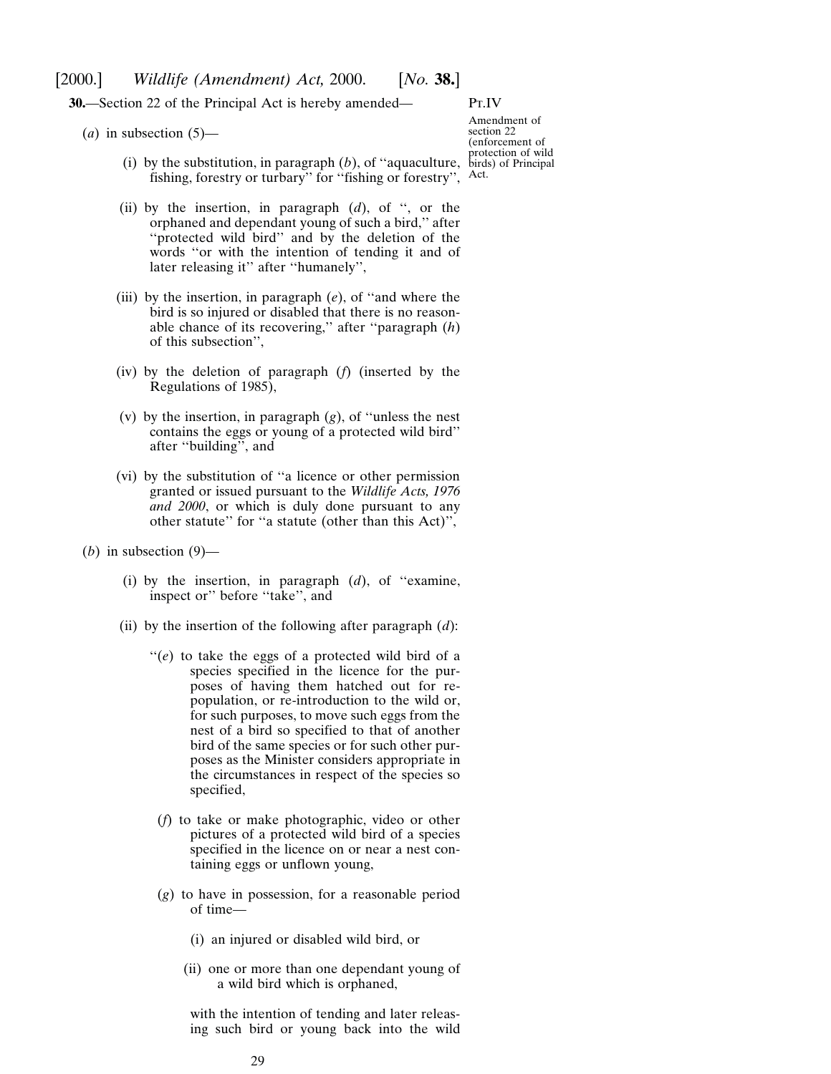## <span id="page-28-0"></span>[2000.] *Wildlife (Amendment) Act,* 2000. [*No.* **38.**]

**30.**—Section 22 of the Principal Act is hereby amended—

Pt.IV

 $(a)$  in subsection  $(5)$ —

- (i) by the substitution, in paragraph  $(b)$ , of "aquaculture, birds) of Principal fishing, forestry or turbary'' for ''fishing or forestry'',
- (ii) by the insertion, in paragraph (*d*), of '', or the orphaned and dependant young of such a bird,'' after "protected wild bird" and by the deletion of the words ''or with the intention of tending it and of later releasing it'' after ''humanely'',
- (iii) by the insertion, in paragraph (*e*), of ''and where the bird is so injured or disabled that there is no reasonable chance of its recovering,'' after ''paragraph (*h*) of this subsection'',
- (iv) by the deletion of paragraph (*f*) (inserted by the Regulations of 1985),
- (v) by the insertion, in paragraph (*g*), of ''unless the nest contains the eggs or young of a protected wild bird'' after ''building'', and
- (vi) by the substitution of ''a licence or other permission granted or issued pursuant to the *Wildlife Acts, 1976 and 2000*, or which is duly done pursuant to any other statute'' for ''a statute (other than this Act)'',
- (*b*) in subsection  $(9)$ 
	- (i) by the insertion, in paragraph (*d*), of ''examine, inspect or'' before ''take'', and
	- (ii) by the insertion of the following after paragraph (*d*):
		- "(e) to take the eggs of a protected wild bird of a species specified in the licence for the purposes of having them hatched out for repopulation, or re-introduction to the wild or, for such purposes, to move such eggs from the nest of a bird so specified to that of another bird of the same species or for such other purposes as the Minister considers appropriate in the circumstances in respect of the species so specified,
		- (*f*) to take or make photographic, video or other pictures of a protected wild bird of a species specified in the licence on or near a nest containing eggs or unflown young,
		- (*g*) to have in possession, for a reasonable period of time—
			- (i) an injured or disabled wild bird, or
			- (ii) one or more than one dependant young of a wild bird which is orphaned,

with the intention of tending and later releasing such bird or young back into the wild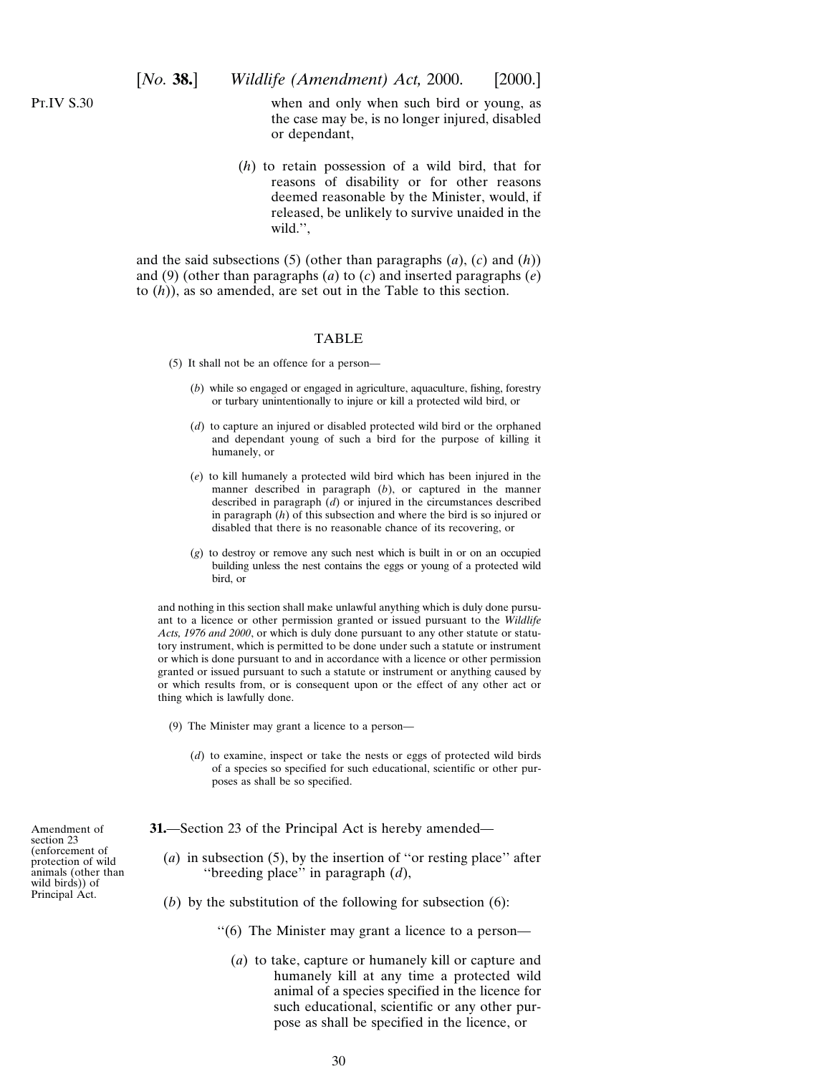<span id="page-29-0"></span>when and only when such bird or young, as the case may be, is no longer injured, disabled or dependant,

(*h*) to retain possession of a wild bird, that for reasons of disability or for other reasons deemed reasonable by the Minister, would, if released, be unlikely to survive unaided in the wild.'',

and the said subsections (5) (other than paragraphs (*a*), (*c*) and (*h*)) and (9) (other than paragraphs (*a*) to (*c*) and inserted paragraphs (*e*) to (*h*)), as so amended, are set out in the Table to this section.

#### TABLE

(5) It shall not be an offence for a person—

- (*b*) while so engaged or engaged in agriculture, aquaculture, fishing, forestry or turbary unintentionally to injure or kill a protected wild bird, or
- (*d*) to capture an injured or disabled protected wild bird or the orphaned and dependant young of such a bird for the purpose of killing it humanely, or
- (*e*) to kill humanely a protected wild bird which has been injured in the manner described in paragraph (*b*), or captured in the manner described in paragraph (*d*) or injured in the circumstances described in paragraph (*h*) of this subsection and where the bird is so injured or disabled that there is no reasonable chance of its recovering, or
- (*g*) to destroy or remove any such nest which is built in or on an occupied building unless the nest contains the eggs or young of a protected wild bird, or

and nothing in this section shall make unlawful anything which is duly done pursuant to a licence or other permission granted or issued pursuant to the *Wildlife Acts, 1976 and 2000*, or which is duly done pursuant to any other statute or statutory instrument, which is permitted to be done under such a statute or instrument or which is done pursuant to and in accordance with a licence or other permission granted or issued pursuant to such a statute or instrument or anything caused by or which results from, or is consequent upon or the effect of any other act or thing which is lawfully done.

- (9) The Minister may grant a licence to a person—
	- (*d*) to examine, inspect or take the nests or eggs of protected wild birds of a species so specified for such educational, scientific or other purposes as shall be so specified.

**31.**—Section 23 of the Principal Act is hereby amended—

- (*a*) in subsection (5), by the insertion of ''or resting place'' after ''breeding place'' in paragraph (*d*),
- (*b*) by the substitution of the following for subsection (6):
	- ''(6) The Minister may grant a licence to a person—
		- (*a*) to take, capture or humanely kill or capture and humanely kill at any time a protected wild animal of a species specified in the licence for such educational, scientific or any other purpose as shall be specified in the licence, or

Amendment of section 23 (enforcement of protection of wild animals (other than wild birds)) of Principal Act.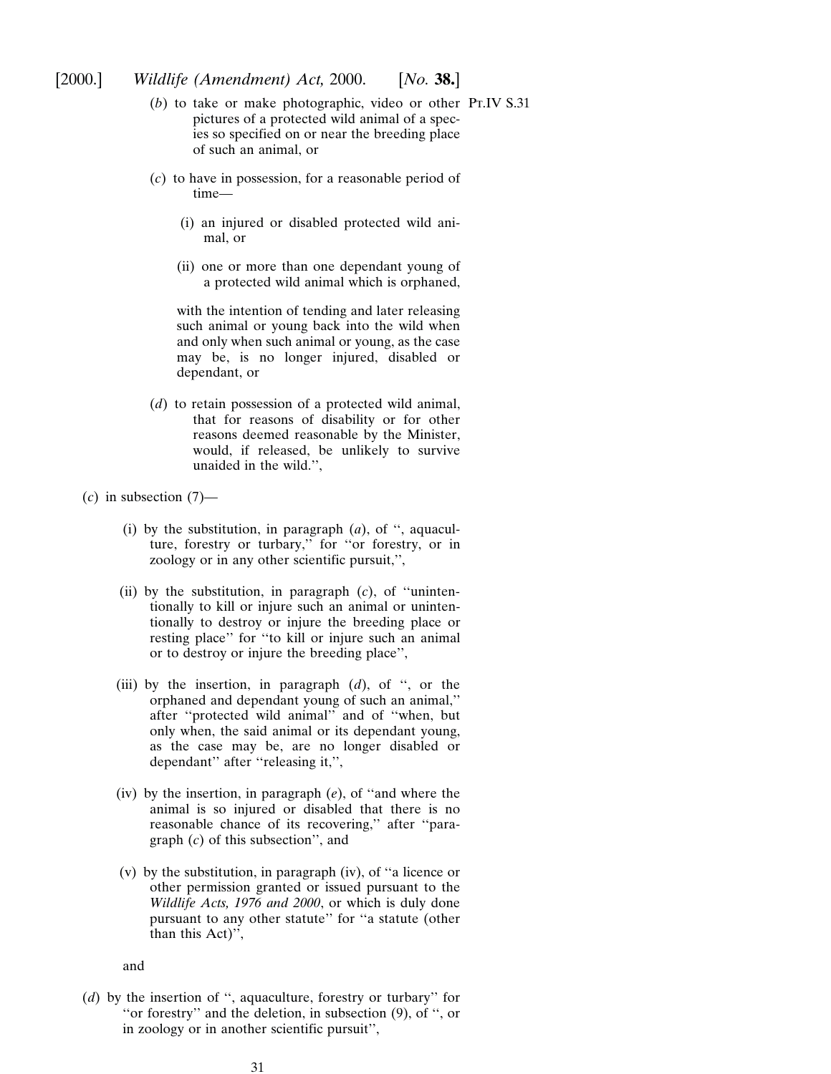- (*b*) to take or make photographic, video or other Pt.IV S.31pictures of a protected wild animal of a species so specified on or near the breeding place of such an animal, or
- (*c*) to have in possession, for a reasonable period of time—
	- (i) an injured or disabled protected wild animal, or
	- (ii) one or more than one dependant young of a protected wild animal which is orphaned,

with the intention of tending and later releasing such animal or young back into the wild when and only when such animal or young, as the case may be, is no longer injured, disabled or dependant, or

- (*d*) to retain possession of a protected wild animal, that for reasons of disability or for other reasons deemed reasonable by the Minister, would, if released, be unlikely to survive unaided in the wild.'',
- $(c)$  in subsection  $(7)$ 
	- (i) by the substitution, in paragraph (*a*), of '', aquaculture, forestry or turbary,'' for ''or forestry, or in zoology or in any other scientific pursuit,'',
	- (ii) by the substitution, in paragraph (*c*), of ''unintentionally to kill or injure such an animal or unintentionally to destroy or injure the breeding place or resting place'' for ''to kill or injure such an animal or to destroy or injure the breeding place'',
	- (iii) by the insertion, in paragraph (*d*), of '', or the orphaned and dependant young of such an animal,'' after ''protected wild animal'' and of ''when, but only when, the said animal or its dependant young, as the case may be, are no longer disabled or dependant'' after ''releasing it,'',
	- (iv) by the insertion, in paragraph (*e*), of ''and where the animal is so injured or disabled that there is no reasonable chance of its recovering,'' after ''paragraph (*c*) of this subsection'', and
	- (v) by the substitution, in paragraph (iv), of ''a licence or other permission granted or issued pursuant to the *Wildlife Acts, 1976 and 2000*, or which is duly done pursuant to any other statute'' for ''a statute (other than this Act)'',

and

(*d*) by the insertion of '', aquaculture, forestry or turbary'' for ''or forestry'' and the deletion, in subsection (9), of '', or in zoology or in another scientific pursuit'',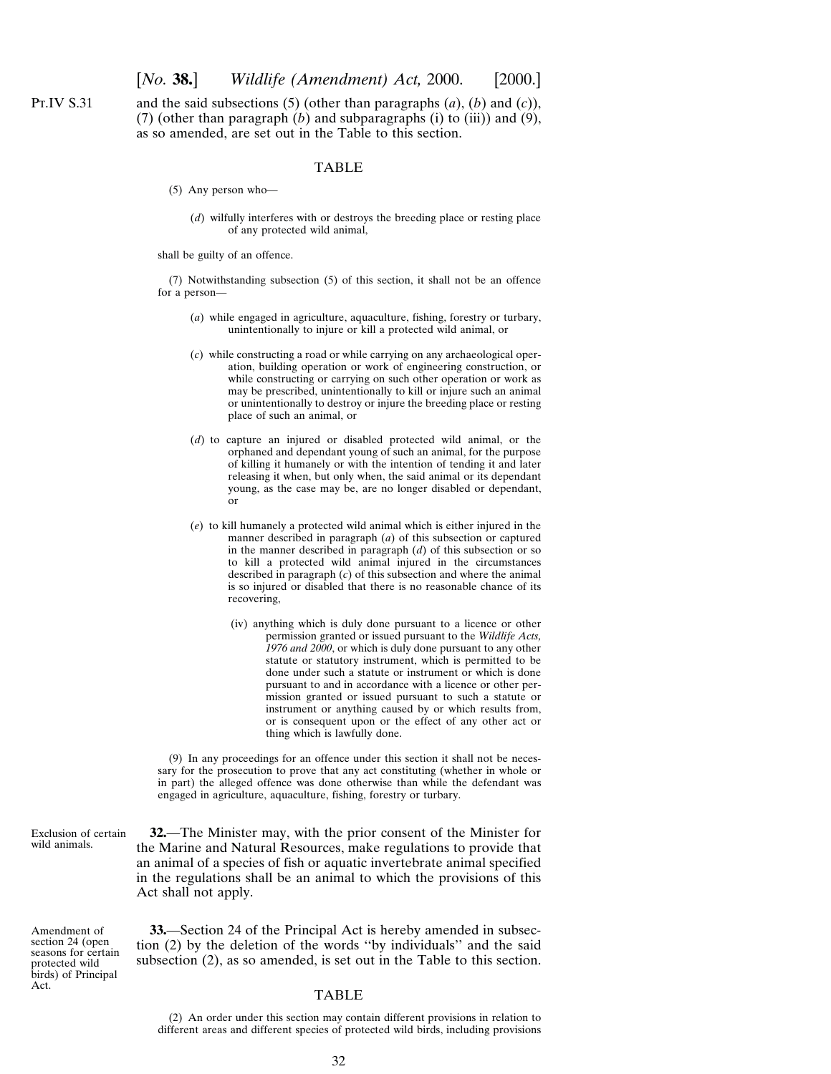and the said subsections (5) (other than paragraphs (*a*), (*b*) and (*c*)), (7) (other than paragraph (*b*) and subparagraphs (i) to (iii)) and (9), as so amended, are set out in the Table to this section.

#### TABLE

- (5) Any person who—
	- (*d*) wilfully interferes with or destroys the breeding place or resting place of any protected wild animal,

shall be guilty of an offence.

(7) Notwithstanding subsection (5) of this section, it shall not be an offence for a person—

- (*a*) while engaged in agriculture, aquaculture, fishing, forestry or turbary, unintentionally to injure or kill a protected wild animal, or
- (*c*) while constructing a road or while carrying on any archaeological operation, building operation or work of engineering construction, or while constructing or carrying on such other operation or work as may be prescribed, unintentionally to kill or injure such an animal or unintentionally to destroy or injure the breeding place or resting place of such an animal, or
- (*d*) to capture an injured or disabled protected wild animal, or the orphaned and dependant young of such an animal, for the purpose of killing it humanely or with the intention of tending it and later releasing it when, but only when, the said animal or its dependant young, as the case may be, are no longer disabled or dependant, or
- (*e*) to kill humanely a protected wild animal which is either injured in the manner described in paragraph (*a*) of this subsection or captured in the manner described in paragraph (*d*) of this subsection or so to kill a protected wild animal injured in the circumstances described in paragraph (*c*) of this subsection and where the animal is so injured or disabled that there is no reasonable chance of its recovering,
	- (iv) anything which is duly done pursuant to a licence or other permission granted or issued pursuant to the *Wildlife Acts, 1976 and 2000*, or which is duly done pursuant to any other statute or statutory instrument, which is permitted to be done under such a statute or instrument or which is done pursuant to and in accordance with a licence or other permission granted or issued pursuant to such a statute or instrument or anything caused by or which results from, or is consequent upon or the effect of any other act or thing which is lawfully done.

(9) In any proceedings for an offence under this section it shall not be necessary for the prosecution to prove that any act constituting (whether in whole or in part) the alleged offence was done otherwise than while the defendant was engaged in agriculture, aquaculture, fishing, forestry or turbary.

Exclusion of certain wild animals.

<span id="page-31-0"></span>Pt.IV S.31

**32.**—The Minister may, with the prior consent of the Minister for the Marine and Natural Resources, make regulations to provide that an animal of a species of fish or aquatic invertebrate animal specified in the regulations shall be an animal to which the provisions of this Act shall not apply.

Amendment of section 24 (open seasons for certain protected wild birds) of Principal Act.

**33.**—Section 24 of the Principal Act is hereby amended in subsection (2) by the deletion of the words ''by individuals'' and the said subsection (2), as so amended, is set out in the Table to this section.

## TABLE

<sup>(2)</sup> An order under this section may contain different provisions in relation to different areas and different species of protected wild birds, including provisions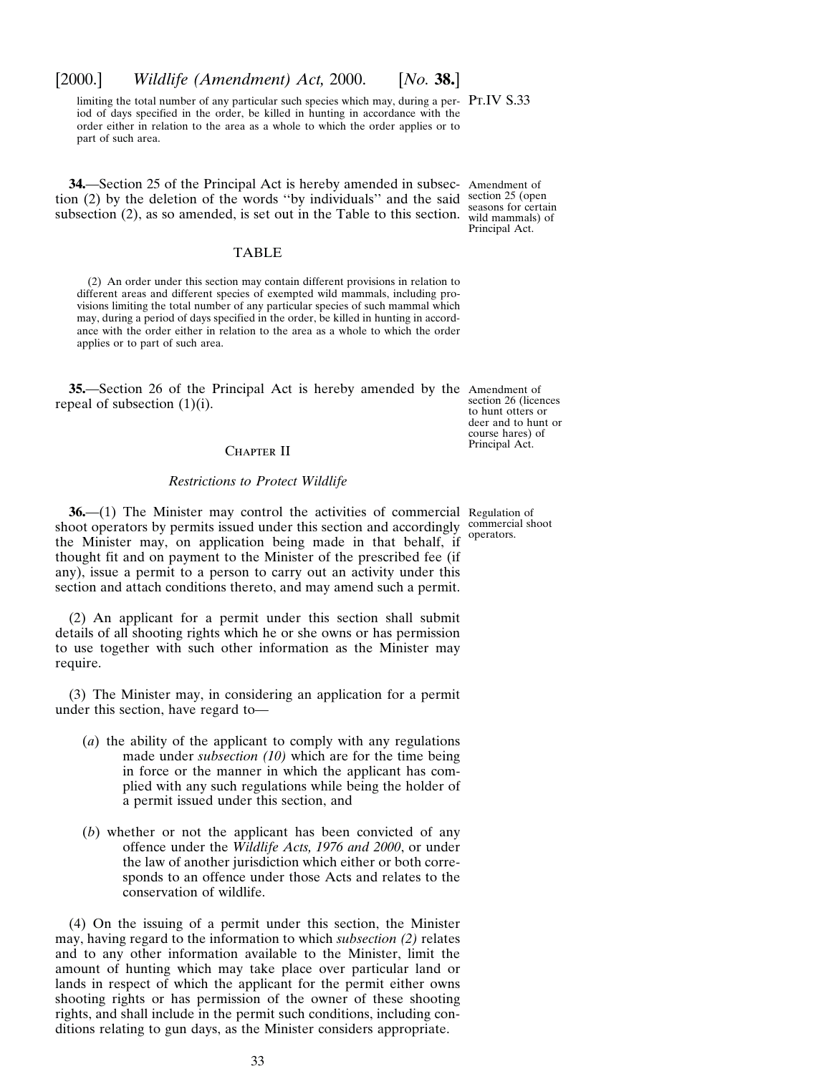## <span id="page-32-0"></span>[2000.] *Wildlife (Amendment) Act,* 2000. [*No.* **38.**]

limiting the total number of any particular such species which may, during a per-  $Pr.IV S.33$ iod of days specified in the order, be killed in hunting in accordance with the order either in relation to the area as a whole to which the order applies or to part of such area.

**34.**—Section 25 of the Principal Act is hereby amended in subsec-Amendment of tion (2) by the deletion of the words "by individuals" and the said section 25 (open subsection (2), as so amended, is set out in the Table to this section.

#### TABLE

(2) An order under this section may contain different provisions in relation to different areas and different species of exempted wild mammals, including provisions limiting the total number of any particular species of such mammal which may, during a period of days specified in the order, be killed in hunting in accordance with the order either in relation to the area as a whole to which the order applies or to part of such area.

**35.**—Section 26 of the Principal Act is hereby amended by the Amendment of repeal of subsection  $(1)(i)$ .

section 26 (licences to hunt otters or deer and to hunt or course hares) of Principal Act.

## CHAPTER II

#### *Restrictions to Protect Wildlife*

**36.**—(1) The Minister may control the activities of commercial Regulation of shoot operators by permits issued under this section and accordingly commercial shoot the Minister may, on application being made in that behalf, if thought fit and on payment to the Minister of the prescribed fee (if any), issue a permit to a person to carry out an activity under this section and attach conditions thereto, and may amend such a permit. operators.

(2) An applicant for a permit under this section shall submit details of all shooting rights which he or she owns or has permission to use together with such other information as the Minister may require.

(3) The Minister may, in considering an application for a permit under this section, have regard to—

- (*a*) the ability of the applicant to comply with any regulations made under *subsection (10)* which are for the time being in force or the manner in which the applicant has complied with any such regulations while being the holder of a permit issued under this section, and
- (*b*) whether or not the applicant has been convicted of any offence under the *Wildlife Acts, 1976 and 2000*, or under the law of another jurisdiction which either or both corresponds to an offence under those Acts and relates to the conservation of wildlife.

(4) On the issuing of a permit under this section, the Minister may, having regard to the information to which *subsection (2)* relates and to any other information available to the Minister, limit the amount of hunting which may take place over particular land or lands in respect of which the applicant for the permit either owns shooting rights or has permission of the owner of these shooting rights, and shall include in the permit such conditions, including conditions relating to gun days, as the Minister considers appropriate.

seasons for certain wild mammals) of Principal Act.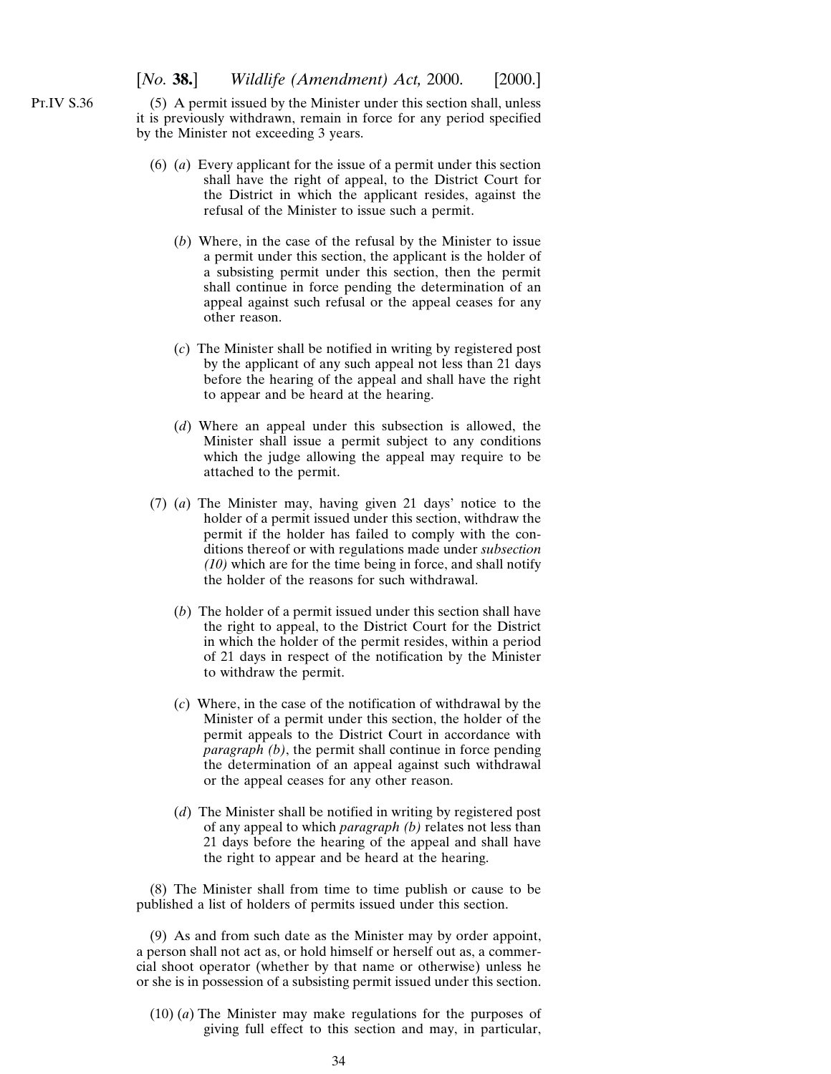(5) A permit issued by the Minister under this section shall, unless it is previously withdrawn, remain in force for any period specified by the Minister not exceeding 3 years.

- (6) (*a*) Every applicant for the issue of a permit under this section shall have the right of appeal, to the District Court for the District in which the applicant resides, against the refusal of the Minister to issue such a permit.
	- (*b*) Where, in the case of the refusal by the Minister to issue a permit under this section, the applicant is the holder of a subsisting permit under this section, then the permit shall continue in force pending the determination of an appeal against such refusal or the appeal ceases for any other reason.
	- (*c*) The Minister shall be notified in writing by registered post by the applicant of any such appeal not less than 21 days before the hearing of the appeal and shall have the right to appear and be heard at the hearing.
	- (*d*) Where an appeal under this subsection is allowed, the Minister shall issue a permit subject to any conditions which the judge allowing the appeal may require to be attached to the permit.
- (7) (*a*) The Minister may, having given 21 days' notice to the holder of a permit issued under this section, withdraw the permit if the holder has failed to comply with the conditions thereof or with regulations made under *subsection (10)* which are for the time being in force, and shall notify the holder of the reasons for such withdrawal.
	- (*b*) The holder of a permit issued under this section shall have the right to appeal, to the District Court for the District in which the holder of the permit resides, within a period of 21 days in respect of the notification by the Minister to withdraw the permit.
	- (*c*) Where, in the case of the notification of withdrawal by the Minister of a permit under this section, the holder of the permit appeals to the District Court in accordance with *paragraph (b)*, the permit shall continue in force pending the determination of an appeal against such withdrawal or the appeal ceases for any other reason.
	- (*d*) The Minister shall be notified in writing by registered post of any appeal to which *paragraph (b)* relates not less than 21 days before the hearing of the appeal and shall have the right to appear and be heard at the hearing.

(8) The Minister shall from time to time publish or cause to be published a list of holders of permits issued under this section.

(9) As and from such date as the Minister may by order appoint, a person shall not act as, or hold himself or herself out as, a commercial shoot operator (whether by that name or otherwise) unless he or she is in possession of a subsisting permit issued under this section.

(10) (*a*) The Minister may make regulations for the purposes of giving full effect to this section and may, in particular,

Pt.IV S.36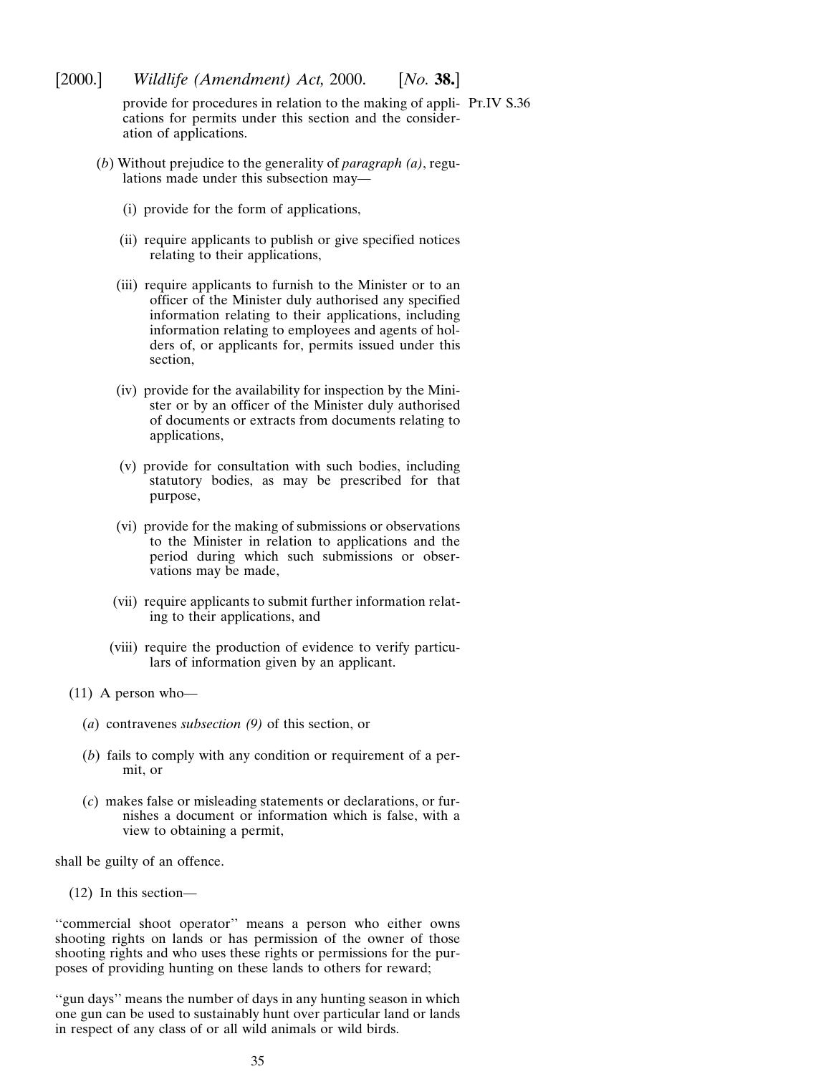[2000.] *Wildlife (Amendment) Act,* 2000. [*No.* **38.**]

provide for procedures in relation to the making of appli-Pt.IV S.36cations for permits under this section and the consideration of applications.

- (*b*) Without prejudice to the generality of *paragraph (a)*, regulations made under this subsection may—
	- (i) provide for the form of applications,
	- (ii) require applicants to publish or give specified notices relating to their applications,
	- (iii) require applicants to furnish to the Minister or to an officer of the Minister duly authorised any specified information relating to their applications, including information relating to employees and agents of holders of, or applicants for, permits issued under this section,
	- (iv) provide for the availability for inspection by the Minister or by an officer of the Minister duly authorised of documents or extracts from documents relating to applications,
	- (v) provide for consultation with such bodies, including statutory bodies, as may be prescribed for that purpose,
	- (vi) provide for the making of submissions or observations to the Minister in relation to applications and the period during which such submissions or observations may be made,
	- (vii) require applicants to submit further information relating to their applications, and
	- (viii) require the production of evidence to verify particulars of information given by an applicant.
- (11) A person who—
	- (*a*) contravenes *subsection (9)* of this section, or
	- (*b*) fails to comply with any condition or requirement of a permit, or
	- (*c*) makes false or misleading statements or declarations, or furnishes a document or information which is false, with a view to obtaining a permit,

shall be guilty of an offence.

(12) In this section—

"commercial shoot operator" means a person who either owns shooting rights on lands or has permission of the owner of those shooting rights and who uses these rights or permissions for the purposes of providing hunting on these lands to others for reward;

''gun days'' means the number of days in any hunting season in which one gun can be used to sustainably hunt over particular land or lands in respect of any class of or all wild animals or wild birds.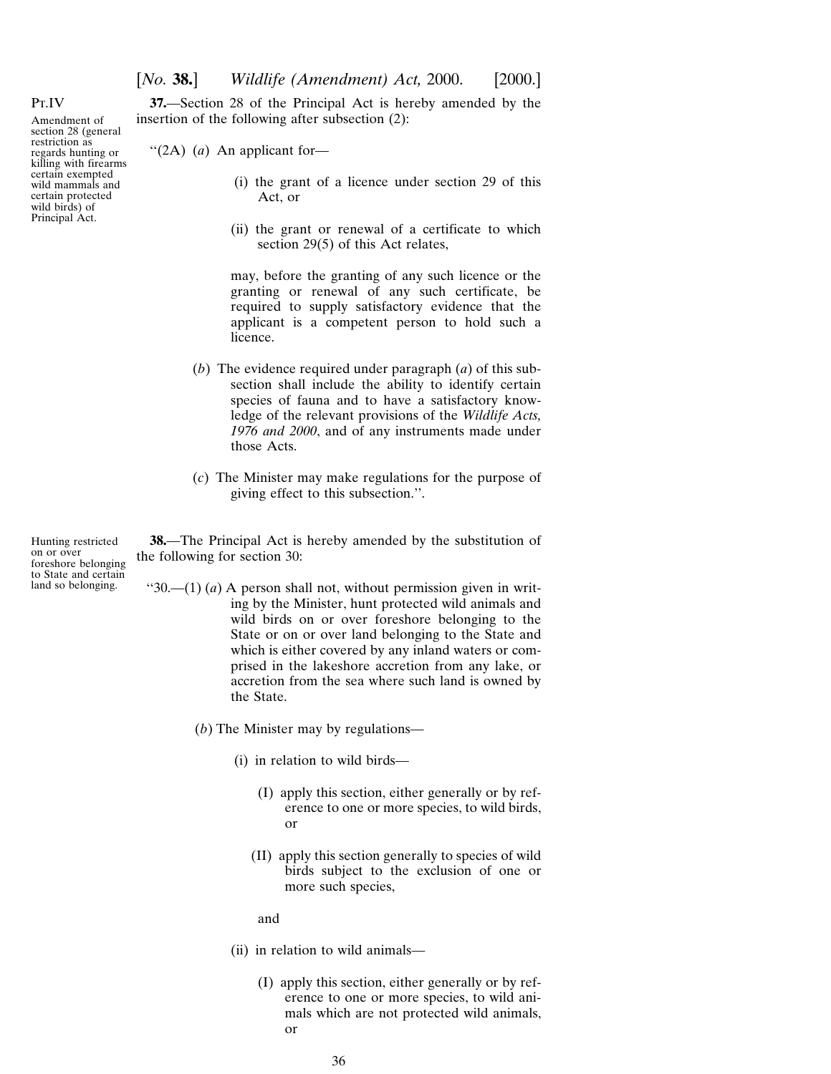**37.**—Section 28 of the Principal Act is hereby amended by the insertion of the following after subsection (2):

''(2A) (*a*) An applicant for—

- (i) the grant of a licence under section 29 of this Act, or
- (ii) the grant or renewal of a certificate to which section 29(5) of this Act relates,

may, before the granting of any such licence or the granting or renewal of any such certificate, be required to supply satisfactory evidence that the applicant is a competent person to hold such a licence.

- (*b*) The evidence required under paragraph (*a*) of this subsection shall include the ability to identify certain species of fauna and to have a satisfactory knowledge of the relevant provisions of the *Wildlife Acts, 1976 and 2000*, and of any instruments made under those Acts.
- (*c*) The Minister may make regulations for the purpose of giving effect to this subsection.''.

Hunting restricted on or over foreshore belonging to State and certain land so belonging.

**38.**—The Principal Act is hereby amended by the substitution of the following for section 30:

- " $30$ .—(1) (*a*) A person shall not, without permission given in writing by the Minister, hunt protected wild animals and wild birds on or over foreshore belonging to the State or on or over land belonging to the State and which is either covered by any inland waters or comprised in the lakeshore accretion from any lake, or accretion from the sea where such land is owned by the State.
	- (*b*) The Minister may by regulations—
		- (i) in relation to wild birds—
			- (I) apply this section, either generally or by reference to one or more species, to wild birds, or
			- (II) apply this section generally to species of wild birds subject to the exclusion of one or more such species,

and

- (ii) in relation to wild animals—
	- (I) apply this section, either generally or by reference to one or more species, to wild animals which are not protected wild animals, or

<span id="page-35-0"></span>Pt.IV

Amendment of section 28 (general restriction as regards hunting or killing with firearms certain exempted wild mammals and certain protected wild birds) of Principal Act.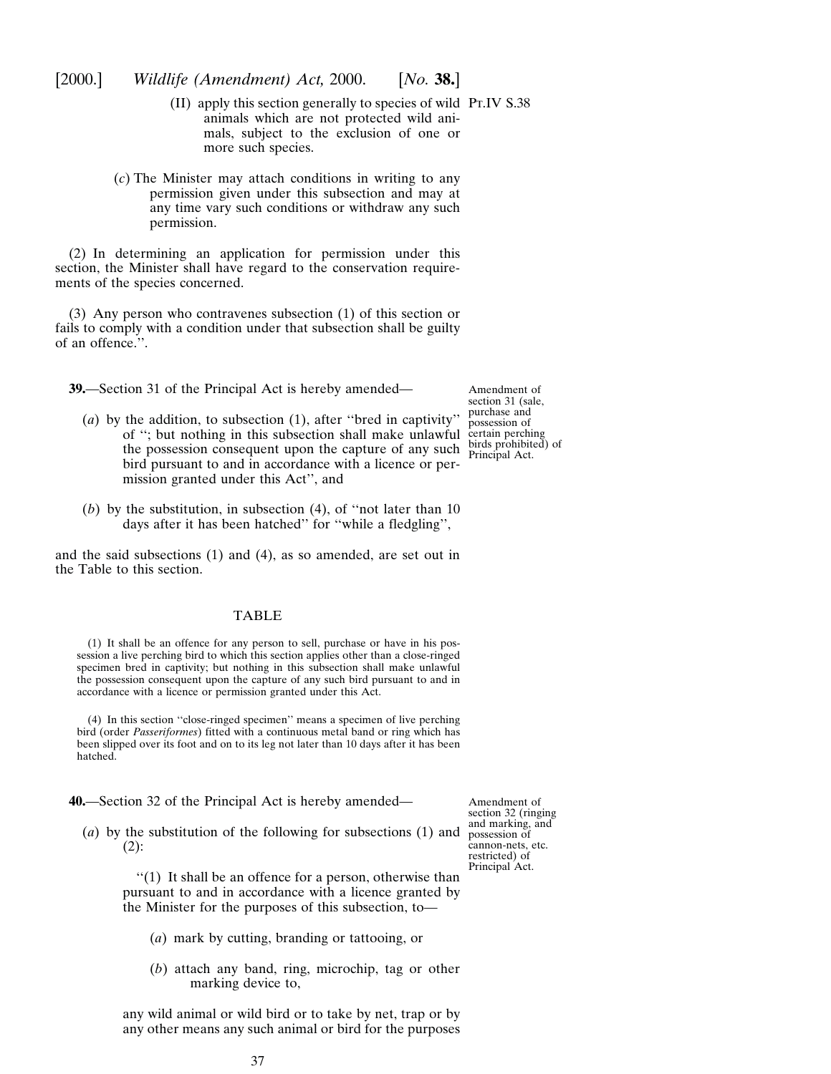- $(II)$  apply this section generally to species of wild PT.IV S.38 animals which are not protected wild animals, subject to the exclusion of one or more such species.
- (*c*) The Minister may attach conditions in writing to any permission given under this subsection and may at any time vary such conditions or withdraw any such permission.

(2) In determining an application for permission under this section, the Minister shall have regard to the conservation requirements of the species concerned.

(3) Any person who contravenes subsection (1) of this section or fails to comply with a condition under that subsection shall be guilty of an offence.''.

**39.**—Section 31 of the Principal Act is hereby amended—

Amendment of section 31 (sale, purchase and possession of certain perching birds prohibited) of Principal Act.

- (*a*) by the addition, to subsection (1), after ''bred in captivity'' of ''; but nothing in this subsection shall make unlawful the possession consequent upon the capture of any such bird pursuant to and in accordance with a licence or permission granted under this Act'', and
- (*b*) by the substitution, in subsection (4), of ''not later than 10 days after it has been hatched'' for ''while a fledgling'',

and the said subsections (1) and (4), as so amended, are set out in the Table to this section.

## TABLE

(1) It shall be an offence for any person to sell, purchase or have in his possession a live perching bird to which this section applies other than a close-ringed specimen bred in captivity; but nothing in this subsection shall make unlawful the possession consequent upon the capture of any such bird pursuant to and in accordance with a licence or permission granted under this Act.

(4) In this section ''close-ringed specimen'' means a specimen of live perching bird (order *Passeriformes*) fitted with a continuous metal band or ring which has been slipped over its foot and on to its leg not later than 10 days after it has been hatched.

- **40.**—Section 32 of the Principal Act is hereby amended—
	- (*a*) by the substitution of the following for subsections (1) and  $(2)$ :

Amendment of section 32 (ringing and marking, and possession of cannon-nets, etc. restricted) of Principal Act.

''(1) It shall be an offence for a person, otherwise than pursuant to and in accordance with a licence granted by the Minister for the purposes of this subsection, to—

- (*a*) mark by cutting, branding or tattooing, or
- (*b*) attach any band, ring, microchip, tag or other marking device to,

any wild animal or wild bird or to take by net, trap or by any other means any such animal or bird for the purposes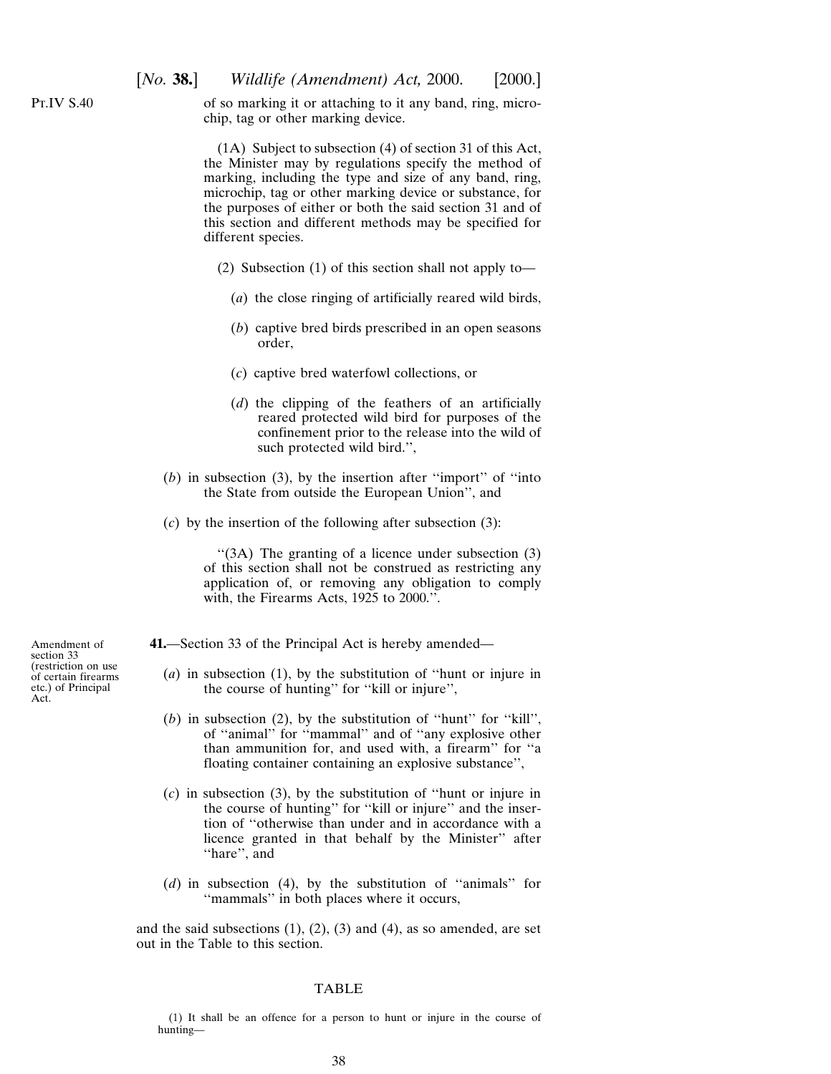Pt.IV S.40

of so marking it or attaching to it any band, ring, microchip, tag or other marking device.

(1A) Subject to subsection (4) of section 31 of this Act, the Minister may by regulations specify the method of marking, including the type and size of any band, ring, microchip, tag or other marking device or substance, for the purposes of either or both the said section 31 and of this section and different methods may be specified for different species.

- (2) Subsection (1) of this section shall not apply to—
	- (*a*) the close ringing of artificially reared wild birds,
	- (*b*) captive bred birds prescribed in an open seasons order,
	- (*c*) captive bred waterfowl collections, or
	- (*d*) the clipping of the feathers of an artificially reared protected wild bird for purposes of the confinement prior to the release into the wild of such protected wild bird.'',
- (*b*) in subsection (3), by the insertion after ''import'' of ''into the State from outside the European Union'', and
- (*c*) by the insertion of the following after subsection (3):

''(3A) The granting of a licence under subsection (3) of this section shall not be construed as restricting any application of, or removing any obligation to comply with, the Firearms Acts, 1925 to 2000.''.

- **41.**—Section 33 of the Principal Act is hereby amended—
	- (*a*) in subsection (1), by the substitution of ''hunt or injure in the course of hunting'' for ''kill or injure'',
	- (*b*) in subsection (2), by the substitution of ''hunt'' for ''kill'', of ''animal'' for ''mammal'' and of ''any explosive other than ammunition for, and used with, a firearm'' for ''a floating container containing an explosive substance'',
	- (*c*) in subsection (3), by the substitution of ''hunt or injure in the course of hunting'' for ''kill or injure'' and the insertion of ''otherwise than under and in accordance with a licence granted in that behalf by the Minister'' after ''hare'', and
	- (*d*) in subsection (4), by the substitution of ''animals'' for ''mammals'' in both places where it occurs,

and the said subsections  $(1)$ ,  $(2)$ ,  $(3)$  and  $(4)$ , as so amended, are set out in the Table to this section.

#### TABLE

(1) It shall be an offence for a person to hunt or injure in the course of hunting—

Amendment of section 33 (restriction on use of certain firearms etc.) of Principal Act.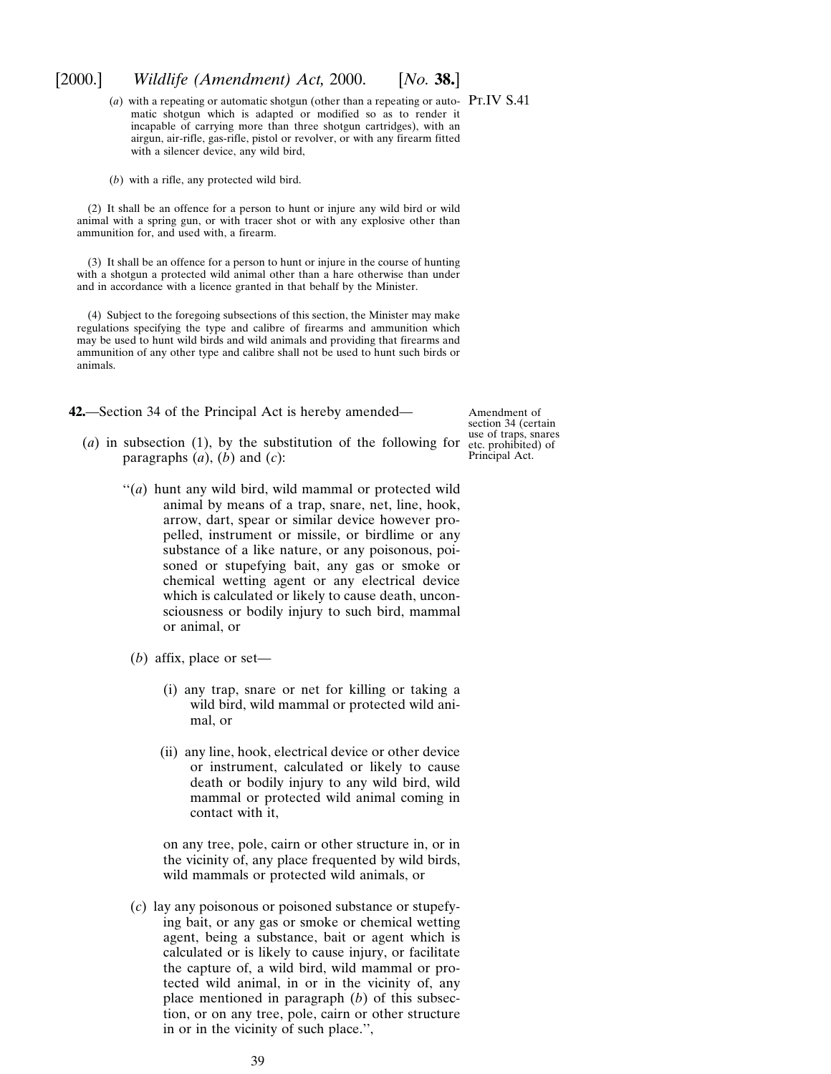$(a)$  with a repeating or automatic shotgun (other than a repeating or auto- PT.IV S.41) matic shotgun which is adapted or modified so as to render it incapable of carrying more than three shotgun cartridges), with an airgun, air-rifle, gas-rifle, pistol or revolver, or with any firearm fitted with a silencer device, any wild bird,

(*b*) with a rifle, any protected wild bird.

(2) It shall be an offence for a person to hunt or injure any wild bird or wild animal with a spring gun, or with tracer shot or with any explosive other than ammunition for, and used with, a firearm.

(3) It shall be an offence for a person to hunt or injure in the course of hunting with a shotgun a protected wild animal other than a hare otherwise than under and in accordance with a licence granted in that behalf by the Minister.

(4) Subject to the foregoing subsections of this section, the Minister may make regulations specifying the type and calibre of firearms and ammunition which may be used to hunt wild birds and wild animals and providing that firearms and ammunition of any other type and calibre shall not be used to hunt such birds or animals.

**42.**—Section 34 of the Principal Act is hereby amended—

Amendment of section 34 (certain use of traps, snares etc. prohibited) of Principal Act.

- (*a*) in subsection (1), by the substitution of the following for paragraphs  $(a)$ ,  $(b)$  and  $(c)$ :
	- ''(*a*) hunt any wild bird, wild mammal or protected wild animal by means of a trap, snare, net, line, hook, arrow, dart, spear or similar device however propelled, instrument or missile, or birdlime or any substance of a like nature, or any poisonous, poisoned or stupefying bait, any gas or smoke or chemical wetting agent or any electrical device which is calculated or likely to cause death, unconsciousness or bodily injury to such bird, mammal or animal, or
	- (*b*) affix, place or set—
		- (i) any trap, snare or net for killing or taking a wild bird, wild mammal or protected wild animal, or
		- (ii) any line, hook, electrical device or other device or instrument, calculated or likely to cause death or bodily injury to any wild bird, wild mammal or protected wild animal coming in contact with it,
		- on any tree, pole, cairn or other structure in, or in the vicinity of, any place frequented by wild birds, wild mammals or protected wild animals, or
	- (*c*) lay any poisonous or poisoned substance or stupefying bait, or any gas or smoke or chemical wetting agent, being a substance, bait or agent which is calculated or is likely to cause injury, or facilitate the capture of, a wild bird, wild mammal or protected wild animal, in or in the vicinity of, any place mentioned in paragraph (*b*) of this subsection, or on any tree, pole, cairn or other structure in or in the vicinity of such place.'',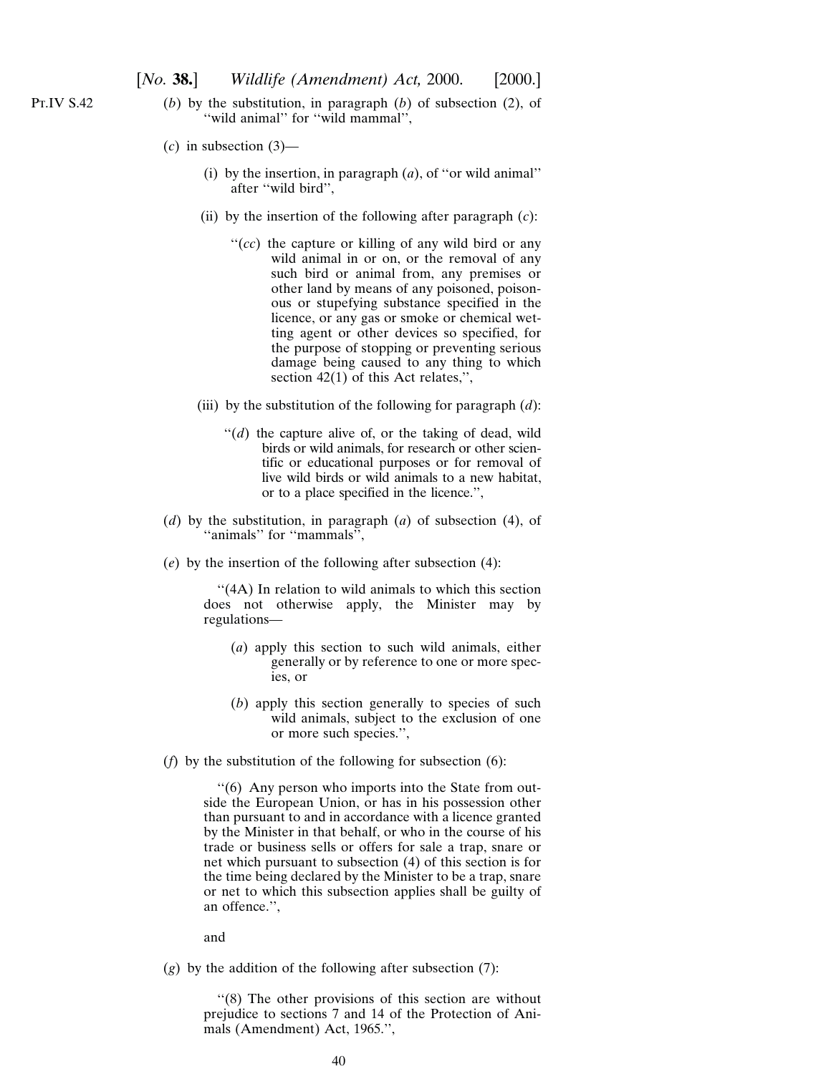- (*b*) by the substitution, in paragraph (*b*) of subsection (2), of "wild animal" for "wild mammal",
	- (*c*) in subsection (3)—
		- (i) by the insertion, in paragraph (*a*), of ''or wild animal'' after ''wild bird'',
		- (ii) by the insertion of the following after paragraph (*c*):
			- "(*cc*) the capture or killing of any wild bird or any wild animal in or on, or the removal of any such bird or animal from, any premises or other land by means of any poisoned, poisonous or stupefying substance specified in the licence, or any gas or smoke or chemical wetting agent or other devices so specified, for the purpose of stopping or preventing serious damage being caused to any thing to which section 42(1) of this Act relates,",
		- (iii) by the substitution of the following for paragraph (*d*):
			- $''(d)$  the capture alive of, or the taking of dead, wild birds or wild animals, for research or other scientific or educational purposes or for removal of live wild birds or wild animals to a new habitat, or to a place specified in the licence.'',
	- (*d*) by the substitution, in paragraph (*a*) of subsection (4), of ''animals'' for ''mammals'',
	- (*e*) by the insertion of the following after subsection (4):

"(4A) In relation to wild animals to which this section does not otherwise apply, the Minister may by regulations—

- (*a*) apply this section to such wild animals, either generally or by reference to one or more species, or
- (*b*) apply this section generally to species of such wild animals, subject to the exclusion of one or more such species.'',
- (*f*) by the substitution of the following for subsection (6):

''(6) Any person who imports into the State from outside the European Union, or has in his possession other than pursuant to and in accordance with a licence granted by the Minister in that behalf, or who in the course of his trade or business sells or offers for sale a trap, snare or net which pursuant to subsection (4) of this section is for the time being declared by the Minister to be a trap, snare or net to which this subsection applies shall be guilty of an offence.'',

and

(*g*) by the addition of the following after subsection (7):

''(8) The other provisions of this section are without prejudice to sections 7 and 14 of the Protection of Animals (Amendment) Act, 1965.'',

Pt.IV S.42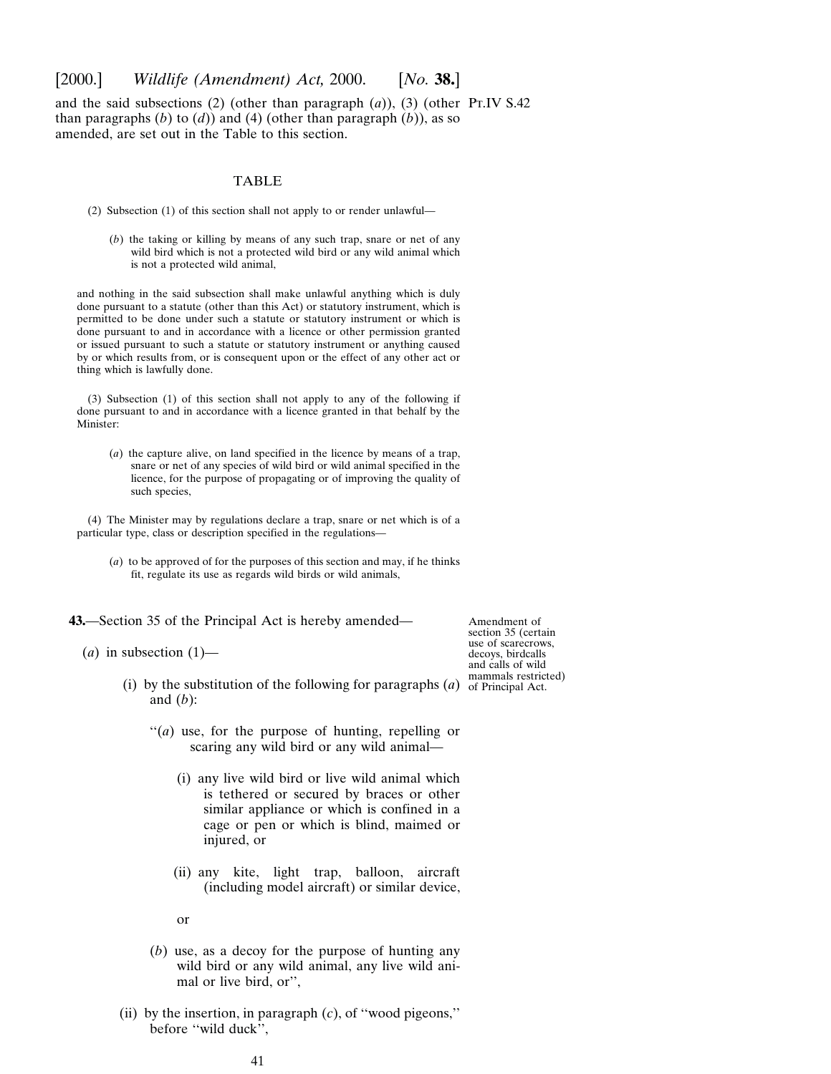and the said subsections  $(2)$  (other than paragraph  $(a)$ ),  $(3)$  (other Pr.IV S.42) than paragraphs  $(b)$  to  $(d)$ ) and  $(4)$  (other than paragraph  $(b)$ ), as so amended, are set out in the Table to this section.

## TABLE

- (2) Subsection (1) of this section shall not apply to or render unlawful—
	- (*b*) the taking or killing by means of any such trap, snare or net of any wild bird which is not a protected wild bird or any wild animal which is not a protected wild animal,

and nothing in the said subsection shall make unlawful anything which is duly done pursuant to a statute (other than this Act) or statutory instrument, which is permitted to be done under such a statute or statutory instrument or which is done pursuant to and in accordance with a licence or other permission granted or issued pursuant to such a statute or statutory instrument or anything caused by or which results from, or is consequent upon or the effect of any other act or thing which is lawfully done.

(3) Subsection (1) of this section shall not apply to any of the following if done pursuant to and in accordance with a licence granted in that behalf by the Minister:

(*a*) the capture alive, on land specified in the licence by means of a trap, snare or net of any species of wild bird or wild animal specified in the licence, for the purpose of propagating or of improving the quality of such species,

(4) The Minister may by regulations declare a trap, snare or net which is of a particular type, class or description specified in the regulations—

(*a*) to be approved of for the purposes of this section and may, if he thinks fit, regulate its use as regards wild birds or wild animals,

**43.**—Section 35 of the Principal Act is hereby amended—

 $(a)$  in subsection  $(1)$ —

Amendment of section 35 (certain use of scarecrows, decoys, birdcalls and calls of wild mammals restricted)

- (i) by the substitution of the following for paragraphs  $(a)$  of Principal Act. and (*b*):
	- "(*a*) use, for the purpose of hunting, repelling or scaring any wild bird or any wild animal—
		- (i) any live wild bird or live wild animal which is tethered or secured by braces or other similar appliance or which is confined in a cage or pen or which is blind, maimed or injured, or
		- (ii) any kite, light trap, balloon, aircraft (including model aircraft) or similar device,

or

- (*b*) use, as a decoy for the purpose of hunting any wild bird or any wild animal, any live wild animal or live bird, or'',
- (ii) by the insertion, in paragraph (*c*), of ''wood pigeons,'' before ''wild duck'',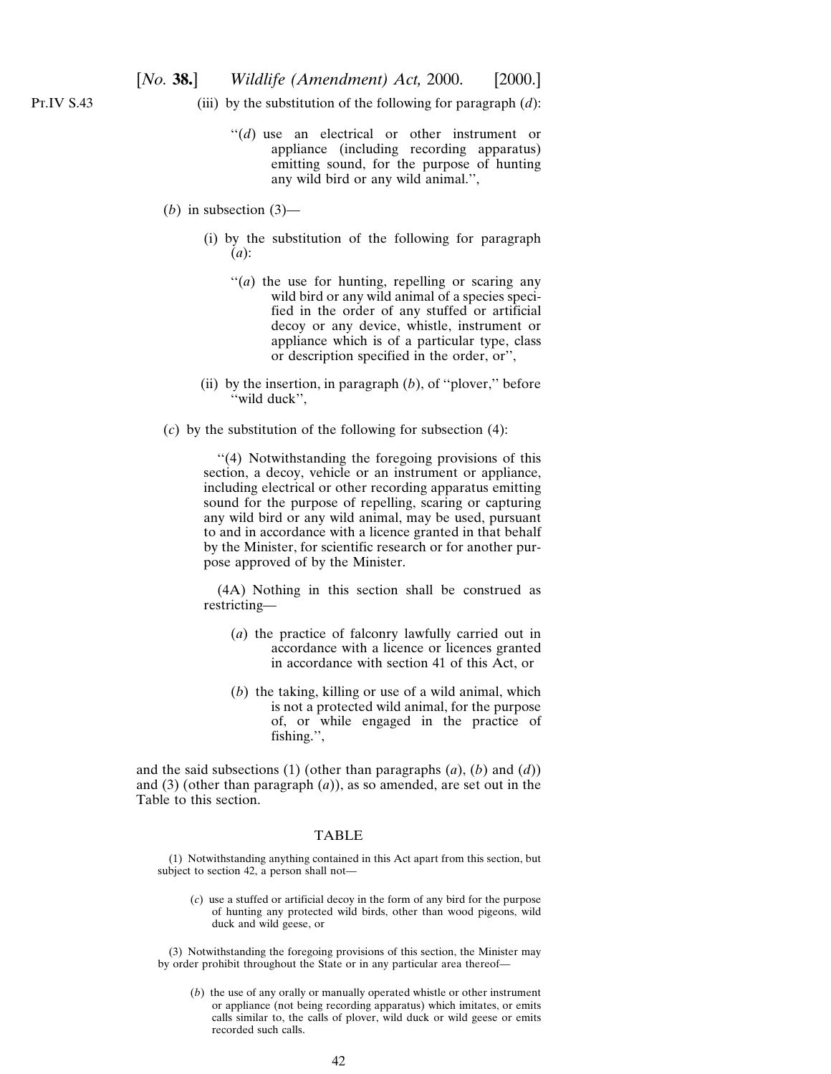P<sub>T.IV</sub> S<sub>.43</sub>

- (iii) by the substitution of the following for paragraph (*d*):
	- "(*d*) use an electrical or other instrument or appliance (including recording apparatus) emitting sound, for the purpose of hunting any wild bird or any wild animal.'',
- $(b)$  in subsection  $(3)$ 
	- (i) by the substitution of the following for paragraph (*a*):
		- "(*a*) the use for hunting, repelling or scaring any wild bird or any wild animal of a species specified in the order of any stuffed or artificial decoy or any device, whistle, instrument or appliance which is of a particular type, class or description specified in the order, or'',
	- (ii) by the insertion, in paragraph (*b*), of ''plover,'' before ''wild duck'',
- (*c*) by the substitution of the following for subsection (4):

''(4) Notwithstanding the foregoing provisions of this section, a decoy, vehicle or an instrument or appliance, including electrical or other recording apparatus emitting sound for the purpose of repelling, scaring or capturing any wild bird or any wild animal, may be used, pursuant to and in accordance with a licence granted in that behalf by the Minister, for scientific research or for another purpose approved of by the Minister.

(4A) Nothing in this section shall be construed as restricting—

- (*a*) the practice of falconry lawfully carried out in accordance with a licence or licences granted in accordance with section 41 of this Act, or
- (*b*) the taking, killing or use of a wild animal, which is not a protected wild animal, for the purpose of, or while engaged in the practice of fishing.'',

and the said subsections (1) (other than paragraphs (*a*), (*b*) and (*d*)) and (3) (other than paragraph (*a*)), as so amended, are set out in the Table to this section.

# TABLE

(1) Notwithstanding anything contained in this Act apart from this section, but subject to section 42, a person shall not—

(*c*) use a stuffed or artificial decoy in the form of any bird for the purpose of hunting any protected wild birds, other than wood pigeons, wild duck and wild geese, or

(3) Notwithstanding the foregoing provisions of this section, the Minister may by order prohibit throughout the State or in any particular area thereof—

(*b*) the use of any orally or manually operated whistle or other instrument or appliance (not being recording apparatus) which imitates, or emits calls similar to, the calls of plover, wild duck or wild geese or emits recorded such calls.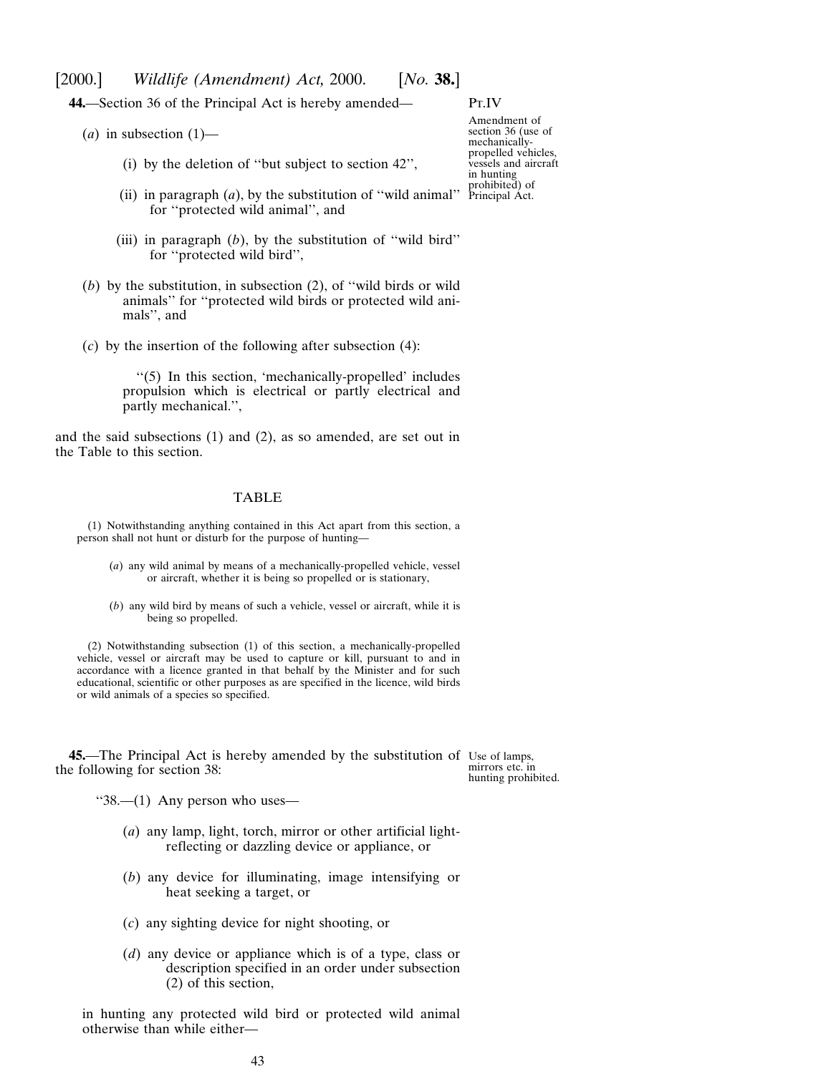**44.**—Section 36 of the Principal Act is hereby amended—

- $(a)$  in subsection  $(1)$ 
	- (i) by the deletion of ''but subject to section 42'',
	- (ii) in paragraph  $(a)$ , by the substitution of "wild animal" prohibited) of for ''protected wild animal'', and
	- (iii) in paragraph (*b*), by the substitution of ''wild bird'' for ''protected wild bird'',
- (*b*) by the substitution, in subsection (2), of ''wild birds or wild animals'' for ''protected wild birds or protected wild animals'', and
- (*c*) by the insertion of the following after subsection (4):

''(5) In this section, 'mechanically-propelled' includes propulsion which is electrical or partly electrical and partly mechanical.'',

and the said subsections (1) and (2), as so amended, are set out in the Table to this section.

#### TABLE

(1) Notwithstanding anything contained in this Act apart from this section, a person shall not hunt or disturb for the purpose of hunting—

- (*a*) any wild animal by means of a mechanically-propelled vehicle, vessel or aircraft, whether it is being so propelled or is stationary,
- (*b*) any wild bird by means of such a vehicle, vessel or aircraft, while it is being so propelled.

(2) Notwithstanding subsection (1) of this section, a mechanically-propelled vehicle, vessel or aircraft may be used to capture or kill, pursuant to and in accordance with a licence granted in that behalf by the Minister and for such educational, scientific or other purposes as are specified in the licence, wild birds or wild animals of a species so specified.

**45.**—The Principal Act is hereby amended by the substitution of Use of lamps, the following for section 38:

mirrors etc. in hunting prohibited.

''38.—(1) Any person who uses—

- (*a*) any lamp, light, torch, mirror or other artificial lightreflecting or dazzling device or appliance, or
- (*b*) any device for illuminating, image intensifying or heat seeking a target, or
- (*c*) any sighting device for night shooting, or
- (*d*) any device or appliance which is of a type, class or description specified in an order under subsection (2) of this section,

in hunting any protected wild bird or protected wild animal otherwise than while either—

Amendment of section 36 (use of mechanicallypropelled vehicles, vessels and aircraft in hunting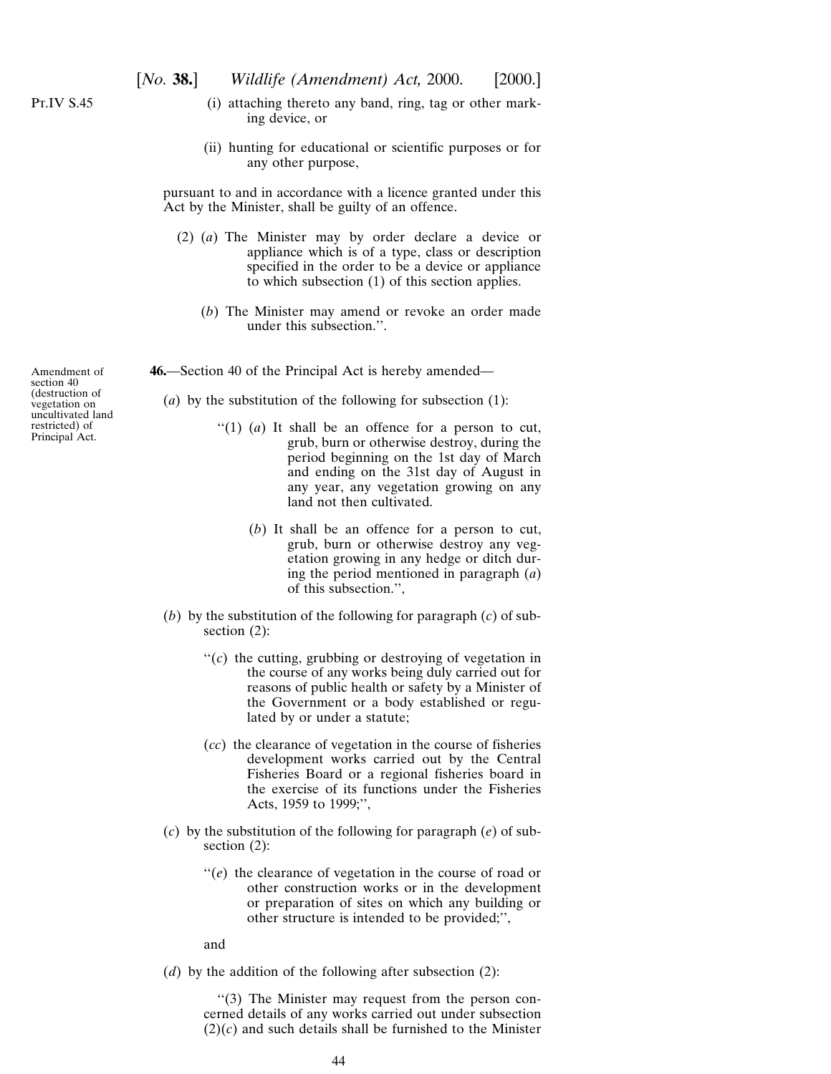P<sub>T.IV</sub> S<sub>.45</sub>

- (i) attaching thereto any band, ring, tag or other marking device, or
- (ii) hunting for educational or scientific purposes or for any other purpose,

pursuant to and in accordance with a licence granted under this Act by the Minister, shall be guilty of an offence.

- (2) (*a*) The Minister may by order declare a device or appliance which is of a type, class or description specified in the order to be a device or appliance to which subsection (1) of this section applies.
	- (*b*) The Minister may amend or revoke an order made under this subsection.''.

**46.**—Section 40 of the Principal Act is hereby amended—

(*a*) by the substitution of the following for subsection (1):

- ''(1) (*a*) It shall be an offence for a person to cut, grub, burn or otherwise destroy, during the period beginning on the 1st day of March and ending on the 31st day of August in any year, any vegetation growing on any land not then cultivated.
	- (*b*) It shall be an offence for a person to cut, grub, burn or otherwise destroy any vegetation growing in any hedge or ditch during the period mentioned in paragraph (*a*) of this subsection.'',
- (*b*) by the substitution of the following for paragraph (*c*) of subsection (2):
	- ''(*c*) the cutting, grubbing or destroying of vegetation in the course of any works being duly carried out for reasons of public health or safety by a Minister of the Government or a body established or regulated by or under a statute;
	- (*cc*) the clearance of vegetation in the course of fisheries development works carried out by the Central Fisheries Board or a regional fisheries board in the exercise of its functions under the Fisheries Acts, 1959 to 1999;'',
- (*c*) by the substitution of the following for paragraph (*e*) of subsection  $(2)$ :
	- ''(*e*) the clearance of vegetation in the course of road or other construction works or in the development or preparation of sites on which any building or other structure is intended to be provided;'',

and

(*d*) by the addition of the following after subsection (2):

''(3) The Minister may request from the person concerned details of any works carried out under subsection  $(2)(c)$  and such details shall be furnished to the Minister

Amendment of section 40 (destruction of vegetation on uncultivated land restricted) of Principal Act.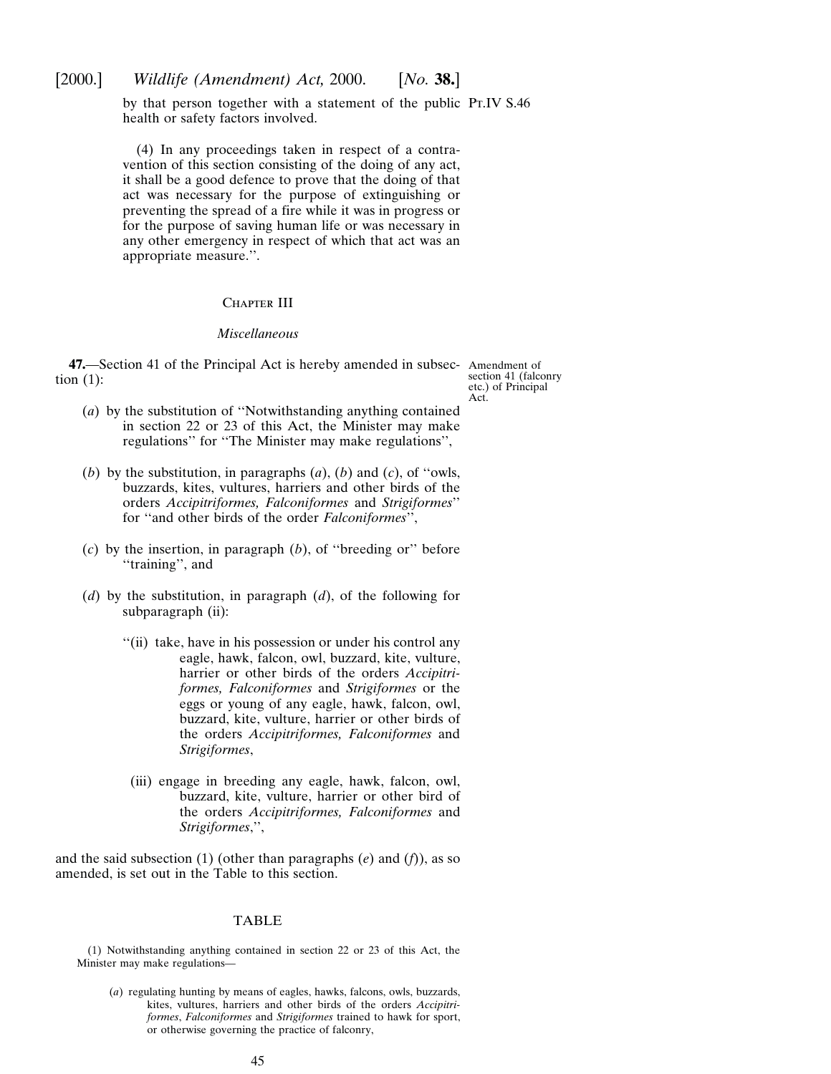by that person together with a statement of the public Pr.IV S.46 health or safety factors involved.

(4) In any proceedings taken in respect of a contravention of this section consisting of the doing of any act, it shall be a good defence to prove that the doing of that act was necessary for the purpose of extinguishing or preventing the spread of a fire while it was in progress or for the purpose of saving human life or was necessary in any other emergency in respect of which that act was an appropriate measure.''.

#### CHAPTER III

## *Miscellaneous*

**47.**—Section 41 of the Principal Act is hereby amended in subsec-Amendment of tion (1):

section 41 (falconry etc.) of Principal Act.

- (*a*) by the substitution of ''Notwithstanding anything contained in section 22 or 23 of this Act, the Minister may make regulations'' for ''The Minister may make regulations'',
- (*b*) by the substitution, in paragraphs (*a*), (*b*) and (*c*), of ''owls, buzzards, kites, vultures, harriers and other birds of the orders *Accipitriformes, Falconiformes* and *Strigiformes*'' for ''and other birds of the order *Falconiformes*'',
- (*c*) by the insertion, in paragraph (*b*), of ''breeding or'' before "training", and
- (*d*) by the substitution, in paragraph (*d*), of the following for subparagraph (ii):
	- ''(ii) take, have in his possession or under his control any eagle, hawk, falcon, owl, buzzard, kite, vulture, harrier or other birds of the orders *Accipitriformes, Falconiformes* and *Strigiformes* or the eggs or young of any eagle, hawk, falcon, owl, buzzard, kite, vulture, harrier or other birds of the orders *Accipitriformes, Falconiformes* and *Strigiformes*,
	- (iii) engage in breeding any eagle, hawk, falcon, owl, buzzard, kite, vulture, harrier or other bird of the orders *Accipitriformes, Falconiformes* and *Strigiformes*,'',

and the said subsection (1) (other than paragraphs (*e*) and (*f*)), as so amended, is set out in the Table to this section.

## TABLE

(1) Notwithstanding anything contained in section 22 or 23 of this Act, the Minister may make regulations—

(*a*) regulating hunting by means of eagles, hawks, falcons, owls, buzzards, kites, vultures, harriers and other birds of the orders *Accipitriformes*, *Falconiformes* and *Strigiformes* trained to hawk for sport, or otherwise governing the practice of falconry,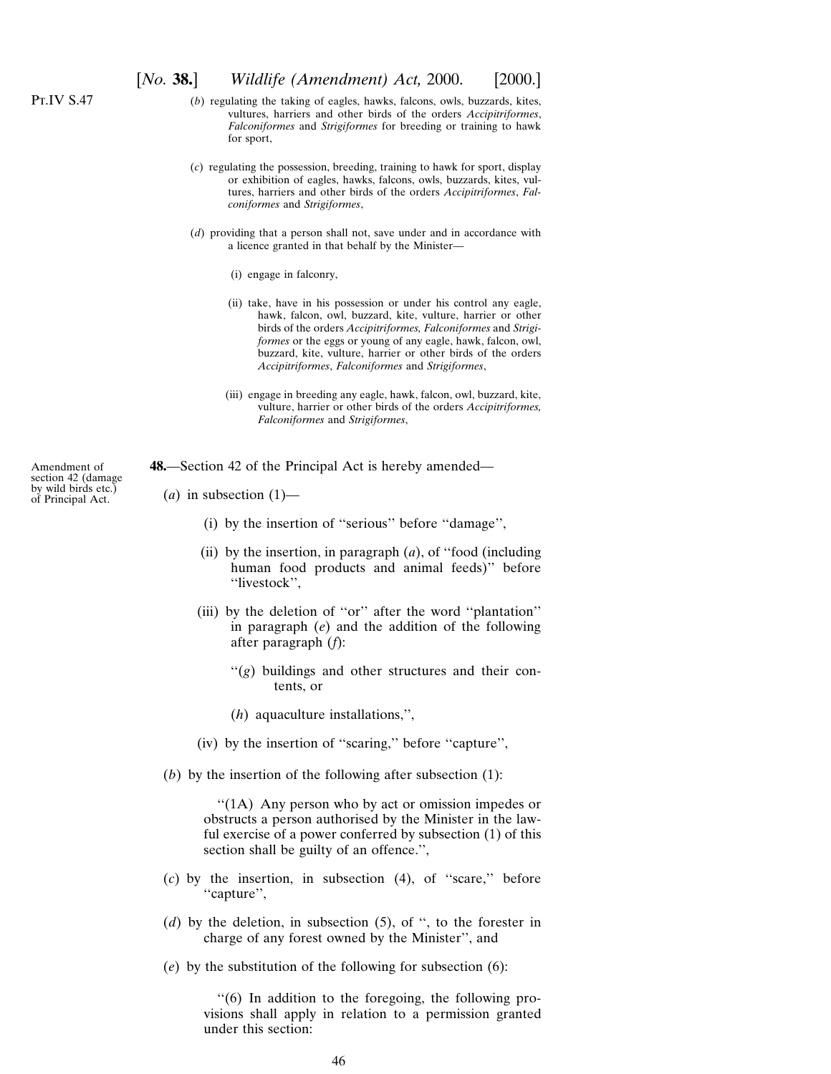- (*b*) regulating the taking of eagles, hawks, falcons, owls, buzzards, kites, vultures, harriers and other birds of the orders *Accipitriformes*, *Falconiformes* and *Strigiformes* for breeding or training to hawk for sport,
- (*c*) regulating the possession, breeding, training to hawk for sport, display or exhibition of eagles, hawks, falcons, owls, buzzards, kites, vultures, harriers and other birds of the orders *Accipitriformes*, *Falconiformes* and *Strigiformes*,
- (*d*) providing that a person shall not, save under and in accordance with a licence granted in that behalf by the Minister—
	- (i) engage in falconry,
	- (ii) take, have in his possession or under his control any eagle, hawk, falcon, owl, buzzard, kite, vulture, harrier or other birds of the orders *Accipitriformes, Falconiformes* and *Strigiformes* or the eggs or young of any eagle, hawk, falcon, owl, buzzard, kite, vulture, harrier or other birds of the orders *Accipitriformes*, *Falconiformes* and *Strigiformes*,
	- (iii) engage in breeding any eagle, hawk, falcon, owl, buzzard, kite, vulture, harrier or other birds of the orders *Accipitriformes, Falconiformes* and *Strigiformes*,

**48.**—Section 42 of the Principal Act is hereby amended—

- $(a)$  in subsection  $(1)$ 
	- (i) by the insertion of ''serious'' before ''damage'',
	- (ii) by the insertion, in paragraph (*a*), of ''food (including human food products and animal feeds)'' before ''livestock'',
	- (iii) by the deletion of ''or'' after the word ''plantation'' in paragraph (*e*) and the addition of the following after paragraph (*f*):
		- ''(*g*) buildings and other structures and their contents, or
		- (*h*) aquaculture installations,'',
	- (iv) by the insertion of ''scaring,'' before ''capture'',
- (*b*) by the insertion of the following after subsection (1):

''(1A) Any person who by act or omission impedes or obstructs a person authorised by the Minister in the lawful exercise of a power conferred by subsection (1) of this section shall be guilty of an offence.'',

- (*c*) by the insertion, in subsection (4), of ''scare,'' before ''capture'',
- (*d*) by the deletion, in subsection (5), of '', to the forester in charge of any forest owned by the Minister'', and
- (*e*) by the substitution of the following for subsection (6):

''(6) In addition to the foregoing, the following provisions shall apply in relation to a permission granted under this section:

Amendment of section 42 (damage by wild birds etc.) of Principal Act.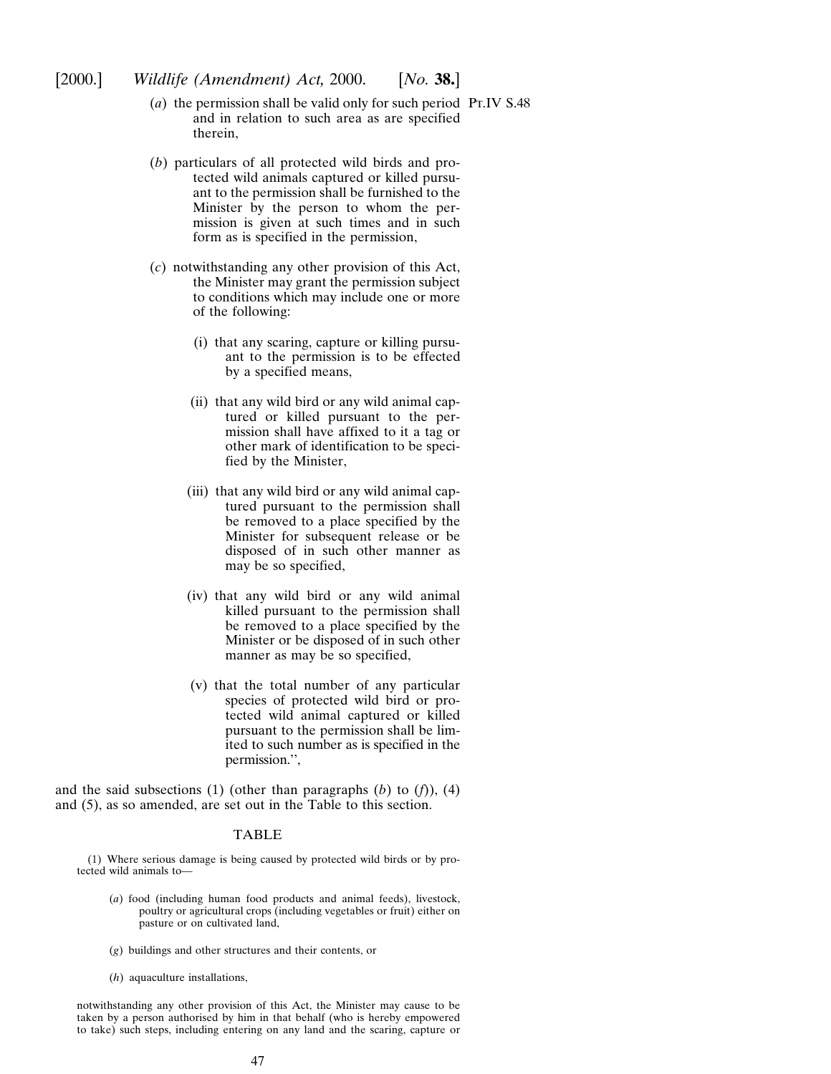- [2000.] *Wildlife (Amendment) Act,* 2000. [*No.* **38.**]
	- (*a*) the permission shall be valid only for such period Pt.IV S.48and in relation to such area as are specified therein,
	- (*b*) particulars of all protected wild birds and protected wild animals captured or killed pursuant to the permission shall be furnished to the Minister by the person to whom the permission is given at such times and in such form as is specified in the permission,
	- (*c*) notwithstanding any other provision of this Act, the Minister may grant the permission subject to conditions which may include one or more of the following:
		- (i) that any scaring, capture or killing pursuant to the permission is to be effected by a specified means,
		- (ii) that any wild bird or any wild animal captured or killed pursuant to the permission shall have affixed to it a tag or other mark of identification to be specified by the Minister,
		- (iii) that any wild bird or any wild animal captured pursuant to the permission shall be removed to a place specified by the Minister for subsequent release or be disposed of in such other manner as may be so specified,
		- (iv) that any wild bird or any wild animal killed pursuant to the permission shall be removed to a place specified by the Minister or be disposed of in such other manner as may be so specified,
		- (v) that the total number of any particular species of protected wild bird or protected wild animal captured or killed pursuant to the permission shall be limited to such number as is specified in the permission.'',

and the said subsections (1) (other than paragraphs (*b*) to (*f*)), (4) and (5), as so amended, are set out in the Table to this section.

## TABLE

(1) Where serious damage is being caused by protected wild birds or by protected wild animals to—

- (*a*) food (including human food products and animal feeds), livestock, poultry or agricultural crops (including vegetables or fruit) either on pasture or on cultivated land,
- (*g*) buildings and other structures and their contents, or
- (*h*) aquaculture installations,

notwithstanding any other provision of this Act, the Minister may cause to be taken by a person authorised by him in that behalf (who is hereby empowered to take) such steps, including entering on any land and the scaring, capture or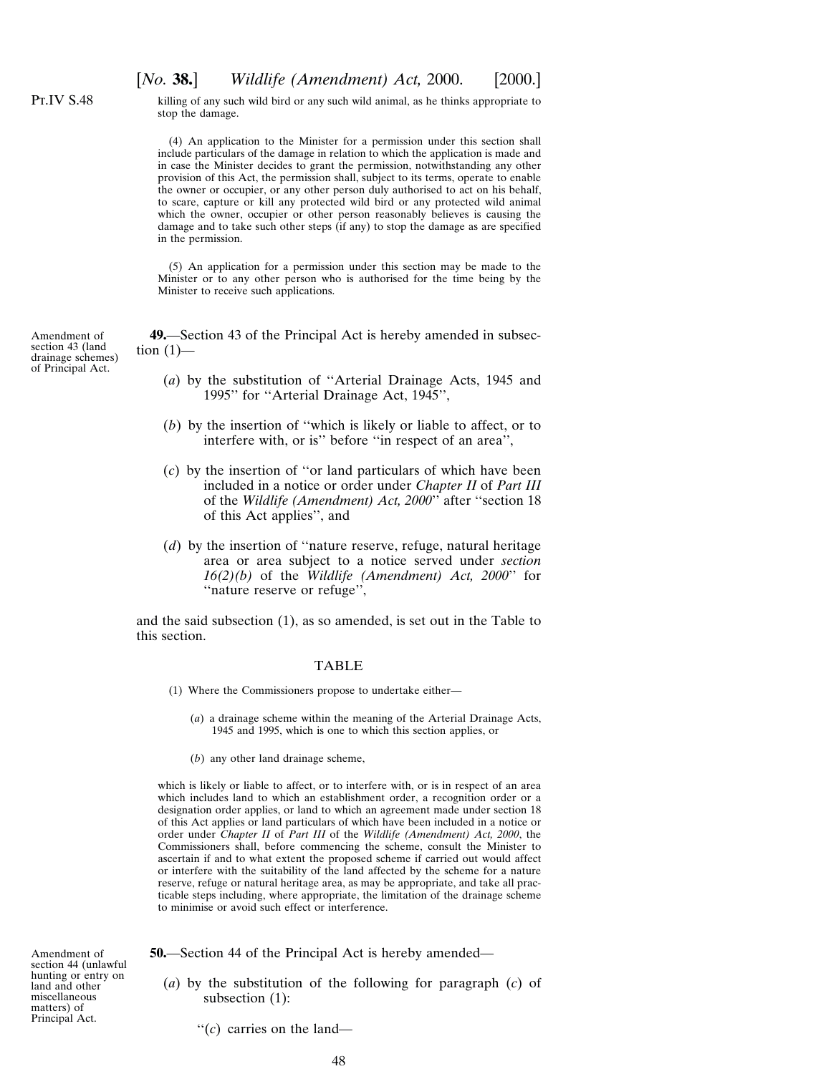Pt.IV S.48

Amendment of section 43 (land

of Principal Act.

[*No.* **38.**] *Wildlife (Amendment) Act,* 2000. [2000.]

killing of any such wild bird or any such wild animal, as he thinks appropriate to stop the damage.

(4) An application to the Minister for a permission under this section shall include particulars of the damage in relation to which the application is made and in case the Minister decides to grant the permission, notwithstanding any other provision of this Act, the permission shall, subject to its terms, operate to enable the owner or occupier, or any other person duly authorised to act on his behalf, to scare, capture or kill any protected wild bird or any protected wild animal which the owner, occupier or other person reasonably believes is causing the damage and to take such other steps (if any) to stop the damage as are specified in the permission.

(5) An application for a permission under this section may be made to the Minister or to any other person who is authorised for the time being by the Minister to receive such applications.

drainage schemes) **49.**—Section 43 of the Principal Act is hereby amended in subsection  $(1)$ —

- (*a*) by the substitution of ''Arterial Drainage Acts, 1945 and 1995'' for ''Arterial Drainage Act, 1945'',
- (*b*) by the insertion of ''which is likely or liable to affect, or to interfere with, or is'' before ''in respect of an area'',
- (*c*) by the insertion of ''or land particulars of which have been included in a notice or order under *Chapter II* of *Part III* of the *Wildlife (Amendment) Act, 2000*'' after ''section 18 of this Act applies'', and
- (*d*) by the insertion of ''nature reserve, refuge, natural heritage area or area subject to a notice served under *section 16(2)(b)* of the *Wildlife (Amendment) Act, 2000*'' for ''nature reserve or refuge'',

and the said subsection (1), as so amended, is set out in the Table to this section.

#### TABLE

- (1) Where the Commissioners propose to undertake either—
	- (*a*) a drainage scheme within the meaning of the Arterial Drainage Acts, 1945 and 1995, which is one to which this section applies, or
	- (*b*) any other land drainage scheme,

which is likely or liable to affect, or to interfere with, or is in respect of an area which includes land to which an establishment order, a recognition order or a designation order applies, or land to which an agreement made under section 18 of this Act applies or land particulars of which have been included in a notice or order under *Chapter II* of *Part III* of the *Wildlife (Amendment) Act, 2000*, the Commissioners shall, before commencing the scheme, consult the Minister to ascertain if and to what extent the proposed scheme if carried out would affect or interfere with the suitability of the land affected by the scheme for a nature reserve, refuge or natural heritage area, as may be appropriate, and take all practicable steps including, where appropriate, the limitation of the drainage scheme to minimise or avoid such effect or interference.

Amendment of section 44 (unlawful hunting or entry on land and other miscellaneous matters) of Principal Act.

**50.**—Section 44 of the Principal Act is hereby amended—

(*a*) by the substitution of the following for paragraph (*c*) of subsection (1):

''(*c*) carries on the land—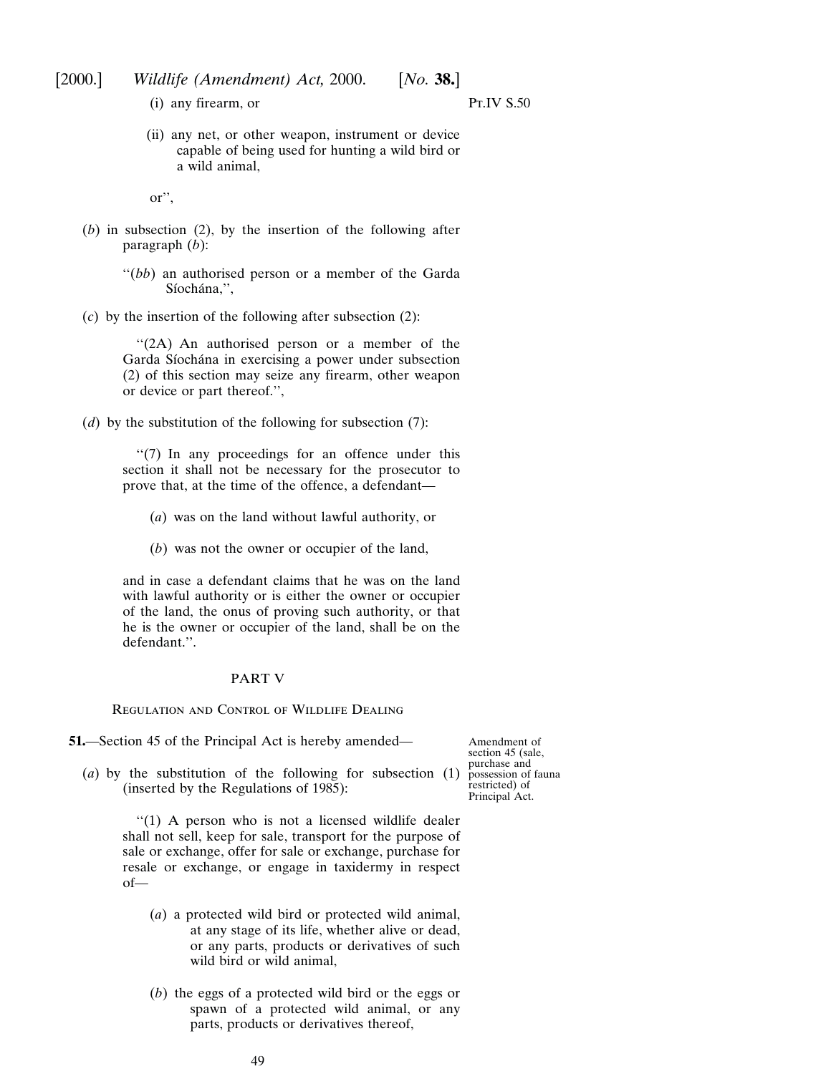(i) any firearm, or

Pt.IV S.50

(ii) any net, or other weapon, instrument or device capable of being used for hunting a wild bird or a wild animal,

or'',

- (*b*) in subsection (2), by the insertion of the following after paragraph (*b*):
	- "(*bb*) an authorised person or a member of the Garda Síochána,",
- (*c*) by the insertion of the following after subsection (2):

"(2A) An authorised person or a member of the Garda Síochána in exercising a power under subsection (2) of this section may seize any firearm, other weapon or device or part thereof.'',

(*d*) by the substitution of the following for subsection (7):

''(7) In any proceedings for an offence under this section it shall not be necessary for the prosecutor to prove that, at the time of the offence, a defendant—

- (*a*) was on the land without lawful authority, or
- (*b*) was not the owner or occupier of the land,

and in case a defendant claims that he was on the land with lawful authority or is either the owner or occupier of the land, the onus of proving such authority, or that he is the owner or occupier of the land, shall be on the defendant.''.

# PART V

Regulation and Control of Wildlife Dealing

**51.**—Section 45 of the Principal Act is hereby amended—

Amendment of section 45 (sale, purchase and possession of fauna restricted) of Principal Act.

(*a*) by the substitution of the following for subsection (1) (inserted by the Regulations of 1985):

> "(1) A person who is not a licensed wildlife dealer shall not sell, keep for sale, transport for the purpose of sale or exchange, offer for sale or exchange, purchase for resale or exchange, or engage in taxidermy in respect of—

- (*a*) a protected wild bird or protected wild animal, at any stage of its life, whether alive or dead, or any parts, products or derivatives of such wild bird or wild animal,
- (*b*) the eggs of a protected wild bird or the eggs or spawn of a protected wild animal, or any parts, products or derivatives thereof,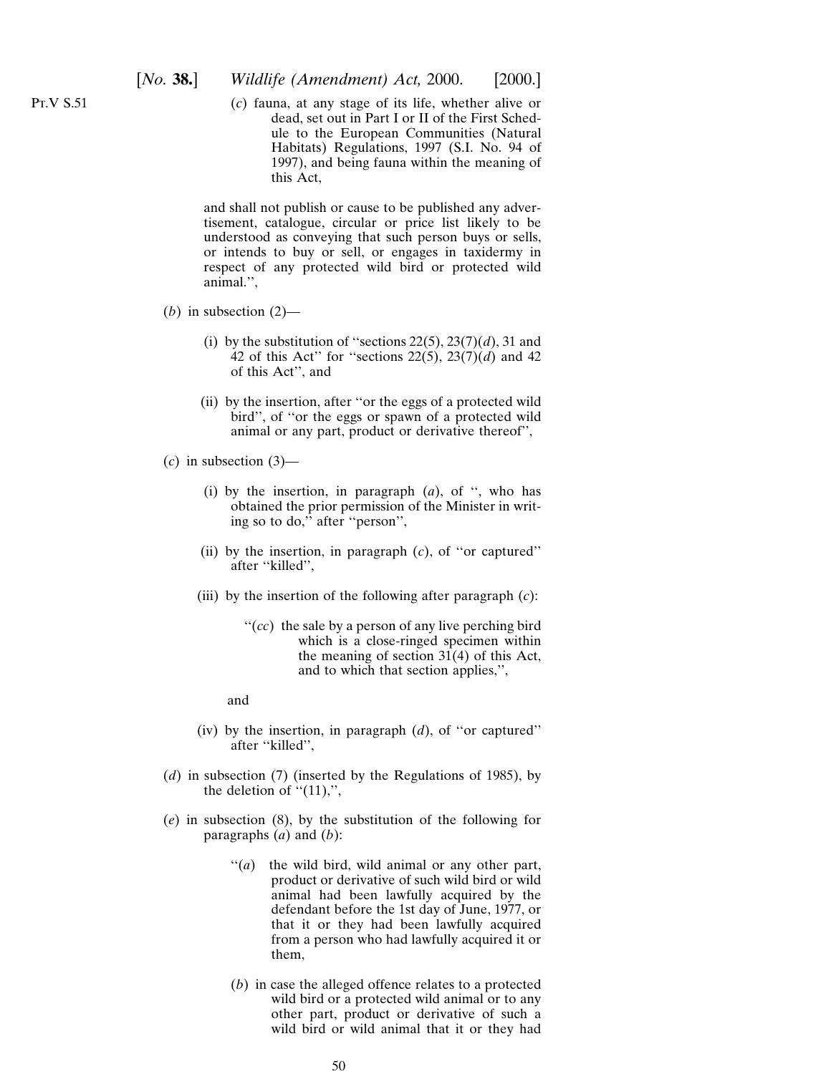(*c*) fauna, at any stage of its life, whether alive or dead, set out in Part I or II of the First Schedule to the European Communities (Natural Habitats) Regulations, 1997 (S.I. No. 94 of 1997), and being fauna within the meaning of this Act,

and shall not publish or cause to be published any advertisement, catalogue, circular or price list likely to be understood as conveying that such person buys or sells, or intends to buy or sell, or engages in taxidermy in respect of any protected wild bird or protected wild animal.'',

- (*b*) in subsection  $(2)$ 
	- (i) by the substitution of "sections  $22(5)$ ,  $23(7)(d)$ , 31 and 42 of this Act" for "sections  $22(5)$ ,  $23(7)(d)$  and 42 of this Act'', and
	- (ii) by the insertion, after ''or the eggs of a protected wild bird'', of ''or the eggs or spawn of a protected wild animal or any part, product or derivative thereof'',
- (*c*) in subsection (3)—
	- (i) by the insertion, in paragraph (*a*), of '', who has obtained the prior permission of the Minister in writing so to do,'' after ''person'',
	- (ii) by the insertion, in paragraph (*c*), of ''or captured'' after ''killed'',
	- (iii) by the insertion of the following after paragraph (*c*):
		- "(*cc*) the sale by a person of any live perching bird which is a close-ringed specimen within the meaning of section 31(4) of this Act, and to which that section applies,'',
		- and
	- (iv) by the insertion, in paragraph (*d*), of ''or captured'' after "killed",
- (*d*) in subsection (7) (inserted by the Regulations of 1985), by the deletion of " $(11)$ ,",
- (*e*) in subsection (8), by the substitution of the following for paragraphs (*a*) and (*b*):
	- ''(*a*) the wild bird, wild animal or any other part, product or derivative of such wild bird or wild animal had been lawfully acquired by the defendant before the 1st day of June, 1977, or that it or they had been lawfully acquired from a person who had lawfully acquired it or them,
	- (*b*) in case the alleged offence relates to a protected wild bird or a protected wild animal or to any other part, product or derivative of such a wild bird or wild animal that it or they had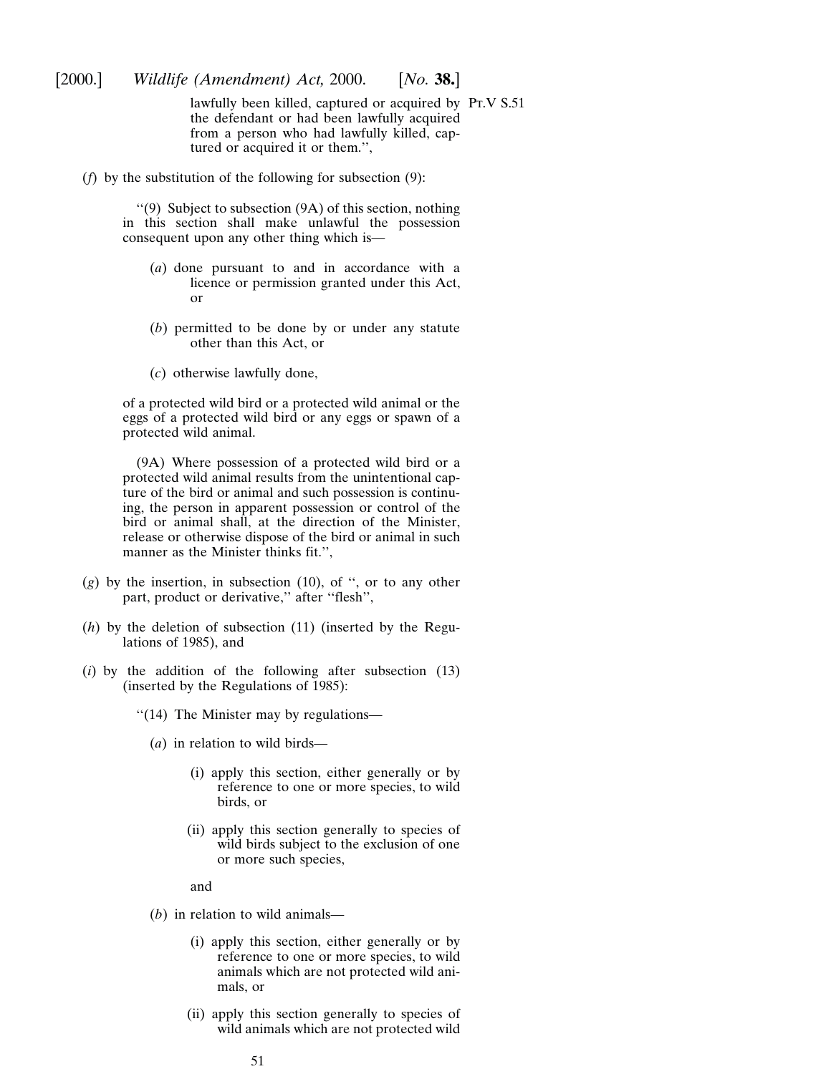lawfully been killed, captured or acquired by Pt.V S.51the defendant or had been lawfully acquired from a person who had lawfully killed, captured or acquired it or them.'',

(*f*) by the substitution of the following for subsection (9):

''(9) Subject to subsection (9A) of this section, nothing in this section shall make unlawful the possession consequent upon any other thing which is—

- (*a*) done pursuant to and in accordance with a licence or permission granted under this Act, or
- (*b*) permitted to be done by or under any statute other than this Act, or
- (*c*) otherwise lawfully done,

of a protected wild bird or a protected wild animal or the eggs of a protected wild bird or any eggs or spawn of a protected wild animal.

(9A) Where possession of a protected wild bird or a protected wild animal results from the unintentional capture of the bird or animal and such possession is continuing, the person in apparent possession or control of the bird or animal shall, at the direction of the Minister, release or otherwise dispose of the bird or animal in such manner as the Minister thinks fit.'',

- (*g*) by the insertion, in subsection (10), of '', or to any other part, product or derivative," after "flesh",
- (*h*) by the deletion of subsection (11) (inserted by the Regulations of 1985), and
- (*i*) by the addition of the following after subsection (13) (inserted by the Regulations of 1985):
	- ''(14) The Minister may by regulations—
		- (*a*) in relation to wild birds—
			- (i) apply this section, either generally or by reference to one or more species, to wild birds, or
			- (ii) apply this section generally to species of wild birds subject to the exclusion of one or more such species,

and

- (*b*) in relation to wild animals—
	- (i) apply this section, either generally or by reference to one or more species, to wild animals which are not protected wild animals, or
	- (ii) apply this section generally to species of wild animals which are not protected wild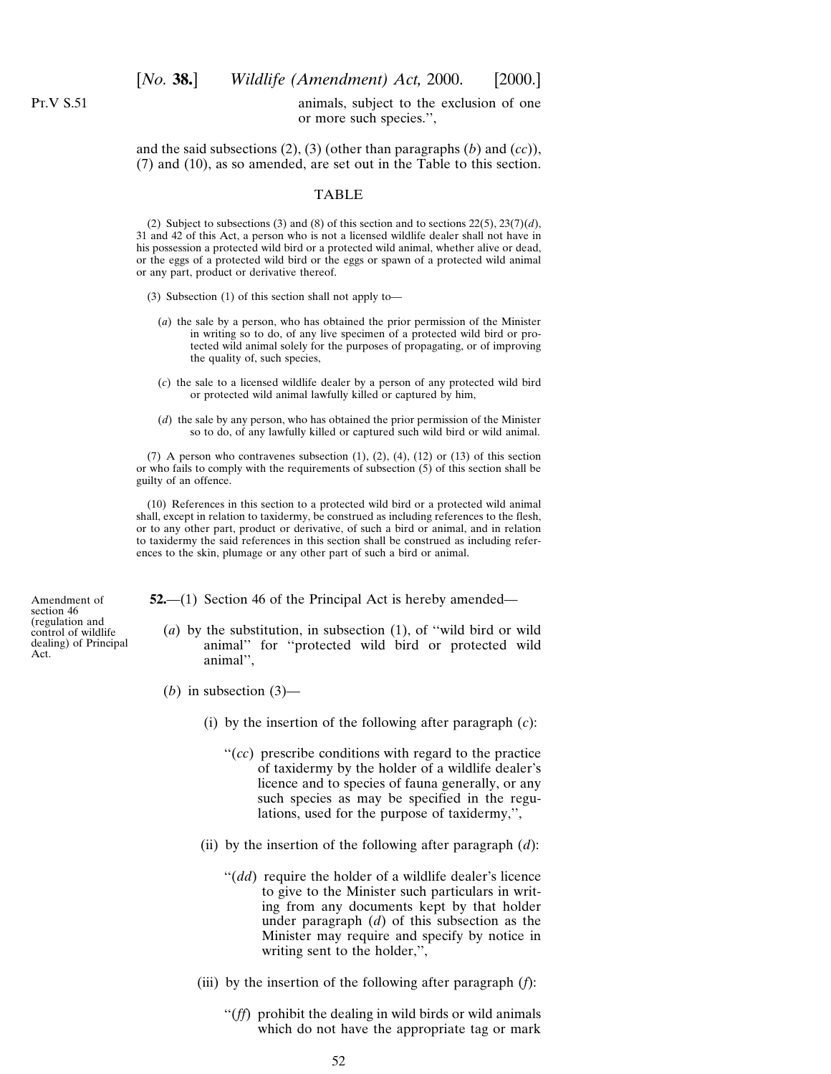Pt.V S.51

## animals, subject to the exclusion of one or more such species.'',

and the said subsections (2), (3) (other than paragraphs (*b*) and (*cc*)), (7) and (10), as so amended, are set out in the Table to this section.

#### TABLE

(2) Subject to subsections (3) and (8) of this section and to sections  $22(5)$ ,  $23(7)(d)$ , 31 and 42 of this Act, a person who is not a licensed wildlife dealer shall not have in his possession a protected wild bird or a protected wild animal, whether alive or dead, or the eggs of a protected wild bird or the eggs or spawn of a protected wild animal or any part, product or derivative thereof.

- (3) Subsection (1) of this section shall not apply to—
	- (*a*) the sale by a person, who has obtained the prior permission of the Minister in writing so to do, of any live specimen of a protected wild bird or protected wild animal solely for the purposes of propagating, or of improving the quality of, such species,
	- (*c*) the sale to a licensed wildlife dealer by a person of any protected wild bird or protected wild animal lawfully killed or captured by him,
	- (*d*) the sale by any person, who has obtained the prior permission of the Minister so to do, of any lawfully killed or captured such wild bird or wild animal.

(7) A person who contravenes subsection  $(1)$ ,  $(2)$ ,  $(4)$ ,  $(12)$  or  $(13)$  of this section or who fails to comply with the requirements of subsection (5) of this section shall be guilty of an offence.

(10) References in this section to a protected wild bird or a protected wild animal shall, except in relation to taxidermy, be construed as including references to the flesh, or to any other part, product or derivative, of such a bird or animal, and in relation to taxidermy the said references in this section shall be construed as including references to the skin, plumage or any other part of such a bird or animal.

**52.**—(1) Section 46 of the Principal Act is hereby amended—

- (*a*) by the substitution, in subsection (1), of ''wild bird or wild animal'' for ''protected wild bird or protected wild animal'',
- (*b*) in subsection  $(3)$ 
	- (i) by the insertion of the following after paragraph (*c*):
		- ''(*cc*) prescribe conditions with regard to the practice of taxidermy by the holder of a wildlife dealer's licence and to species of fauna generally, or any such species as may be specified in the regulations, used for the purpose of taxidermy,'',
	- (ii) by the insertion of the following after paragraph (*d*):
		- ''(*dd*) require the holder of a wildlife dealer's licence to give to the Minister such particulars in writing from any documents kept by that holder under paragraph (*d*) of this subsection as the Minister may require and specify by notice in writing sent to the holder,'',
	- (iii) by the insertion of the following after paragraph (*f*):
		- ''(*ff*) prohibit the dealing in wild birds or wild animals which do not have the appropriate tag or mark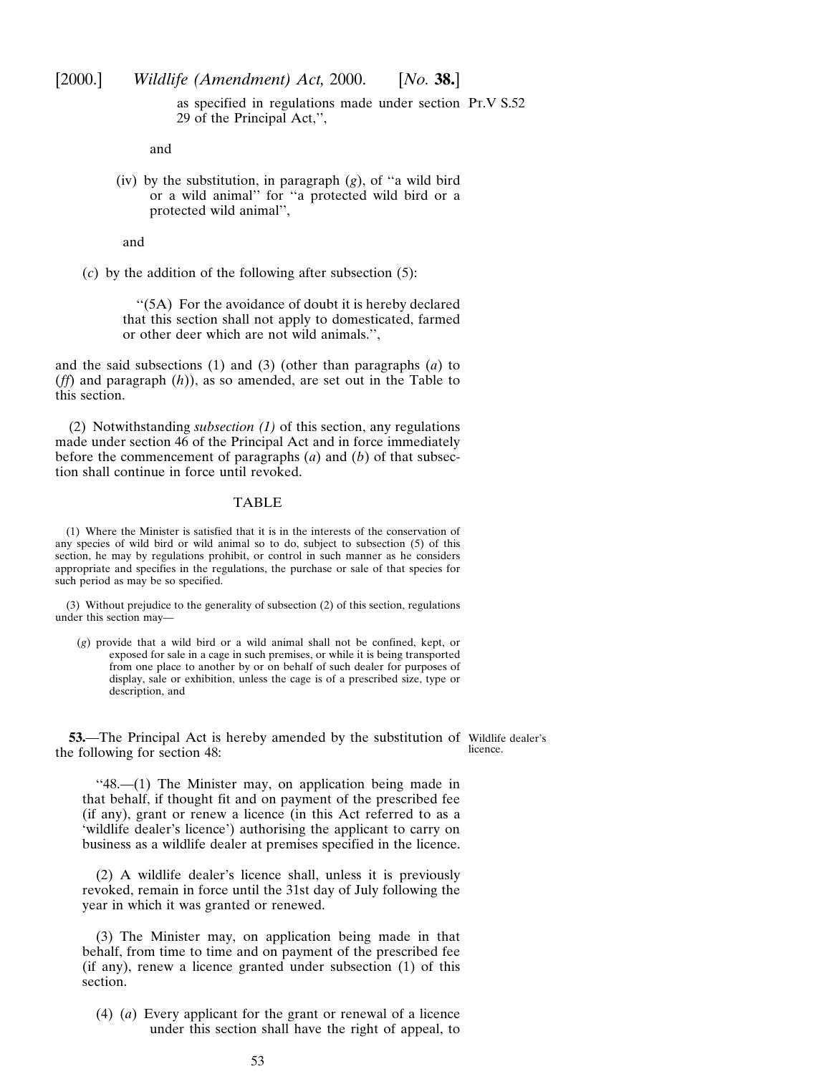as specified in regulations made under section Pt.V S.52 29 of the Principal Act,'',

and

(iv) by the substitution, in paragraph (*g*), of ''a wild bird or a wild animal'' for ''a protected wild bird or a protected wild animal'',

and

(*c*) by the addition of the following after subsection (5):

"(5A) For the avoidance of doubt it is hereby declared that this section shall not apply to domesticated, farmed or other deer which are not wild animals.'',

and the said subsections (1) and (3) (other than paragraphs (*a*) to (*ff*) and paragraph (*h*)), as so amended, are set out in the Table to this section.

(2) Notwithstanding *subsection (1)* of this section, any regulations made under section 46 of the Principal Act and in force immediately before the commencement of paragraphs (*a*) and (*b*) of that subsection shall continue in force until revoked.

## TABLE

(1) Where the Minister is satisfied that it is in the interests of the conservation of any species of wild bird or wild animal so to do, subject to subsection (5) of this section, he may by regulations prohibit, or control in such manner as he considers appropriate and specifies in the regulations, the purchase or sale of that species for such period as may be so specified.

(3) Without prejudice to the generality of subsection (2) of this section, regulations under this section may—

(*g*) provide that a wild bird or a wild animal shall not be confined, kept, or exposed for sale in a cage in such premises, or while it is being transported from one place to another by or on behalf of such dealer for purposes of display, sale or exhibition, unless the cage is of a prescribed size, type or description, and

**53.**—The Principal Act is hereby amended by the substitution of Wildlife dealer's the following for section 48: licence.

''48.—(1) The Minister may, on application being made in that behalf, if thought fit and on payment of the prescribed fee (if any), grant or renew a licence (in this Act referred to as a 'wildlife dealer's licence') authorising the applicant to carry on business as a wildlife dealer at premises specified in the licence.

(2) A wildlife dealer's licence shall, unless it is previously revoked, remain in force until the 31st day of July following the year in which it was granted or renewed.

(3) The Minister may, on application being made in that behalf, from time to time and on payment of the prescribed fee (if any), renew a licence granted under subsection (1) of this section.

(4) (*a*) Every applicant for the grant or renewal of a licence under this section shall have the right of appeal, to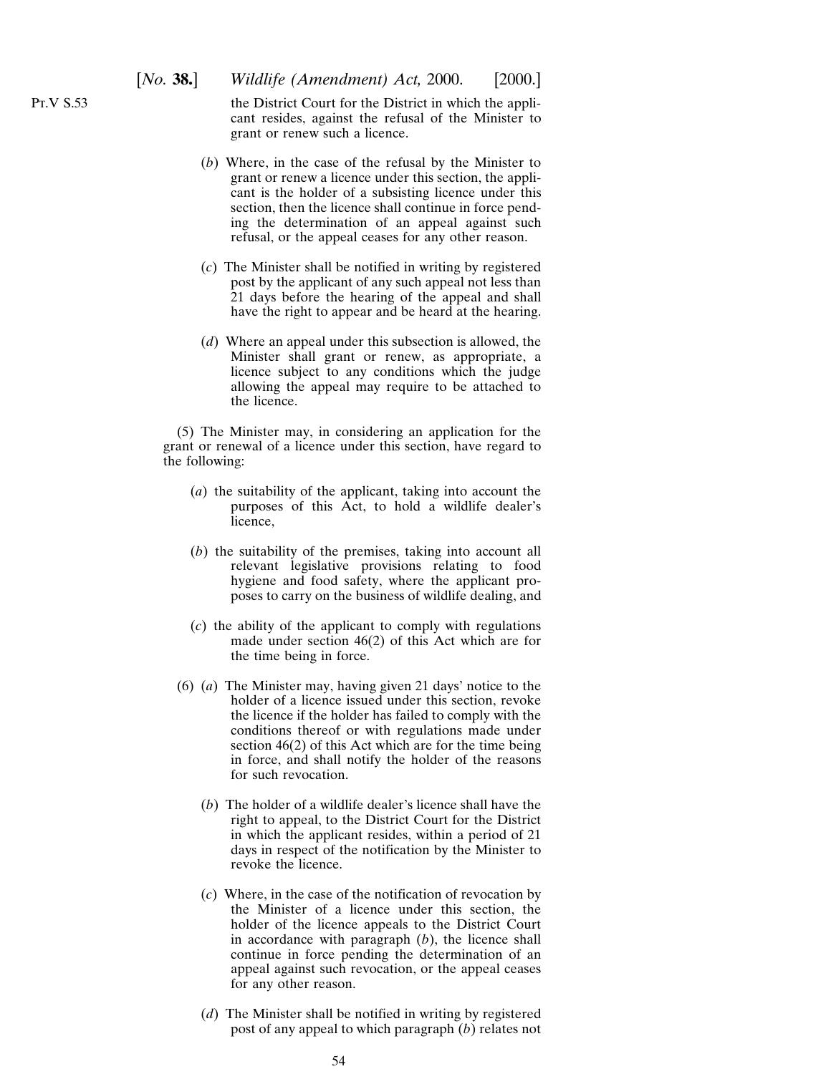the District Court for the District in which the applicant resides, against the refusal of the Minister to grant or renew such a licence.

- (*b*) Where, in the case of the refusal by the Minister to grant or renew a licence under this section, the applicant is the holder of a subsisting licence under this section, then the licence shall continue in force pending the determination of an appeal against such refusal, or the appeal ceases for any other reason.
- (*c*) The Minister shall be notified in writing by registered post by the applicant of any such appeal not less than 21 days before the hearing of the appeal and shall have the right to appear and be heard at the hearing.
- (*d*) Where an appeal under this subsection is allowed, the Minister shall grant or renew, as appropriate, a licence subject to any conditions which the judge allowing the appeal may require to be attached to the licence.

(5) The Minister may, in considering an application for the grant or renewal of a licence under this section, have regard to the following:

- (*a*) the suitability of the applicant, taking into account the purposes of this Act, to hold a wildlife dealer's licence,
- (*b*) the suitability of the premises, taking into account all relevant legislative provisions relating to food hygiene and food safety, where the applicant proposes to carry on the business of wildlife dealing, and
- (*c*) the ability of the applicant to comply with regulations made under section 46(2) of this Act which are for the time being in force.
- (6) (*a*) The Minister may, having given 21 days' notice to the holder of a licence issued under this section, revoke the licence if the holder has failed to comply with the conditions thereof or with regulations made under section 46(2) of this Act which are for the time being in force, and shall notify the holder of the reasons for such revocation.
	- (*b*) The holder of a wildlife dealer's licence shall have the right to appeal, to the District Court for the District in which the applicant resides, within a period of 21 days in respect of the notification by the Minister to revoke the licence.
	- (*c*) Where, in the case of the notification of revocation by the Minister of a licence under this section, the holder of the licence appeals to the District Court in accordance with paragraph (*b*), the licence shall continue in force pending the determination of an appeal against such revocation, or the appeal ceases for any other reason.
	- (*d*) The Minister shall be notified in writing by registered post of any appeal to which paragraph (*b*) relates not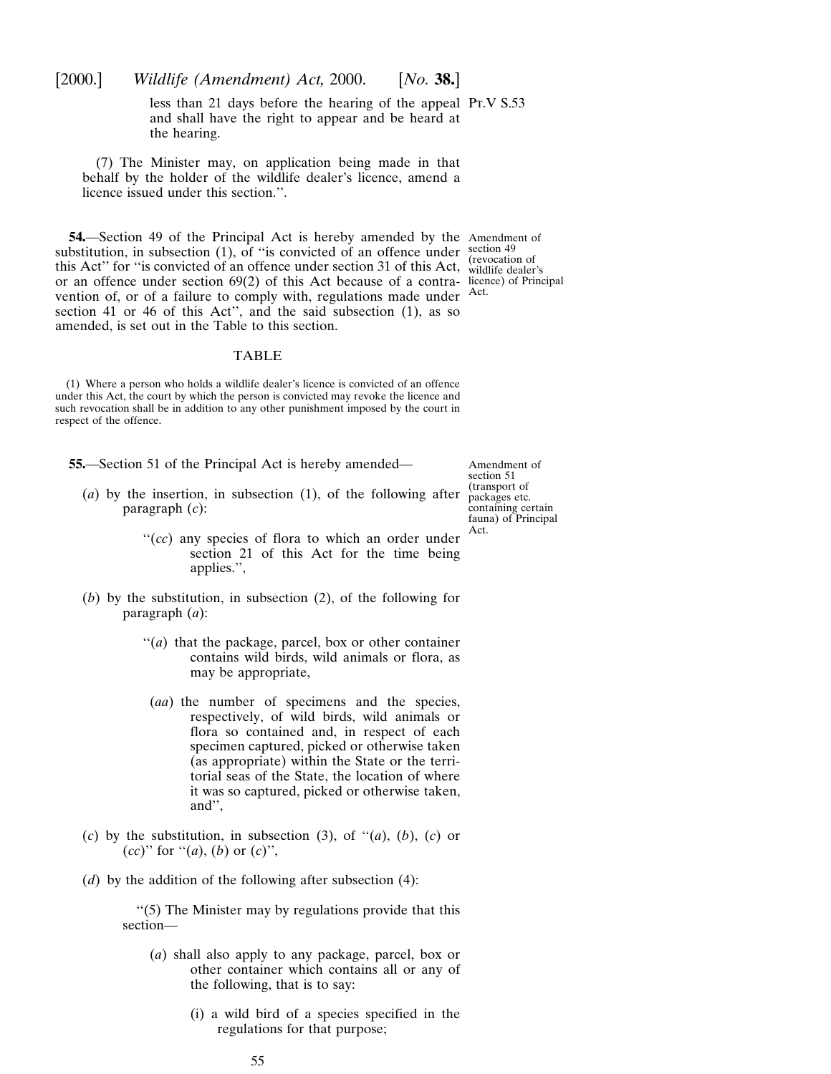less than 21 days before the hearing of the appeal Pr.V S.53 and shall have the right to appear and be heard at the hearing.

(7) The Minister may, on application being made in that behalf by the holder of the wildlife dealer's licence, amend a licence issued under this section.''.

**54.**—Section 49 of the Principal Act is hereby amended by the Amendment of substitution, in subsection  $(1)$ , of "is convicted of an offence under  $\frac{\text{section } 49}{\text{transition }}$ this Act'' for "is convicted of an offence under section 31 of this Act, wildlife dealer's or an offence under section 69(2) of this Act because of a contra-licence) of Principal vention of, or of a failure to comply with, regulations made under Act. section 41 or 46 of this Act'', and the said subsection (1), as so amended, is set out in the Table to this section.

#### TABLE

(1) Where a person who holds a wildlife dealer's licence is convicted of an offence under this Act, the court by which the person is convicted may revoke the licence and such revocation shall be in addition to any other punishment imposed by the court in respect of the offence.

- **55.**—Section 51 of the Principal Act is hereby amended—
	- (*a*) by the insertion, in subsection (1), of the following after paragraph (*c*):

Amendment of section 51 (transport of packages etc. containing certain fauna) of Principal Act.

- "(*cc*) any species of flora to which an order under section 21 of this Act for the time being applies.'',
- (*b*) by the substitution, in subsection (2), of the following for paragraph (*a*):
	- ''(*a*) that the package, parcel, box or other container contains wild birds, wild animals or flora, as may be appropriate,
	- (*aa*) the number of specimens and the species, respectively, of wild birds, wild animals or flora so contained and, in respect of each specimen captured, picked or otherwise taken (as appropriate) within the State or the territorial seas of the State, the location of where it was so captured, picked or otherwise taken, and'',
- (*c*) by the substitution, in subsection (3), of  $\lq (a)$ , (*b*), (*c*) or (*cc*)" for "(*a*), (*b*) or (*c*)",
- (*d*) by the addition of the following after subsection (4):

''(5) The Minister may by regulations provide that this section—

- (*a*) shall also apply to any package, parcel, box or other container which contains all or any of the following, that is to say:
	- (i) a wild bird of a species specified in the regulations for that purpose;

55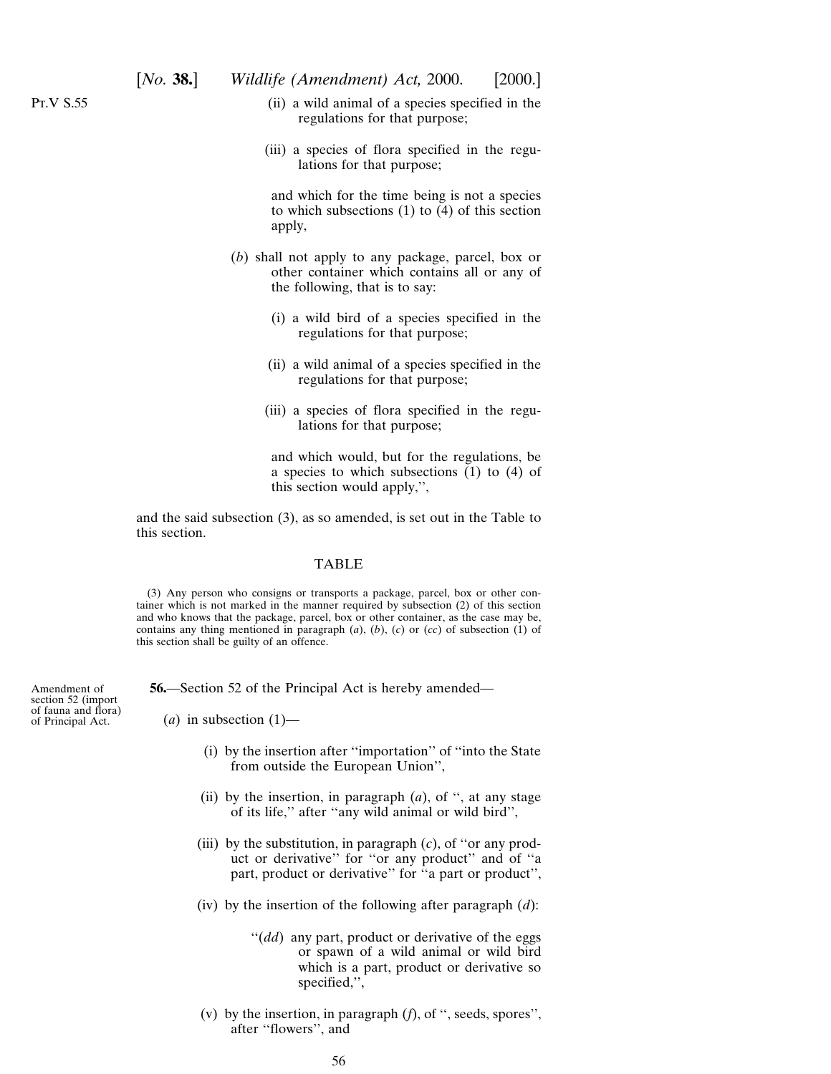Amendment of section 52 (import of fauna and flora) of Principal Act.

- (ii) a wild animal of a species specified in the regulations for that purpose;
- (iii) a species of flora specified in the regulations for that purpose;

and which for the time being is not a species to which subsections (1) to (4) of this section apply,

- (*b*) shall not apply to any package, parcel, box or other container which contains all or any of the following, that is to say:
	- (i) a wild bird of a species specified in the regulations for that purpose;
	- (ii) a wild animal of a species specified in the regulations for that purpose;
	- (iii) a species of flora specified in the regulations for that purpose;

and which would, but for the regulations, be a species to which subsections (1) to (4) of this section would apply,'',

and the said subsection (3), as so amended, is set out in the Table to this section.

#### TABLE

(3) Any person who consigns or transports a package, parcel, box or other container which is not marked in the manner required by subsection (2) of this section and who knows that the package, parcel, box or other container, as the case may be, contains any thing mentioned in paragraph (*a*), (*b*), (*c*) or (*cc*) of subsection (1) of this section shall be guilty of an offence.

**56.**—Section 52 of the Principal Act is hereby amended—

 $(a)$  in subsection  $(1)$ —

- (i) by the insertion after ''importation'' of ''into the State from outside the European Union'',
- (ii) by the insertion, in paragraph (*a*), of '', at any stage of its life,'' after ''any wild animal or wild bird'',
- (iii) by the substitution, in paragraph (*c*), of ''or any product or derivative'' for ''or any product'' and of ''a part, product or derivative" for "a part or product",
- (iv) by the insertion of the following after paragraph (*d*):
	- "(*dd*) any part, product or derivative of the eggs or spawn of a wild animal or wild bird which is a part, product or derivative so specified,'',
- (v) by the insertion, in paragraph (*f*), of '', seeds, spores'', after ''flowers'', and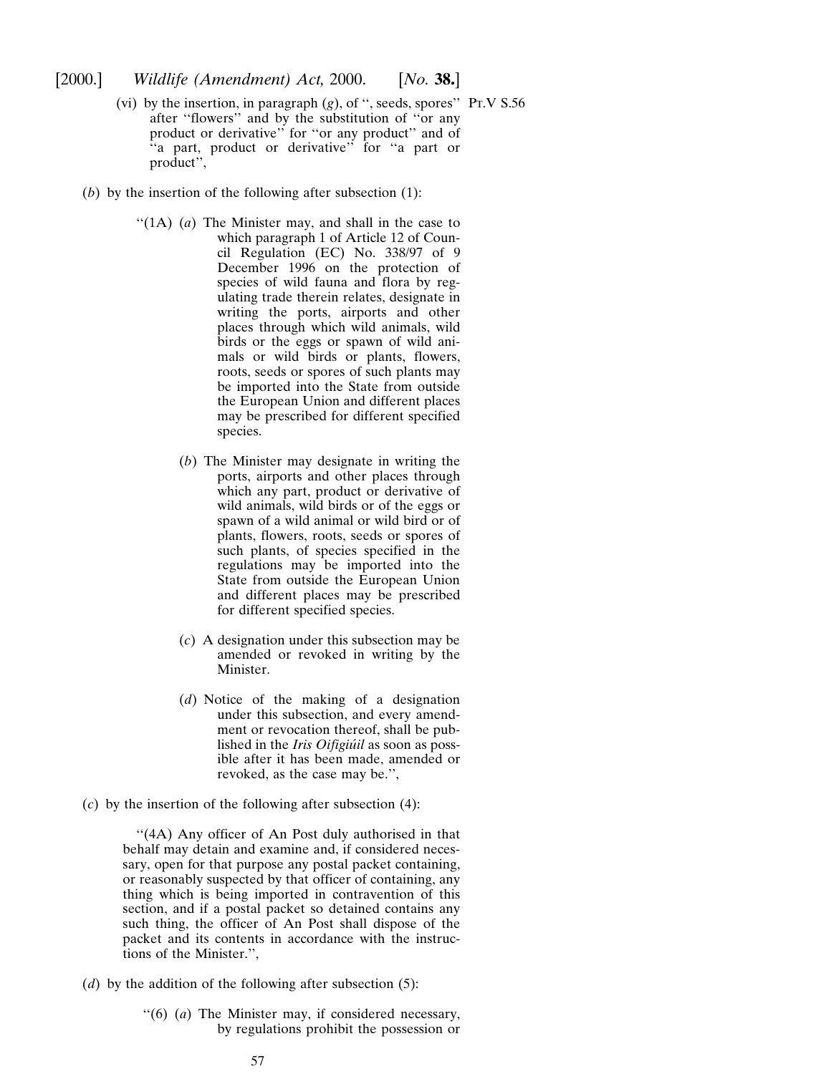- (vi) by the insertion, in paragraph  $(g)$ , of ", seeds, spores" Pr.V S.56 after ''flowers'' and by the substitution of ''or any product or derivative'' for ''or any product'' and of ''a part, product or derivative'' for ''a part or product".
- (*b*) by the insertion of the following after subsection (1):
	- "(1A) (*a*) The Minister may, and shall in the case to which paragraph 1 of Article 12 of Council Regulation (EC) No. 338/97 of 9 December 1996 on the protection of species of wild fauna and flora by regulating trade therein relates, designate in writing the ports, airports and other places through which wild animals, wild birds or the eggs or spawn of wild animals or wild birds or plants, flowers, roots, seeds or spores of such plants may be imported into the State from outside the European Union and different places may be prescribed for different specified species.
		- (*b*) The Minister may designate in writing the ports, airports and other places through which any part, product or derivative of wild animals, wild birds or of the eggs or spawn of a wild animal or wild bird or of plants, flowers, roots, seeds or spores of such plants, of species specified in the regulations may be imported into the State from outside the European Union and different places may be prescribed for different specified species.
		- (*c*) A designation under this subsection may be amended or revoked in writing by the Minister.
		- (*d*) Notice of the making of a designation under this subsection, and every amendment or revocation thereof, shall be published in the *Iris Oifigiúil* as soon as possible after it has been made, amended or revoked, as the case may be.'',
- (*c*) by the insertion of the following after subsection (4):

"(4A) Any officer of An Post duly authorised in that behalf may detain and examine and, if considered necessary, open for that purpose any postal packet containing, or reasonably suspected by that officer of containing, any thing which is being imported in contravention of this section, and if a postal packet so detained contains any such thing, the officer of An Post shall dispose of the packet and its contents in accordance with the instructions of the Minister.'',

- (*d*) by the addition of the following after subsection (5):
	- ''(6) (*a*) The Minister may, if considered necessary, by regulations prohibit the possession or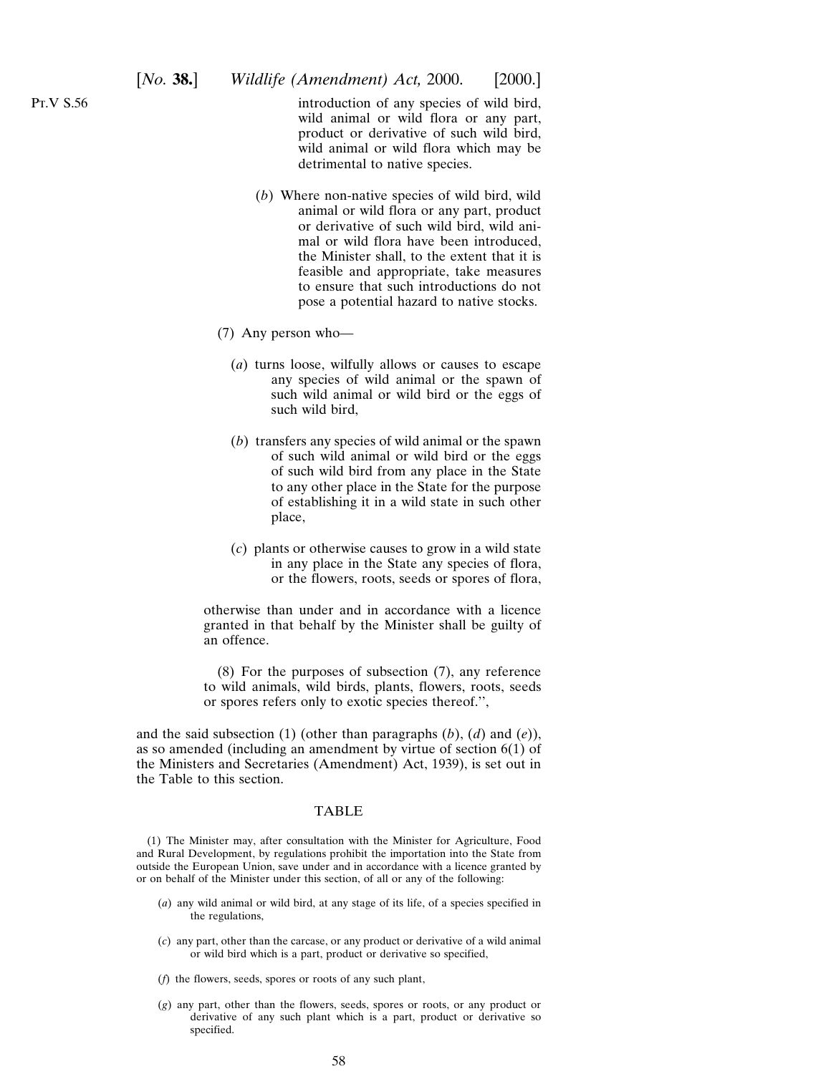# [*No.* **38.**] *Wildlife (Amendment) Act,* 2000. [2000.]

introduction of any species of wild bird, wild animal or wild flora or any part, product or derivative of such wild bird, wild animal or wild flora which may be detrimental to native species.

- (*b*) Where non-native species of wild bird, wild animal or wild flora or any part, product or derivative of such wild bird, wild animal or wild flora have been introduced, the Minister shall, to the extent that it is feasible and appropriate, take measures to ensure that such introductions do not pose a potential hazard to native stocks.
- (7) Any person who—
	- (*a*) turns loose, wilfully allows or causes to escape any species of wild animal or the spawn of such wild animal or wild bird or the eggs of such wild bird,
	- (*b*) transfers any species of wild animal or the spawn of such wild animal or wild bird or the eggs of such wild bird from any place in the State to any other place in the State for the purpose of establishing it in a wild state in such other place,
	- (*c*) plants or otherwise causes to grow in a wild state in any place in the State any species of flora, or the flowers, roots, seeds or spores of flora,

otherwise than under and in accordance with a licence granted in that behalf by the Minister shall be guilty of an offence.

(8) For the purposes of subsection (7), any reference to wild animals, wild birds, plants, flowers, roots, seeds or spores refers only to exotic species thereof.'',

and the said subsection (1) (other than paragraphs (*b*), (*d*) and (*e*)), as so amended (including an amendment by virtue of section 6(1) of the Ministers and Secretaries (Amendment) Act, 1939), is set out in the Table to this section.

## TABLE

(1) The Minister may, after consultation with the Minister for Agriculture, Food and Rural Development, by regulations prohibit the importation into the State from outside the European Union, save under and in accordance with a licence granted by or on behalf of the Minister under this section, of all or any of the following:

- (*a*) any wild animal or wild bird, at any stage of its life, of a species specified in the regulations,
- (*c*) any part, other than the carcase, or any product or derivative of a wild animal or wild bird which is a part, product or derivative so specified,
- (*f*) the flowers, seeds, spores or roots of any such plant,
- (*g*) any part, other than the flowers, seeds, spores or roots, or any product or derivative of any such plant which is a part, product or derivative so specified.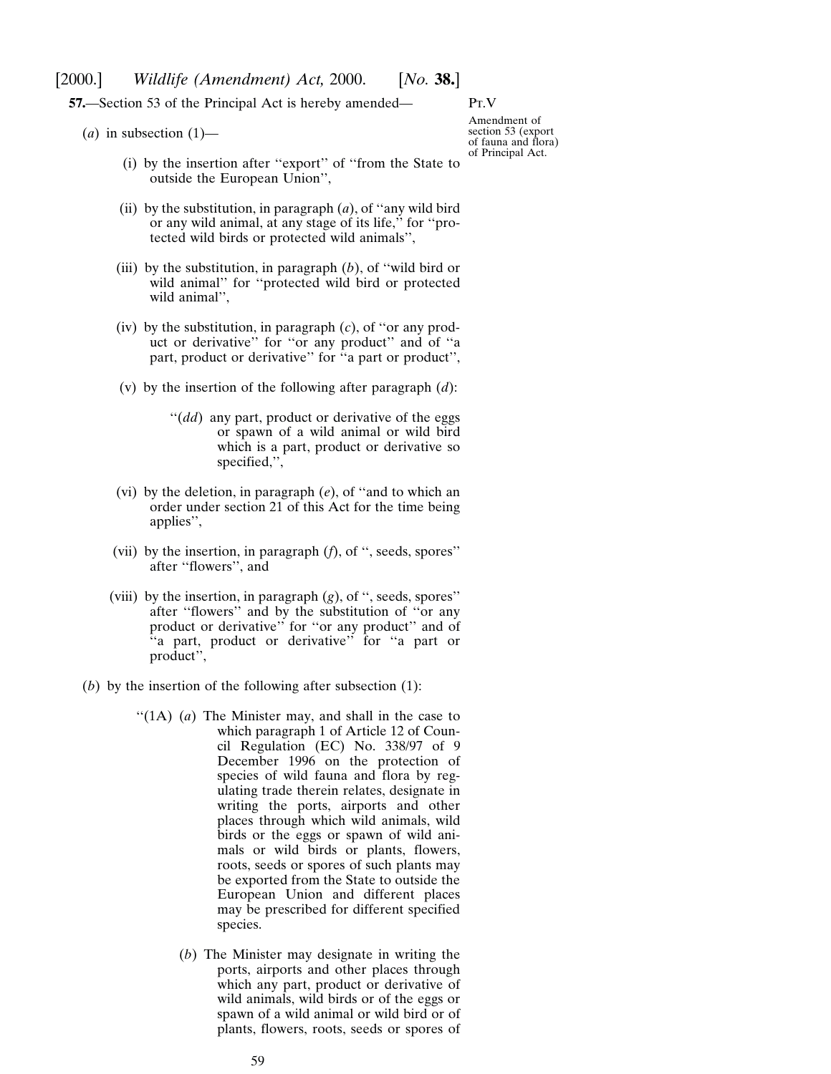**57.**—Section 53 of the Principal Act is hereby amended—

Pt.V

 $(a)$  in subsection  $(1)$ —

- (i) by the insertion after ''export'' of ''from the State to outside the European Union'',
- (ii) by the substitution, in paragraph (*a*), of ''any wild bird or any wild animal, at any stage of its life,'' for ''protected wild birds or protected wild animals'',
- (iii) by the substitution, in paragraph (*b*), of ''wild bird or wild animal'' for ''protected wild bird or protected wild animal'',
- (iv) by the substitution, in paragraph (*c*), of ''or any product or derivative'' for ''or any product'' and of ''a part, product or derivative'' for ''a part or product'',
- (v) by the insertion of the following after paragraph (*d*):
	- "(*dd*) any part, product or derivative of the eggs or spawn of a wild animal or wild bird which is a part, product or derivative so specified,'',
- (vi) by the deletion, in paragraph (*e*), of ''and to which an order under section 21 of this Act for the time being applies'',
- (vii) by the insertion, in paragraph (*f*), of '', seeds, spores'' after ''flowers'', and
- (viii) by the insertion, in paragraph (*g*), of '', seeds, spores'' after ''flowers'' and by the substitution of ''or any product or derivative'' for ''or any product'' and of "a part, product or derivative" for "a part or product'',
- (*b*) by the insertion of the following after subsection (1):
	- "(1A) (*a*) The Minister may, and shall in the case to which paragraph 1 of Article 12 of Council Regulation (EC) No. 338/97 of 9 December 1996 on the protection of species of wild fauna and flora by regulating trade therein relates, designate in writing the ports, airports and other places through which wild animals, wild birds or the eggs or spawn of wild animals or wild birds or plants, flowers, roots, seeds or spores of such plants may be exported from the State to outside the European Union and different places may be prescribed for different specified species.
		- (*b*) The Minister may designate in writing the ports, airports and other places through which any part, product or derivative of wild animals, wild birds or of the eggs or spawn of a wild animal or wild bird or of plants, flowers, roots, seeds or spores of

Amendment of section 53 (export of fauna and flora) of Principal Act.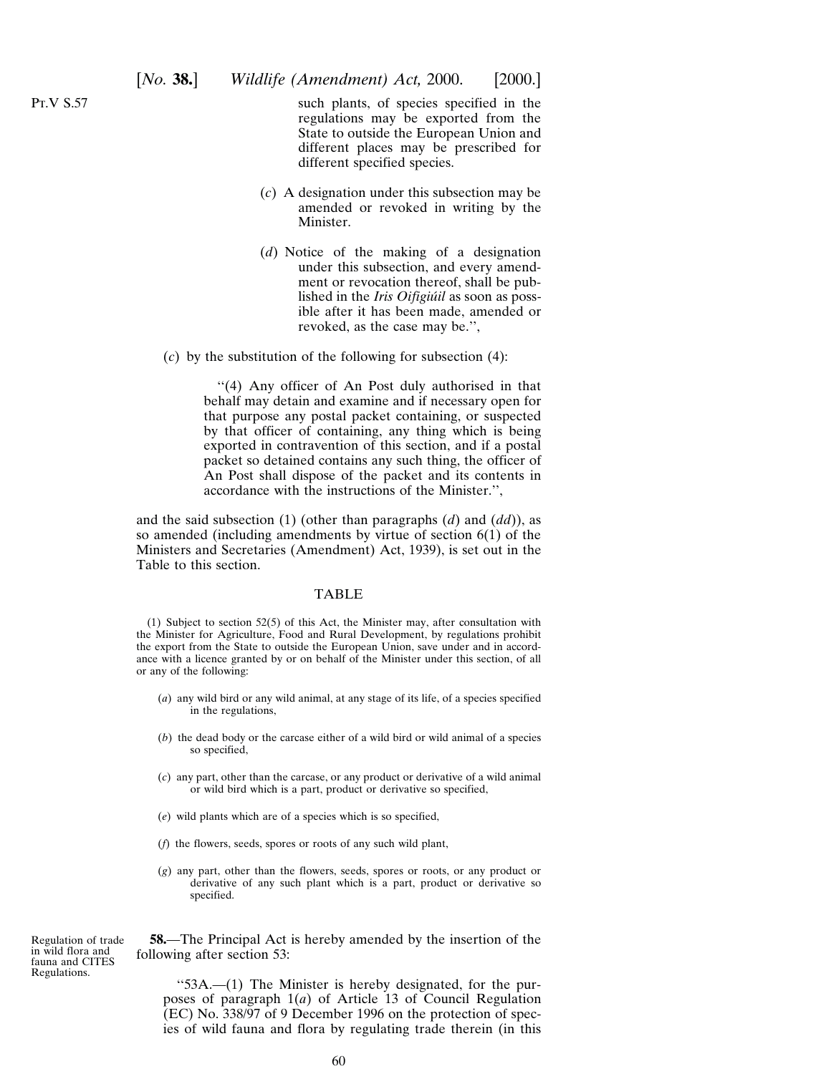such plants, of species specified in the regulations may be exported from the State to outside the European Union and different places may be prescribed for different specified species.

- (*c*) A designation under this subsection may be amended or revoked in writing by the Minister.
- (*d*) Notice of the making of a designation under this subsection, and every amendment or revocation thereof, shall be published in the *Iris Oifigiúil* as soon as possible after it has been made, amended or revoked, as the case may be.'',

(*c*) by the substitution of the following for subsection (4):

''(4) Any officer of An Post duly authorised in that behalf may detain and examine and if necessary open for that purpose any postal packet containing, or suspected by that officer of containing, any thing which is being exported in contravention of this section, and if a postal packet so detained contains any such thing, the officer of An Post shall dispose of the packet and its contents in accordance with the instructions of the Minister.'',

and the said subsection (1) (other than paragraphs (*d*) and (*dd*)), as so amended (including amendments by virtue of section 6(1) of the Ministers and Secretaries (Amendment) Act, 1939), is set out in the Table to this section.

#### TABLE

(1) Subject to section 52(5) of this Act, the Minister may, after consultation with the Minister for Agriculture, Food and Rural Development, by regulations prohibit the export from the State to outside the European Union, save under and in accordance with a licence granted by or on behalf of the Minister under this section, of all or any of the following:

- (*a*) any wild bird or any wild animal, at any stage of its life, of a species specified in the regulations,
- (*b*) the dead body or the carcase either of a wild bird or wild animal of a species so specified,
- (*c*) any part, other than the carcase, or any product or derivative of a wild animal or wild bird which is a part, product or derivative so specified,
- (*e*) wild plants which are of a species which is so specified,
- (*f*) the flowers, seeds, spores or roots of any such wild plant,
- (*g*) any part, other than the flowers, seeds, spores or roots, or any product or derivative of any such plant which is a part, product or derivative so specified.

Regulation of trade in wild flora and fauna and CITES Regulations.

**58.**—The Principal Act is hereby amended by the insertion of the following after section 53:

''53A.—(1) The Minister is hereby designated, for the purposes of paragraph 1(*a*) of Article 13 of Council Regulation (EC) No. 338/97 of 9 December 1996 on the protection of species of wild fauna and flora by regulating trade therein (in this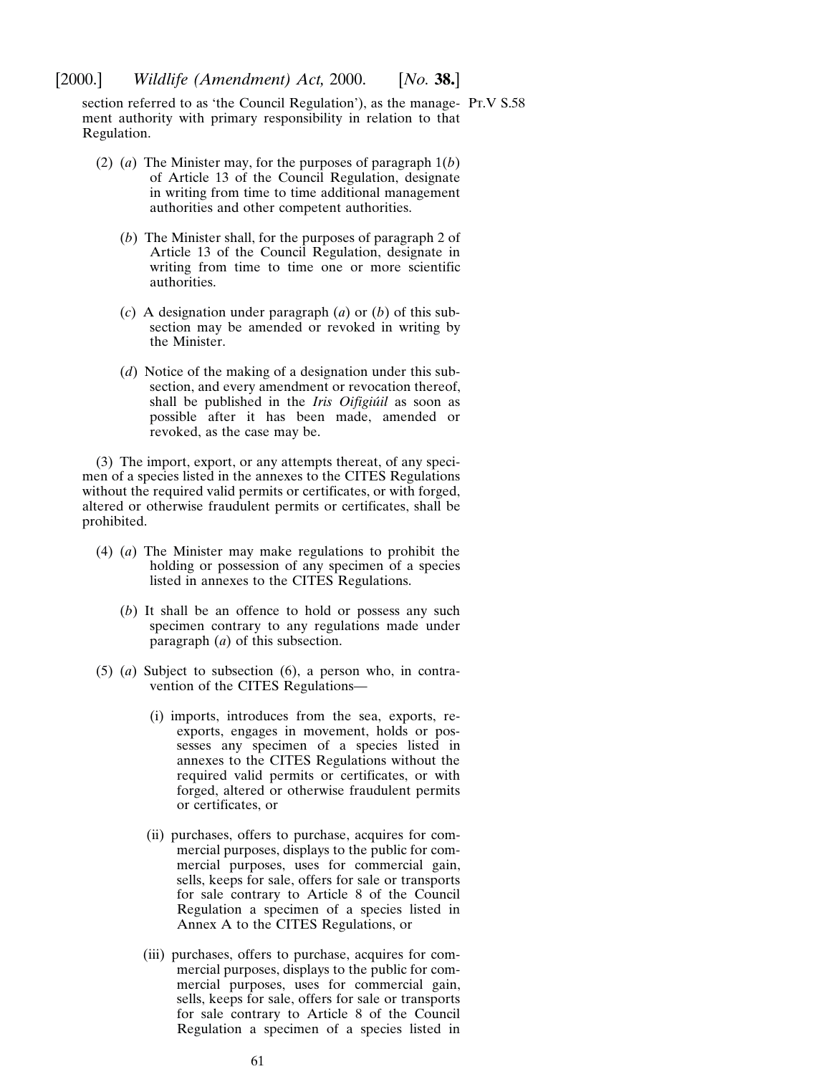section referred to as 'the Council Regulation'), as the manage- PT.V S.58 ment authority with primary responsibility in relation to that Regulation.

- (2) (*a*) The Minister may, for the purposes of paragraph 1(*b*) of Article 13 of the Council Regulation, designate in writing from time to time additional management authorities and other competent authorities.
	- (*b*) The Minister shall, for the purposes of paragraph 2 of Article 13 of the Council Regulation, designate in writing from time to time one or more scientific authorities.
	- (*c*) A designation under paragraph (*a*) or (*b*) of this subsection may be amended or revoked in writing by the Minister.
	- (*d*) Notice of the making of a designation under this subsection, and every amendment or revocation thereof, shall be published in the *Iris Oifigiúil* as soon as possible after it has been made, amended or revoked, as the case may be.

(3) The import, export, or any attempts thereat, of any specimen of a species listed in the annexes to the CITES Regulations without the required valid permits or certificates, or with forged, altered or otherwise fraudulent permits or certificates, shall be prohibited.

- (4) (*a*) The Minister may make regulations to prohibit the holding or possession of any specimen of a species listed in annexes to the CITES Regulations.
	- (*b*) It shall be an offence to hold or possess any such specimen contrary to any regulations made under paragraph (*a*) of this subsection.
- (5) (*a*) Subject to subsection (6), a person who, in contravention of the CITES Regulations—
	- (i) imports, introduces from the sea, exports, reexports, engages in movement, holds or possesses any specimen of a species listed in annexes to the CITES Regulations without the required valid permits or certificates, or with forged, altered or otherwise fraudulent permits or certificates, or
	- (ii) purchases, offers to purchase, acquires for commercial purposes, displays to the public for commercial purposes, uses for commercial gain, sells, keeps for sale, offers for sale or transports for sale contrary to Article 8 of the Council Regulation a specimen of a species listed in Annex A to the CITES Regulations, or
	- (iii) purchases, offers to purchase, acquires for commercial purposes, displays to the public for commercial purposes, uses for commercial gain, sells, keeps for sale, offers for sale or transports for sale contrary to Article 8 of the Council Regulation a specimen of a species listed in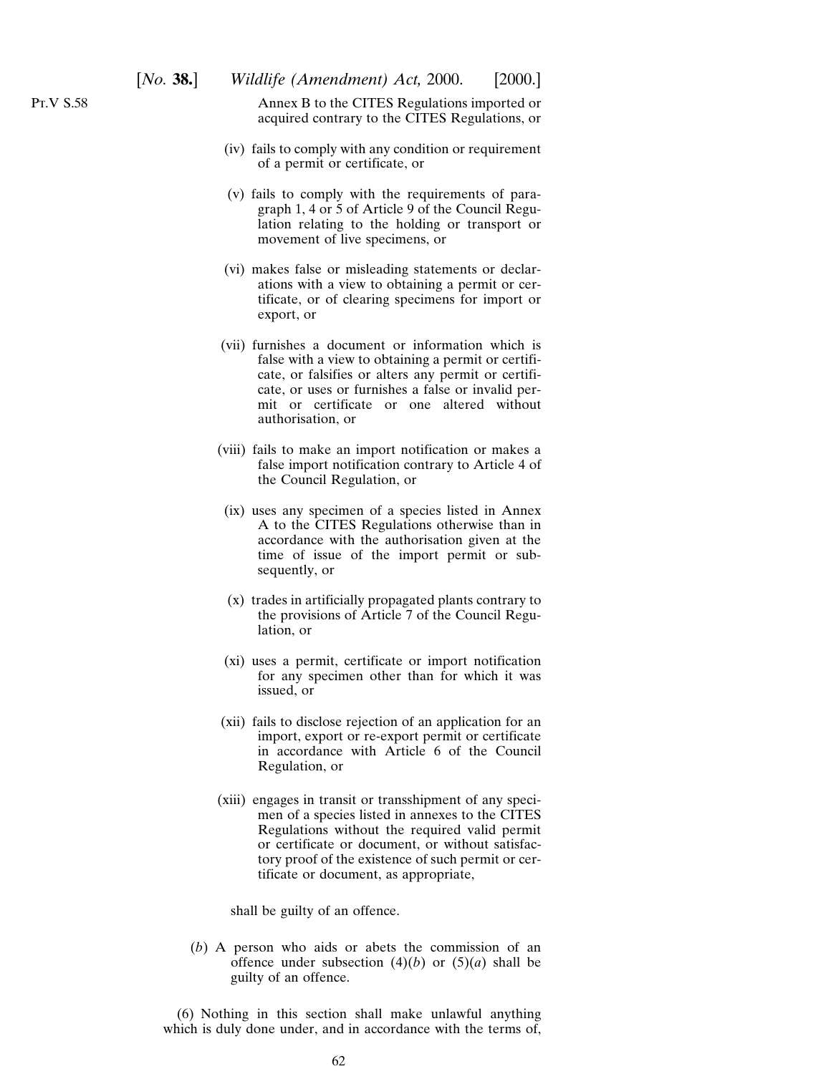Annex B to the CITES Regulations imported or acquired contrary to the CITES Regulations, or

- (iv) fails to comply with any condition or requirement of a permit or certificate, or
- (v) fails to comply with the requirements of paragraph 1, 4 or 5 of Article 9 of the Council Regulation relating to the holding or transport or movement of live specimens, or
- (vi) makes false or misleading statements or declarations with a view to obtaining a permit or certificate, or of clearing specimens for import or export, or
- (vii) furnishes a document or information which is false with a view to obtaining a permit or certificate, or falsifies or alters any permit or certificate, or uses or furnishes a false or invalid permit or certificate or one altered without authorisation, or
- (viii) fails to make an import notification or makes a false import notification contrary to Article 4 of the Council Regulation, or
- (ix) uses any specimen of a species listed in Annex A to the CITES Regulations otherwise than in accordance with the authorisation given at the time of issue of the import permit or subsequently, or
- (x) trades in artificially propagated plants contrary to the provisions of Article 7 of the Council Regulation, or
- (xi) uses a permit, certificate or import notification for any specimen other than for which it was issued, or
- (xii) fails to disclose rejection of an application for an import, export or re-export permit or certificate in accordance with Article 6 of the Council Regulation, or
- (xiii) engages in transit or transshipment of any specimen of a species listed in annexes to the CITES Regulations without the required valid permit or certificate or document, or without satisfactory proof of the existence of such permit or certificate or document, as appropriate,

shall be guilty of an offence.

(*b*) A person who aids or abets the commission of an offence under subsection  $(4)(b)$  or  $(5)(a)$  shall be guilty of an offence.

(6) Nothing in this section shall make unlawful anything which is duly done under, and in accordance with the terms of,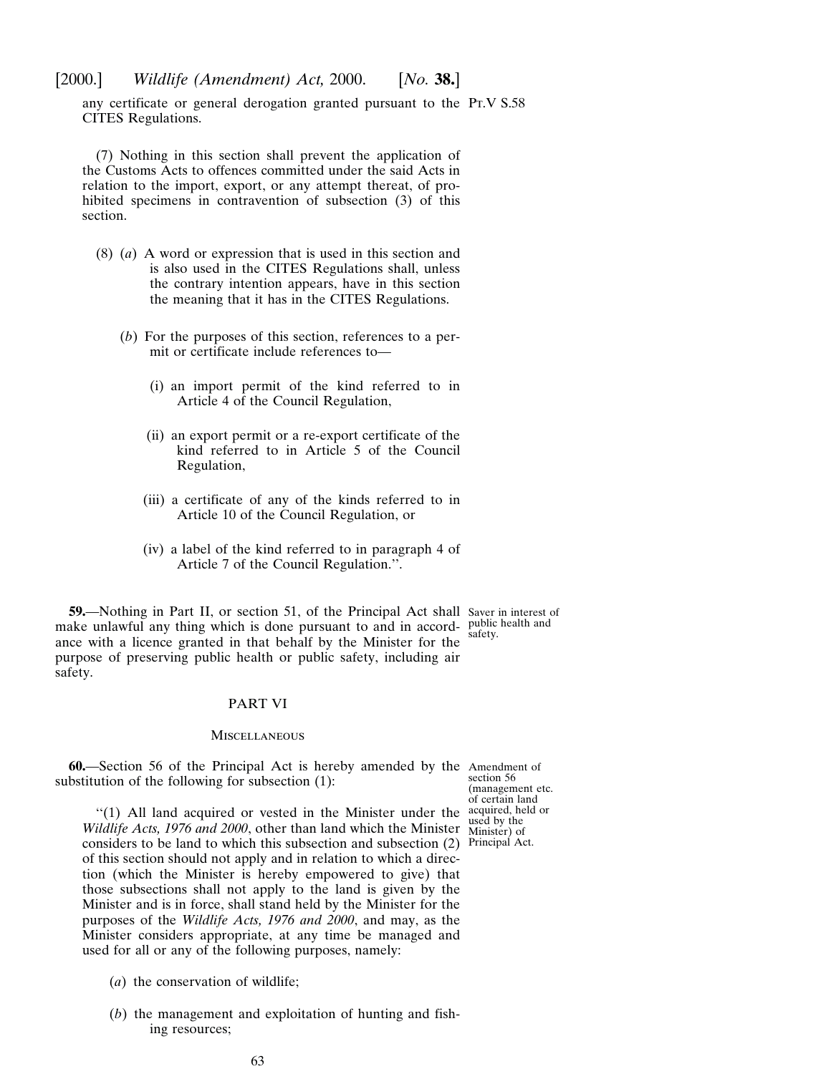any certificate or general derogation granted pursuant to the PT.V S.58 CITES Regulations.

(7) Nothing in this section shall prevent the application of the Customs Acts to offences committed under the said Acts in relation to the import, export, or any attempt thereat, of prohibited specimens in contravention of subsection (3) of this section.

- (8) (*a*) A word or expression that is used in this section and is also used in the CITES Regulations shall, unless the contrary intention appears, have in this section the meaning that it has in the CITES Regulations.
	- (*b*) For the purposes of this section, references to a permit or certificate include references to—
		- (i) an import permit of the kind referred to in Article 4 of the Council Regulation,
		- (ii) an export permit or a re-export certificate of the kind referred to in Article 5 of the Council Regulation,
		- (iii) a certificate of any of the kinds referred to in Article 10 of the Council Regulation, or
		- (iv) a label of the kind referred to in paragraph 4 of Article 7 of the Council Regulation.''.

**59.**—Nothing in Part II, or section 51, of the Principal Act shall Saver in interest of make unlawful any thing which is done pursuant to and in accord- public health and ance with a licence granted in that behalf by the Minister for the purpose of preserving public health or public safety, including air safety.

safety.

## PART VI

#### **MISCELLANEOUS**

**60.**—Section 56 of the Principal Act is hereby amended by the Amendment of substitution of the following for subsection (1):

section 56 (management etc. of certain land acquired, held or used by the Minister) of

''(1) All land acquired or vested in the Minister under the *Wildlife Acts, 1976 and 2000*, other than land which the Minister considers to be land to which this subsection and subsection (2) Principal Act.of this section should not apply and in relation to which a direction (which the Minister is hereby empowered to give) that those subsections shall not apply to the land is given by the Minister and is in force, shall stand held by the Minister for the purposes of the *Wildlife Acts, 1976 and 2000*, and may, as the Minister considers appropriate, at any time be managed and used for all or any of the following purposes, namely:

- (*a*) the conservation of wildlife;
- (*b*) the management and exploitation of hunting and fishing resources;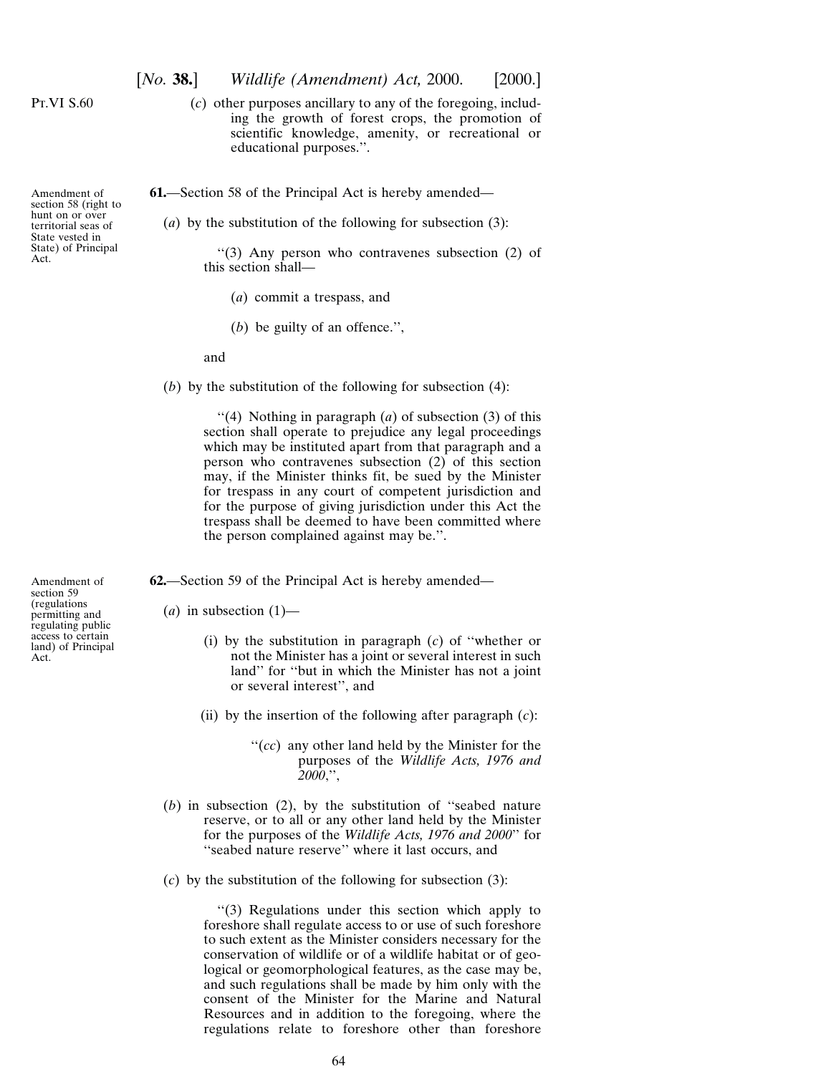Pt.VI S.60

Amendment of section 58 (right to hunt on or over territorial seas of State vested in State) of Principal

Act.

(*c*) other purposes ancillary to any of the foregoing, including the growth of forest crops, the promotion of scientific knowledge, amenity, or recreational or educational purposes.''.

**61.**—Section 58 of the Principal Act is hereby amended—

(*a*) by the substitution of the following for subsection (3):

''(3) Any person who contravenes subsection (2) of this section shall—

- (*a*) commit a trespass, and
- (*b*) be guilty of an offence.'',

and

(*b*) by the substitution of the following for subsection (4):

''(4) Nothing in paragraph (*a*) of subsection (3) of this section shall operate to prejudice any legal proceedings which may be instituted apart from that paragraph and a person who contravenes subsection (2) of this section may, if the Minister thinks fit, be sued by the Minister for trespass in any court of competent jurisdiction and for the purpose of giving jurisdiction under this Act the trespass shall be deemed to have been committed where the person complained against may be.''.

**62.**—Section 59 of the Principal Act is hereby amended—

 $(a)$  in subsection  $(1)$ —

- (i) by the substitution in paragraph (*c*) of ''whether or not the Minister has a joint or several interest in such land'' for ''but in which the Minister has not a joint or several interest'', and
- (ii) by the insertion of the following after paragraph (*c*):
	- ''(*cc*) any other land held by the Minister for the purposes of the *Wildlife Acts, 1976 and 2000*,'',
- (*b*) in subsection (2), by the substitution of ''seabed nature reserve, or to all or any other land held by the Minister for the purposes of the *Wildlife Acts, 1976 and 2000*'' for "seabed nature reserve" where it last occurs, and
- (*c*) by the substitution of the following for subsection (3):

''(3) Regulations under this section which apply to foreshore shall regulate access to or use of such foreshore to such extent as the Minister considers necessary for the conservation of wildlife or of a wildlife habitat or of geological or geomorphological features, as the case may be, and such regulations shall be made by him only with the consent of the Minister for the Marine and Natural Resources and in addition to the foregoing, where the regulations relate to foreshore other than foreshore

Amendment of section 59 (regulations permitting and regulating public access to certain land) of Principal Act.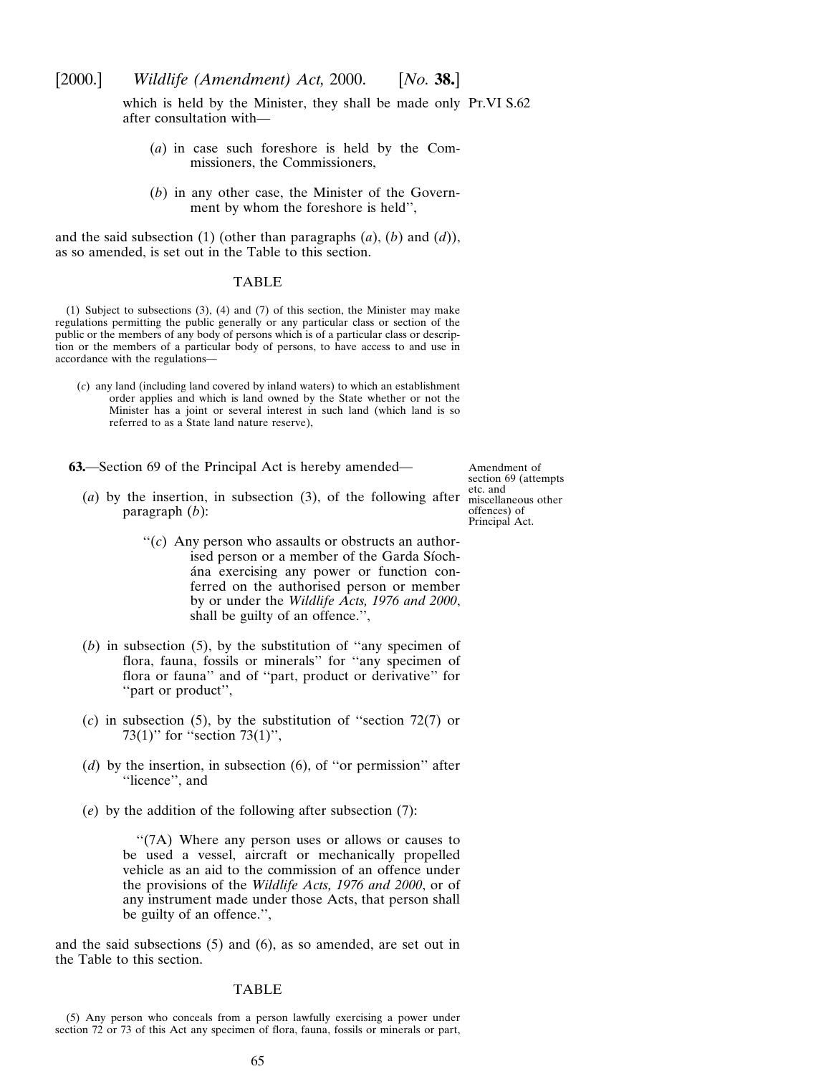which is held by the Minister, they shall be made only Pt.VI S.62 after consultation with—

- (*a*) in case such foreshore is held by the Commissioners, the Commissioners,
- (*b*) in any other case, the Minister of the Government by whom the foreshore is held'',

and the said subsection (1) (other than paragraphs (*a*), (*b*) and (*d*)), as so amended, is set out in the Table to this section.

#### TABLE

(1) Subject to subsections (3), (4) and (7) of this section, the Minister may make regulations permitting the public generally or any particular class or section of the public or the members of any body of persons which is of a particular class or description or the members of a particular body of persons, to have access to and use in accordance with the regulations—

(*c*) any land (including land covered by inland waters) to which an establishment order applies and which is land owned by the State whether or not the Minister has a joint or several interest in such land (which land is so referred to as a State land nature reserve),

**63.**—Section 69 of the Principal Act is hereby amended—

Amendment of section 69 (attempts etc. and miscellaneous other offences) of Principal Act.

- (*a*) by the insertion, in subsection (3), of the following after paragraph (*b*):
	- $f'(c)$  Any person who assaults or obstructs an authorised person or a member of the Garda Síochána exercising any power or function conferred on the authorised person or member by or under the *Wildlife Acts, 1976 and 2000*, shall be guilty of an offence.'',
- (*b*) in subsection (5), by the substitution of ''any specimen of flora, fauna, fossils or minerals'' for ''any specimen of flora or fauna'' and of ''part, product or derivative'' for ''part or product'',
- (*c*) in subsection (5), by the substitution of ''section 72(7) or 73(1)" for "section 73(1)",
- (*d*) by the insertion, in subsection (6), of ''or permission'' after ''licence'', and
- (*e*) by the addition of the following after subsection (7):

''(7A) Where any person uses or allows or causes to be used a vessel, aircraft or mechanically propelled vehicle as an aid to the commission of an offence under the provisions of the *Wildlife Acts, 1976 and 2000*, or of any instrument made under those Acts, that person shall be guilty of an offence.'',

and the said subsections (5) and (6), as so amended, are set out in the Table to this section.

## TABLE

(5) Any person who conceals from a person lawfully exercising a power under section 72 or 73 of this Act any specimen of flora, fauna, fossils or minerals or part,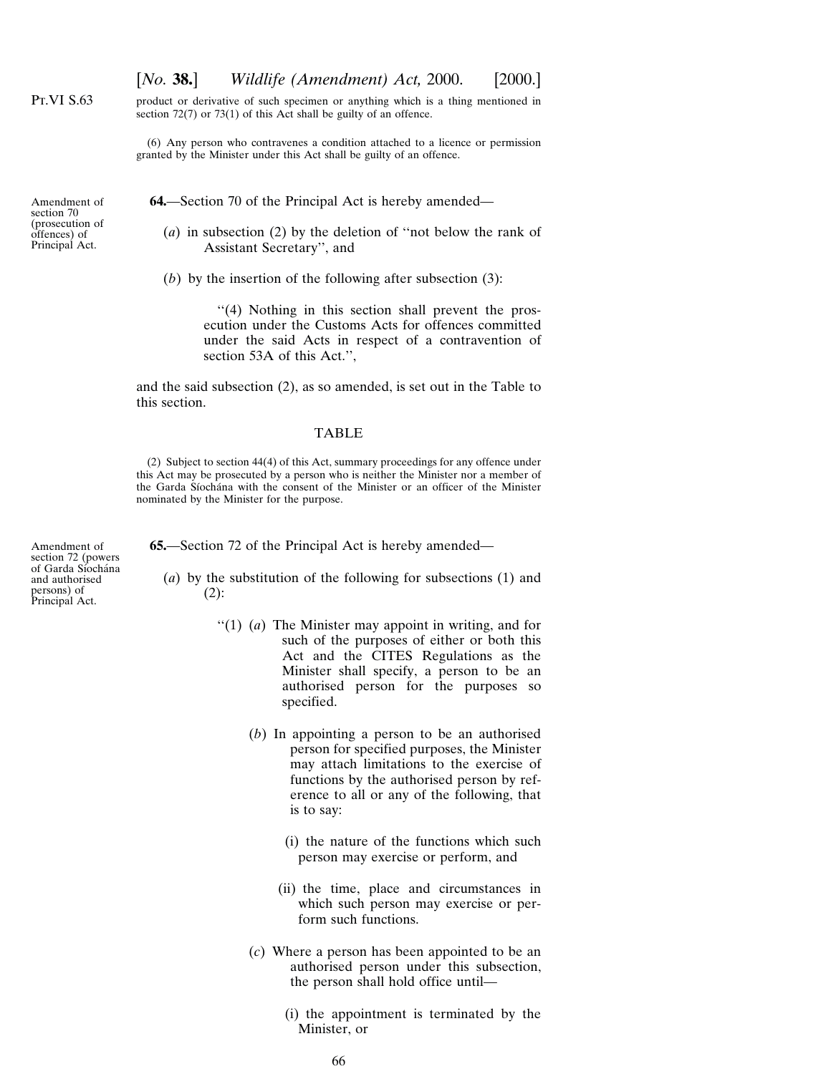[*No.* **38.**] *Wildlife (Amendment) Act,* 2000. [2000.]

Pt.VI S.63

product or derivative of such specimen or anything which is a thing mentioned in section 72(7) or 73(1) of this Act shall be guilty of an offence.

(6) Any person who contravenes a condition attached to a licence or permission granted by the Minister under this Act shall be guilty of an offence.

Amendment of section 70 (prosecution of offences) of Principal Act.

**64.**—Section 70 of the Principal Act is hereby amended—

(*a*) in subsection (2) by the deletion of ''not below the rank of Assistant Secretary'', and

(*b*) by the insertion of the following after subsection (3):

''(4) Nothing in this section shall prevent the prosecution under the Customs Acts for offences committed under the said Acts in respect of a contravention of section 53A of this Act.'',

and the said subsection (2), as so amended, is set out in the Table to this section.

## TABLE

(2) Subject to section 44(4) of this Act, summary proceedings for any offence under this Act may be prosecuted by a person who is neither the Minister nor a member of the Garda Síochána with the consent of the Minister or an officer of the Minister nominated by the Minister for the purpose.

Amendment of section 72 (powers of Garda Síochána and authorised persons) of Principal Act.

**65.**—Section 72 of the Principal Act is hereby amended—

- (*a*) by the substitution of the following for subsections (1) and  $(2)$ :
	- ''(1) (*a*) The Minister may appoint in writing, and for such of the purposes of either or both this Act and the CITES Regulations as the Minister shall specify, a person to be an authorised person for the purposes so specified.
		- (*b*) In appointing a person to be an authorised person for specified purposes, the Minister may attach limitations to the exercise of functions by the authorised person by reference to all or any of the following, that is to say:
			- (i) the nature of the functions which such person may exercise or perform, and
			- (ii) the time, place and circumstances in which such person may exercise or perform such functions.
		- (*c*) Where a person has been appointed to be an authorised person under this subsection, the person shall hold office until—
			- (i) the appointment is terminated by the Minister, or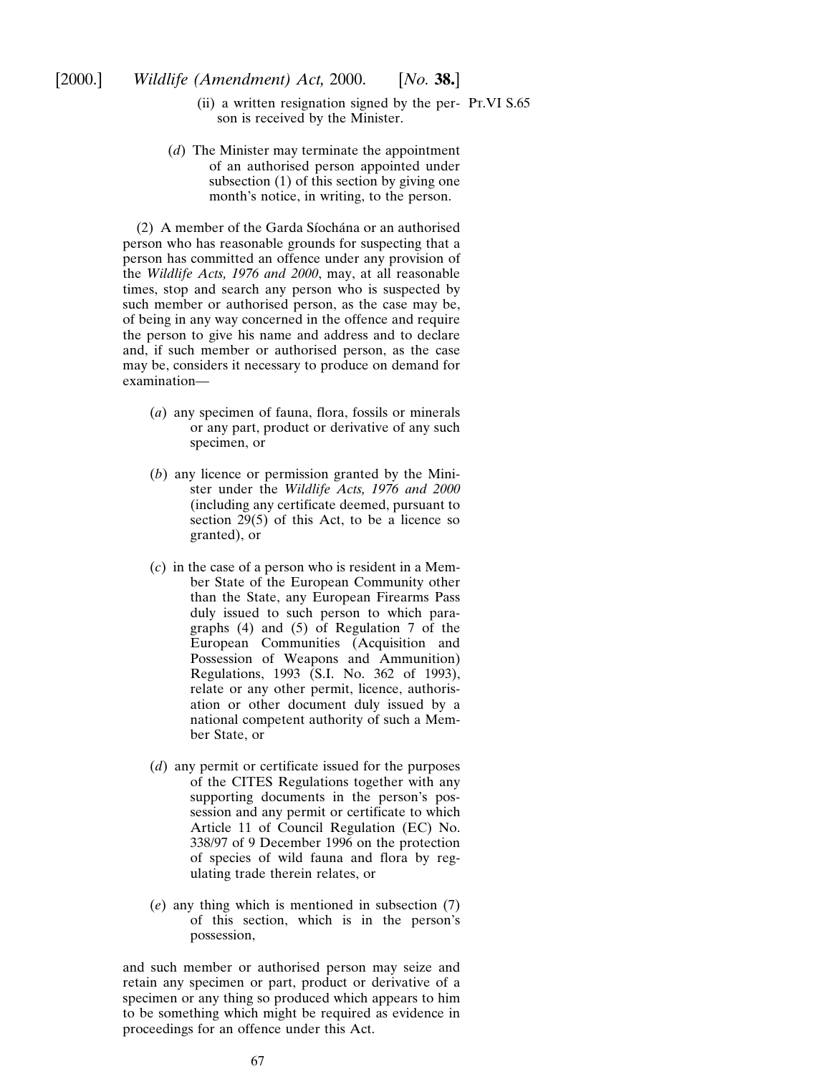- (ii) a written resignation signed by the per-Pt.VI S.65son is received by the Minister.
- (*d*) The Minister may terminate the appointment of an authorised person appointed under subsection (1) of this section by giving one month's notice, in writing, to the person.

(2) A member of the Garda Síochána or an authorised person who has reasonable grounds for suspecting that a person has committed an offence under any provision of the *Wildlife Acts, 1976 and 2000*, may, at all reasonable times, stop and search any person who is suspected by such member or authorised person, as the case may be, of being in any way concerned in the offence and require the person to give his name and address and to declare and, if such member or authorised person, as the case may be, considers it necessary to produce on demand for examination—

- (*a*) any specimen of fauna, flora, fossils or minerals or any part, product or derivative of any such specimen, or
- (*b*) any licence or permission granted by the Minister under the *Wildlife Acts, 1976 and 2000* (including any certificate deemed, pursuant to section 29(5) of this Act, to be a licence so granted), or
- (*c*) in the case of a person who is resident in a Member State of the European Community other than the State, any European Firearms Pass duly issued to such person to which paragraphs (4) and (5) of Regulation 7 of the European Communities (Acquisition and Possession of Weapons and Ammunition) Regulations, 1993 (S.I. No. 362 of 1993), relate or any other permit, licence, authorisation or other document duly issued by a national competent authority of such a Member State, or
- (*d*) any permit or certificate issued for the purposes of the CITES Regulations together with any supporting documents in the person's possession and any permit or certificate to which Article 11 of Council Regulation (EC) No. 338/97 of 9 December 1996 on the protection of species of wild fauna and flora by regulating trade therein relates, or
- (*e*) any thing which is mentioned in subsection (7) of this section, which is in the person's possession,

and such member or authorised person may seize and retain any specimen or part, product or derivative of a specimen or any thing so produced which appears to him to be something which might be required as evidence in proceedings for an offence under this Act.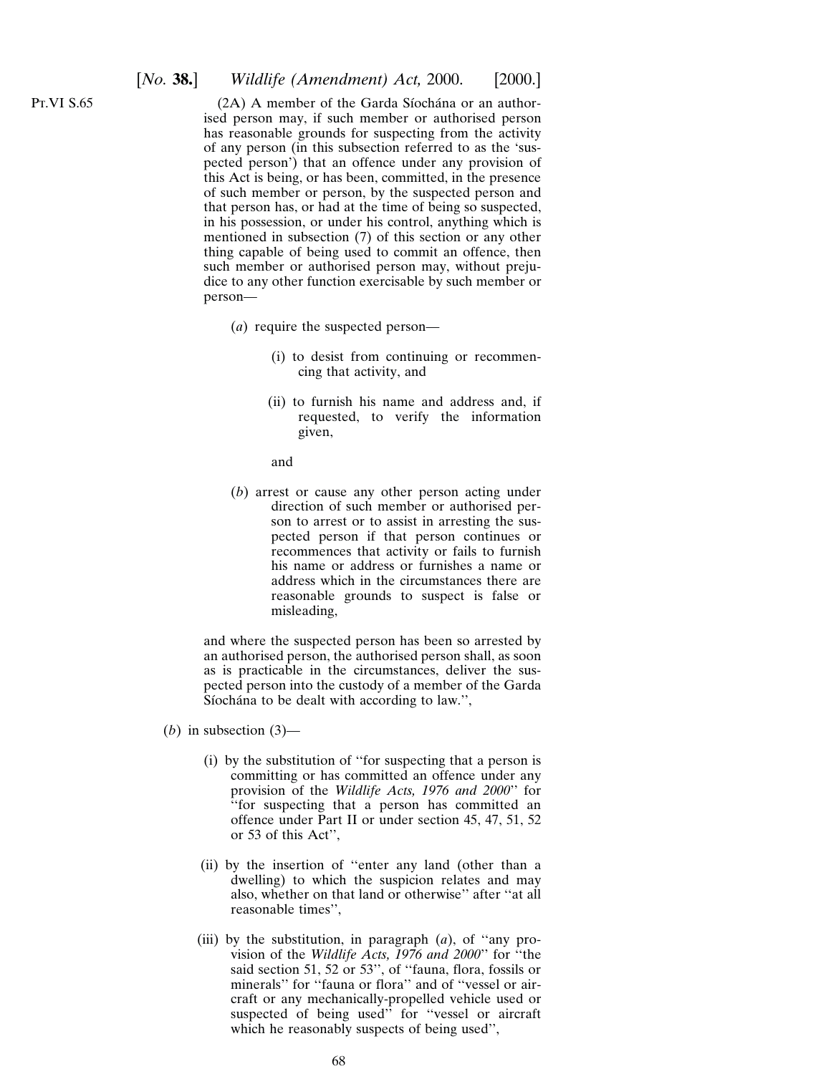Pt.VI S.65

 $(2A)$  A member of the Garda Síochána or an authorised person may, if such member or authorised person has reasonable grounds for suspecting from the activity of any person (in this subsection referred to as the 'suspected person') that an offence under any provision of this Act is being, or has been, committed, in the presence of such member or person, by the suspected person and that person has, or had at the time of being so suspected, in his possession, or under his control, anything which is mentioned in subsection (7) of this section or any other thing capable of being used to commit an offence, then such member or authorised person may, without prejudice to any other function exercisable by such member or person—

- (*a*) require the suspected person—
	- (i) to desist from continuing or recommencing that activity, and
	- (ii) to furnish his name and address and, if requested, to verify the information given,
	- and
- (*b*) arrest or cause any other person acting under direction of such member or authorised person to arrest or to assist in arresting the suspected person if that person continues or recommences that activity or fails to furnish his name or address or furnishes a name or address which in the circumstances there are reasonable grounds to suspect is false or misleading,

and where the suspected person has been so arrested by an authorised person, the authorised person shall, as soon as is practicable in the circumstances, deliver the suspected person into the custody of a member of the Garda Síochána to be dealt with according to law.",

- (*b*) in subsection  $(3)$ 
	- (i) by the substitution of ''for suspecting that a person is committing or has committed an offence under any provision of the *Wildlife Acts, 1976 and 2000*'' for ''for suspecting that a person has committed an offence under Part II or under section 45, 47, 51, 52 or 53 of this Act'',
	- (ii) by the insertion of ''enter any land (other than a dwelling) to which the suspicion relates and may also, whether on that land or otherwise'' after ''at all reasonable times'',
	- (iii) by the substitution, in paragraph (*a*), of ''any provision of the *Wildlife Acts, 1976 and 2000*'' for ''the said section 51, 52 or 53'', of ''fauna, flora, fossils or minerals" for "fauna or flora" and of "vessel or aircraft or any mechanically-propelled vehicle used or suspected of being used" for "vessel or aircraft which he reasonably suspects of being used'',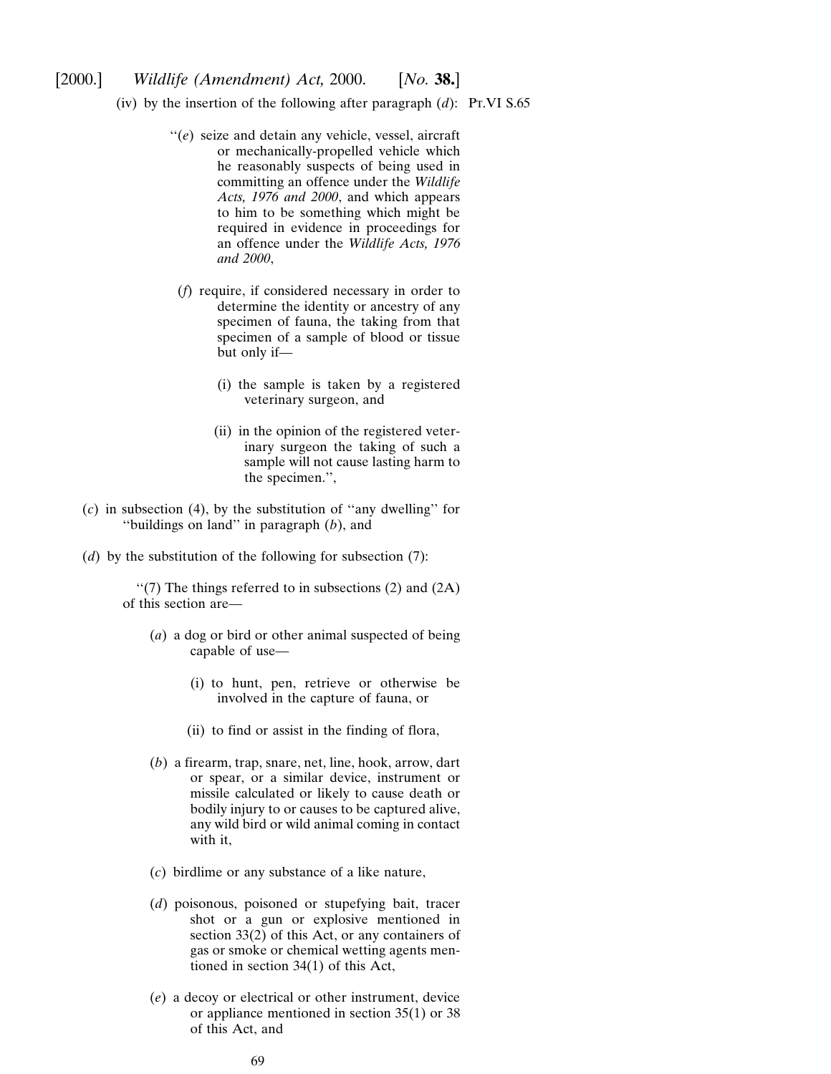- (iv) by the insertion of the following after paragraph  $(d)$ : Pt.VI S.65
	- ''(*e*) seize and detain any vehicle, vessel, aircraft or mechanically-propelled vehicle which he reasonably suspects of being used in committing an offence under the *Wildlife Acts, 1976 and 2000*, and which appears to him to be something which might be required in evidence in proceedings for an offence under the *Wildlife Acts, 1976 and 2000*,
	- (*f*) require, if considered necessary in order to determine the identity or ancestry of any specimen of fauna, the taking from that specimen of a sample of blood or tissue but only if—
		- (i) the sample is taken by a registered veterinary surgeon, and
		- (ii) in the opinion of the registered veterinary surgeon the taking of such a sample will not cause lasting harm to the specimen.'',
- (*c*) in subsection (4), by the substitution of ''any dwelling'' for ''buildings on land'' in paragraph (*b*), and
- (*d*) by the substitution of the following for subsection (7):

 $\lq(7)$  The things referred to in subsections (2) and (2A) of this section are—

- (*a*) a dog or bird or other animal suspected of being capable of use—
	- (i) to hunt, pen, retrieve or otherwise be involved in the capture of fauna, or
	- (ii) to find or assist in the finding of flora,
- (*b*) a firearm, trap, snare, net, line, hook, arrow, dart or spear, or a similar device, instrument or missile calculated or likely to cause death or bodily injury to or causes to be captured alive, any wild bird or wild animal coming in contact with it,
- (*c*) birdlime or any substance of a like nature,
- (*d*) poisonous, poisoned or stupefying bait, tracer shot or a gun or explosive mentioned in section 33(2) of this Act, or any containers of gas or smoke or chemical wetting agents mentioned in section 34(1) of this Act,
- (*e*) a decoy or electrical or other instrument, device or appliance mentioned in section 35(1) or 38 of this Act, and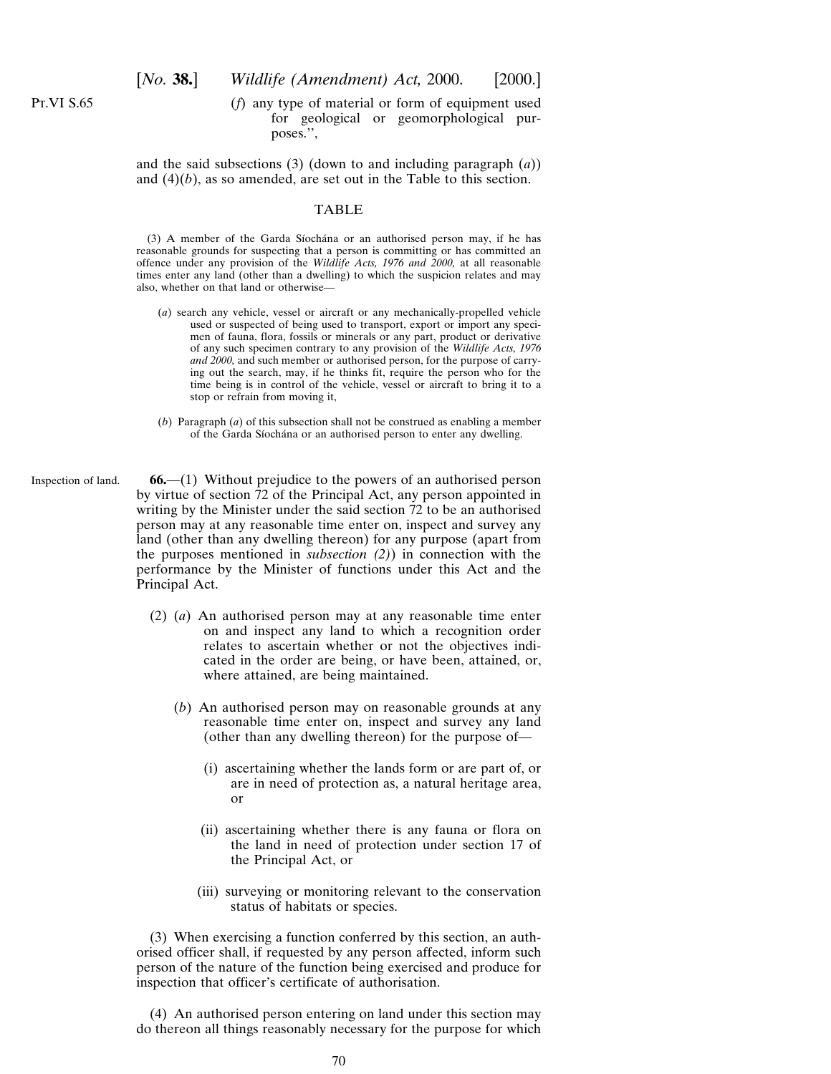Pt.VI S.65

(*f*) any type of material or form of equipment used for geological or geomorphological purposes.'',

and the said subsections (3) (down to and including paragraph (*a*)) and (4)(*b*), as so amended, are set out in the Table to this section.

#### TABLE

(3) A member of the Garda Síochána or an authorised person may, if he has reasonable grounds for suspecting that a person is committing or has committed an offence under any provision of the *Wildlife Acts, 1976 and 2000,* at all reasonable times enter any land (other than a dwelling) to which the suspicion relates and may also, whether on that land or otherwise—

- (*a*) search any vehicle, vessel or aircraft or any mechanically-propelled vehicle used or suspected of being used to transport, export or import any specimen of fauna, flora, fossils or minerals or any part, product or derivative of any such specimen contrary to any provision of the *Wildlife Acts, 1976 and 2000,* and such member or authorised person, for the purpose of carrying out the search, may, if he thinks fit, require the person who for the time being is in control of the vehicle, vessel or aircraft to bring it to a stop or refrain from moving it,
- (*b*) Paragraph (*a*) of this subsection shall not be construed as enabling a member of the Garda Síochána or an authorised person to enter any dwelling.
- Inspection of land. **66.**—(1) Without prejudice to the powers of an authorised person by virtue of section 72 of the Principal Act, any person appointed in writing by the Minister under the said section 72 to be an authorised person may at any reasonable time enter on, inspect and survey any land (other than any dwelling thereon) for any purpose (apart from the purposes mentioned in *subsection (2)*) in connection with the performance by the Minister of functions under this Act and the Principal Act.
	- (2) (*a*) An authorised person may at any reasonable time enter on and inspect any land to which a recognition order relates to ascertain whether or not the objectives indicated in the order are being, or have been, attained, or, where attained, are being maintained.
		- (*b*) An authorised person may on reasonable grounds at any reasonable time enter on, inspect and survey any land (other than any dwelling thereon) for the purpose of—
			- (i) ascertaining whether the lands form or are part of, or are in need of protection as, a natural heritage area, or
			- (ii) ascertaining whether there is any fauna or flora on the land in need of protection under section 17 of the Principal Act, or
			- (iii) surveying or monitoring relevant to the conservation status of habitats or species.

(3) When exercising a function conferred by this section, an authorised officer shall, if requested by any person affected, inform such person of the nature of the function being exercised and produce for inspection that officer's certificate of authorisation.

(4) An authorised person entering on land under this section may do thereon all things reasonably necessary for the purpose for which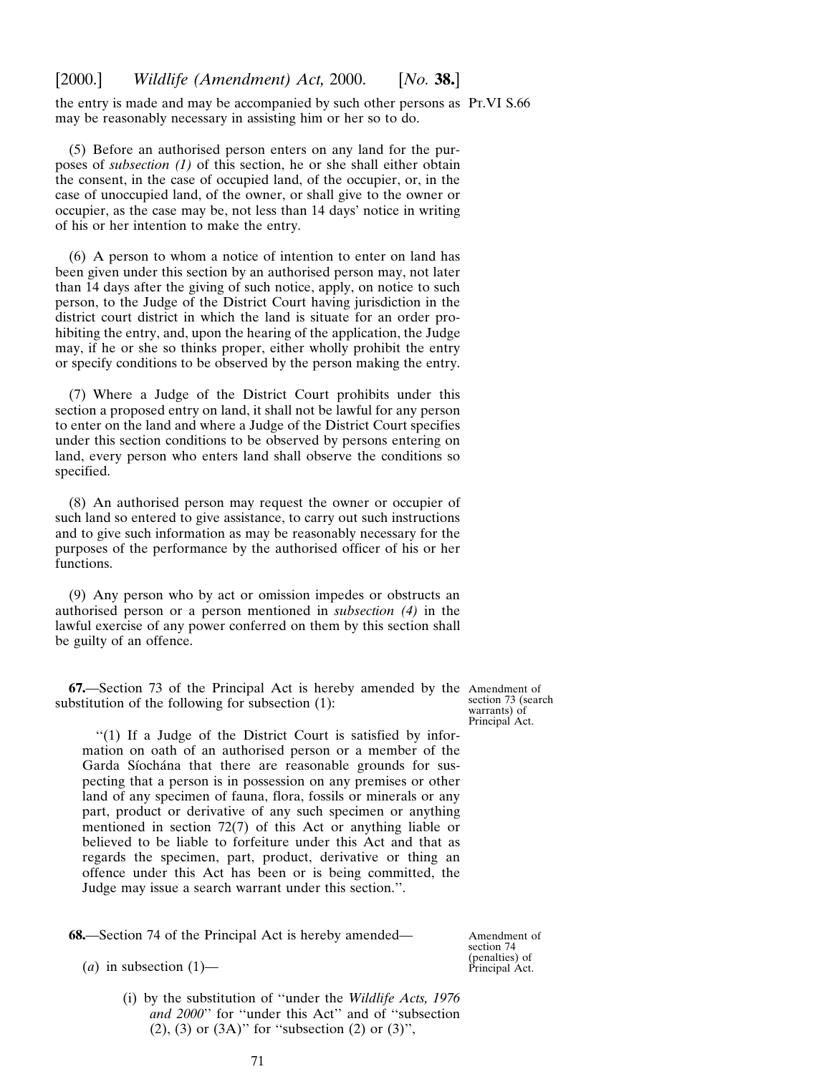the entry is made and may be accompanied by such other persons as Pt.VI S.66 may be reasonably necessary in assisting him or her so to do.

(5) Before an authorised person enters on any land for the purposes of *subsection (1)* of this section, he or she shall either obtain the consent, in the case of occupied land, of the occupier, or, in the case of unoccupied land, of the owner, or shall give to the owner or occupier, as the case may be, not less than 14 days' notice in writing of his or her intention to make the entry.

(6) A person to whom a notice of intention to enter on land has been given under this section by an authorised person may, not later than 14 days after the giving of such notice, apply, on notice to such person, to the Judge of the District Court having jurisdiction in the district court district in which the land is situate for an order prohibiting the entry, and, upon the hearing of the application, the Judge may, if he or she so thinks proper, either wholly prohibit the entry or specify conditions to be observed by the person making the entry.

(7) Where a Judge of the District Court prohibits under this section a proposed entry on land, it shall not be lawful for any person to enter on the land and where a Judge of the District Court specifies under this section conditions to be observed by persons entering on land, every person who enters land shall observe the conditions so specified.

(8) An authorised person may request the owner or occupier of such land so entered to give assistance, to carry out such instructions and to give such information as may be reasonably necessary for the purposes of the performance by the authorised officer of his or her functions.

(9) Any person who by act or omission impedes or obstructs an authorised person or a person mentioned in *subsection (4)* in the lawful exercise of any power conferred on them by this section shall be guilty of an offence.

**67.**—Section 73 of the Principal Act is hereby amended by the Amendment of substitution of the following for subsection (1):

section 73 (search warrants) of Principal Act.

''(1) If a Judge of the District Court is satisfied by information on oath of an authorised person or a member of the Garda Síochána that there are reasonable grounds for suspecting that a person is in possession on any premises or other land of any specimen of fauna, flora, fossils or minerals or any part, product or derivative of any such specimen or anything mentioned in section 72(7) of this Act or anything liable or believed to be liable to forfeiture under this Act and that as regards the specimen, part, product, derivative or thing an offence under this Act has been or is being committed, the Judge may issue a search warrant under this section.''.

**68.**—Section 74 of the Principal Act is hereby amended—

Amendment of section 74 (penalties) of Principal Act.

- $(a)$  in subsection  $(1)$ 
	- (i) by the substitution of ''under the *Wildlife Acts, 1976 and 2000*'' for ''under this Act'' and of ''subsection (2), (3) or  $(3A)$ " for "subsection  $(2)$  or  $(3)$ ",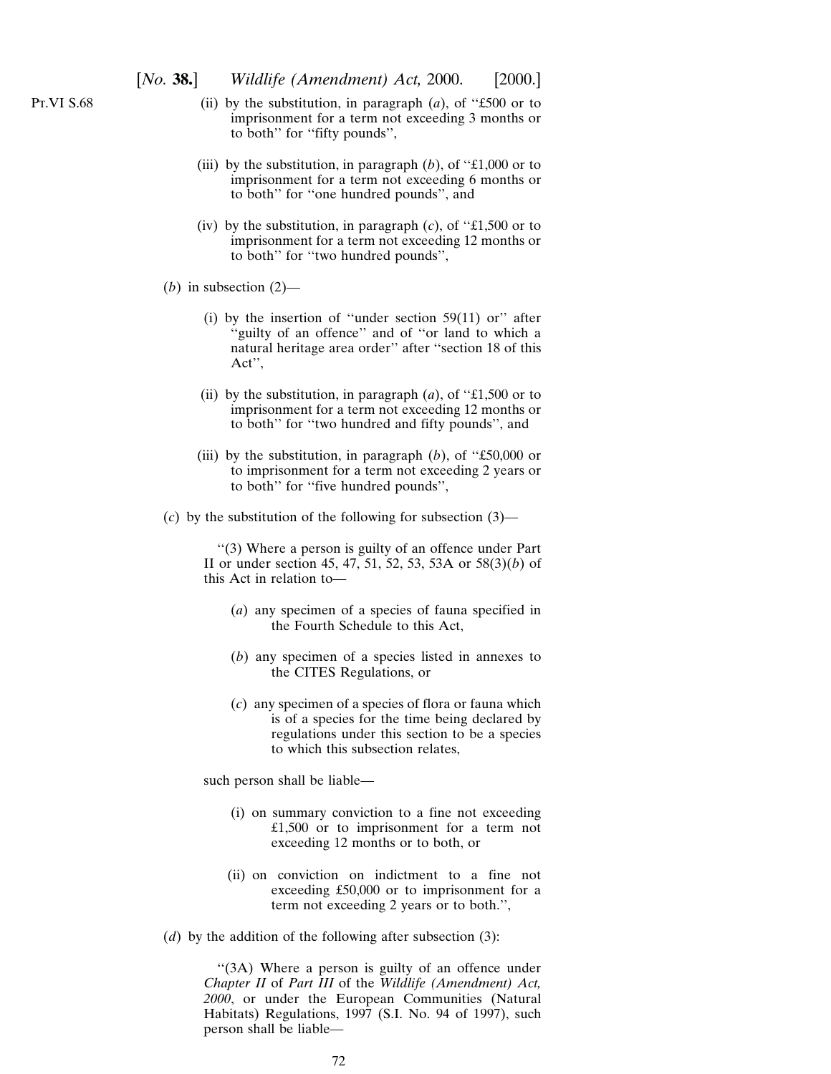- (ii) by the substitution, in paragraph (*a*), of ''£500 or to imprisonment for a term not exceeding 3 months or to both'' for ''fifty pounds'',
- (iii) by the substitution, in paragraph  $(b)$ , of "£1,000 or to imprisonment for a term not exceeding 6 months or to both'' for ''one hundred pounds'', and
- (iv) by the substitution, in paragraph  $(c)$ , of "£1,500 or to imprisonment for a term not exceeding 12 months or to both'' for ''two hundred pounds'',
- (*b*) in subsection  $(2)$ 
	- (i) by the insertion of "under section  $59(11)$  or" after "guilty of an offence" and of "or land to which a natural heritage area order'' after ''section 18 of this Act'',
	- (ii) by the substitution, in paragraph (*a*), of ''£1,500 or to imprisonment for a term not exceeding 12 months or to both'' for ''two hundred and fifty pounds'', and
	- (iii) by the substitution, in paragraph  $(b)$ , of "£50,000 or to imprisonment for a term not exceeding 2 years or to both'' for ''five hundred pounds'',
- (*c*) by the substitution of the following for subsection (3)—

''(3) Where a person is guilty of an offence under Part II or under section 45, 47, 51, 52, 53, 53A or 58(3)(*b*) of this Act in relation to—

- (*a*) any specimen of a species of fauna specified in the Fourth Schedule to this Act,
- (*b*) any specimen of a species listed in annexes to the CITES Regulations, or
- (*c*) any specimen of a species of flora or fauna which is of a species for the time being declared by regulations under this section to be a species to which this subsection relates,

such person shall be liable—

- (i) on summary conviction to a fine not exceeding £1,500 or to imprisonment for a term not exceeding 12 months or to both, or
- (ii) on conviction on indictment to a fine not exceeding £50,000 or to imprisonment for a term not exceeding 2 years or to both.'',
- (*d*) by the addition of the following after subsection (3):

"(3A) Where a person is guilty of an offence under *Chapter II* of *Part III* of the *Wildlife (Amendment) Act, 2000*, or under the European Communities (Natural Habitats) Regulations, 1997 (S.I. No. 94 of 1997), such person shall be liable—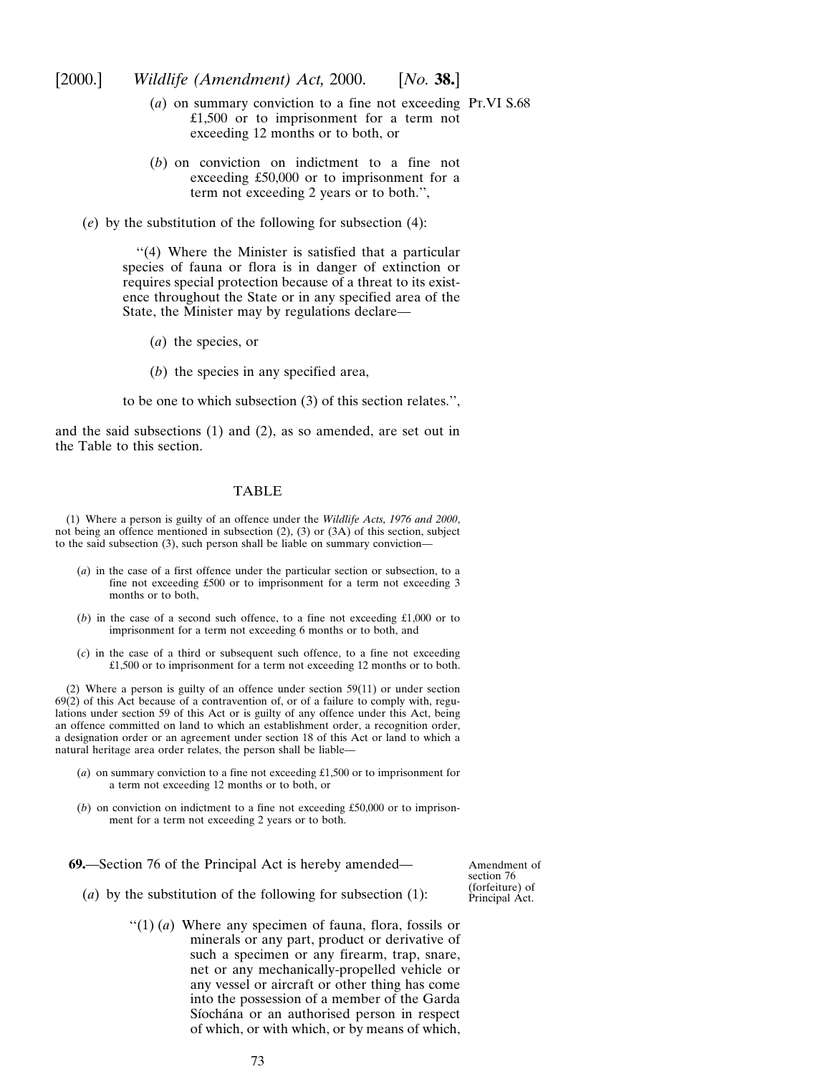[2000.] *Wildlife (Amendment) Act,* 2000. [*No.* **38.**]

- (*a*) on summary conviction to a fine not exceeding Pt.VI S.68 £1,500 or to imprisonment for a term not exceeding 12 months or to both, or
- (*b*) on conviction on indictment to a fine not exceeding £50,000 or to imprisonment for a term not exceeding 2 years or to both.'',
- (*e*) by the substitution of the following for subsection (4):

''(4) Where the Minister is satisfied that a particular species of fauna or flora is in danger of extinction or requires special protection because of a threat to its existence throughout the State or in any specified area of the State, the Minister may by regulations declare—

- (*a*) the species, or
- (*b*) the species in any specified area,

to be one to which subsection (3) of this section relates.'',

and the said subsections (1) and (2), as so amended, are set out in the Table to this section.

### TABLE

(1) Where a person is guilty of an offence under the *Wildlife Acts, 1976 and 2000*, not being an offence mentioned in subsection (2), (3) or (3A) of this section, subject to the said subsection (3), such person shall be liable on summary conviction—

- (*a*) in the case of a first offence under the particular section or subsection, to a fine not exceeding £500 or to imprisonment for a term not exceeding 3 months or to both,
- (*b*) in the case of a second such offence, to a fine not exceeding £1,000 or to imprisonment for a term not exceeding 6 months or to both, and
- (*c*) in the case of a third or subsequent such offence, to a fine not exceeding £1,500 or to imprisonment for a term not exceeding 12 months or to both.

(2) Where a person is guilty of an offence under section 59(11) or under section 69(2) of this Act because of a contravention of, or of a failure to comply with, regulations under section 59 of this Act or is guilty of any offence under this Act, being an offence committed on land to which an establishment order, a recognition order, a designation order or an agreement under section 18 of this Act or land to which a natural heritage area order relates, the person shall be liable—

- (*a*) on summary conviction to a fine not exceeding £1,500 or to imprisonment for a term not exceeding 12 months or to both, or
- (*b*) on conviction on indictment to a fine not exceeding £50,000 or to imprisonment for a term not exceeding 2 years or to both.

**69.**—Section 76 of the Principal Act is hereby amended—

Amendment of section 76 (forfeiture) of Principal Act.

- (*a*) by the substitution of the following for subsection (1):
	- ''(1) (*a*) Where any specimen of fauna, flora, fossils or minerals or any part, product or derivative of such a specimen or any firearm, trap, snare, net or any mechanically-propelled vehicle or any vessel or aircraft or other thing has come into the possession of a member of the Garda Síochána or an authorised person in respect of which, or with which, or by means of which,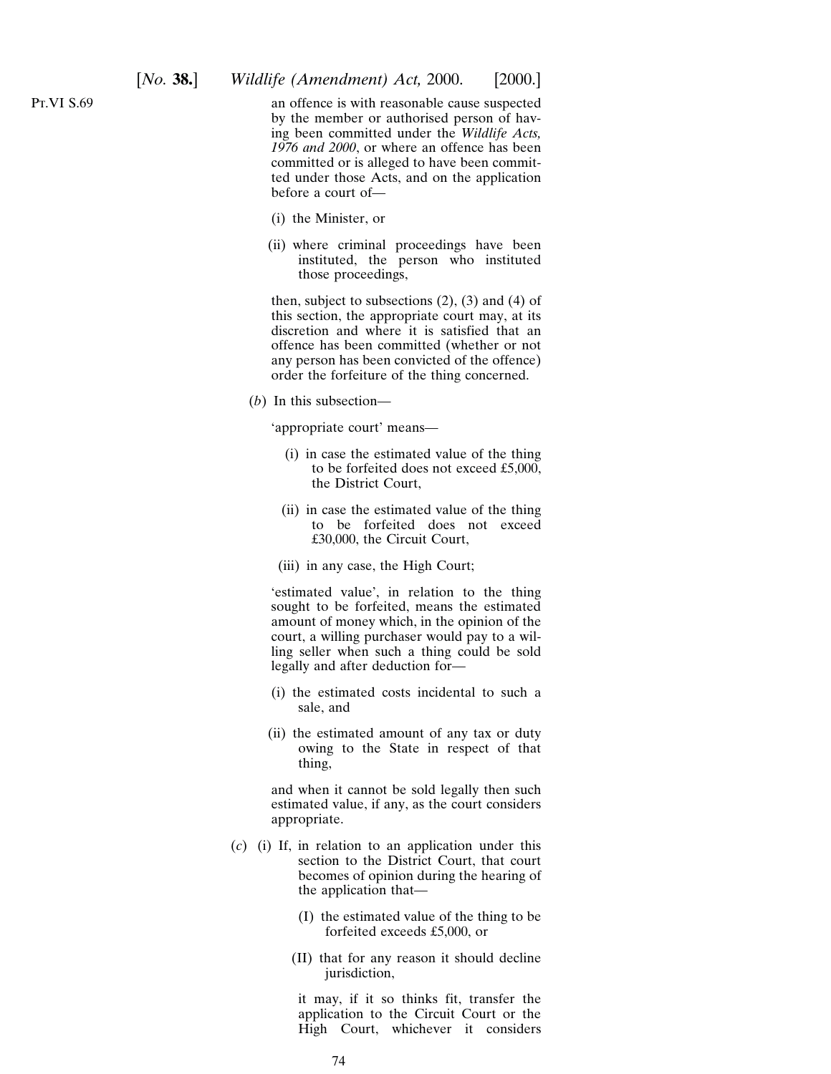an offence is with reasonable cause suspected by the member or authorised person of having been committed under the *Wildlife Acts, 1976 and 2000*, or where an offence has been committed or is alleged to have been committed under those Acts, and on the application before a court of—

- (i) the Minister, or
- (ii) where criminal proceedings have been instituted, the person who instituted those proceedings,

then, subject to subsections  $(2)$ ,  $(3)$  and  $(4)$  of this section, the appropriate court may, at its discretion and where it is satisfied that an offence has been committed (whether or not any person has been convicted of the offence) order the forfeiture of the thing concerned.

(*b*) In this subsection—

'appropriate court' means—

- (i) in case the estimated value of the thing to be forfeited does not exceed £5,000, the District Court,
- (ii) in case the estimated value of the thing to be forfeited does not exceed £30,000, the Circuit Court,
- (iii) in any case, the High Court;

'estimated value', in relation to the thing sought to be forfeited, means the estimated amount of money which, in the opinion of the court, a willing purchaser would pay to a willing seller when such a thing could be sold legally and after deduction for—

- (i) the estimated costs incidental to such a sale, and
- (ii) the estimated amount of any tax or duty owing to the State in respect of that thing,

and when it cannot be sold legally then such estimated value, if any, as the court considers appropriate.

- (*c*) (i) If, in relation to an application under this section to the District Court, that court becomes of opinion during the hearing of the application that—
	- (I) the estimated value of the thing to be forfeited exceeds £5,000, or
	- (II) that for any reason it should decline jurisdiction,

it may, if it so thinks fit, transfer the application to the Circuit Court or the High Court, whichever it considers

Pt.VI S.69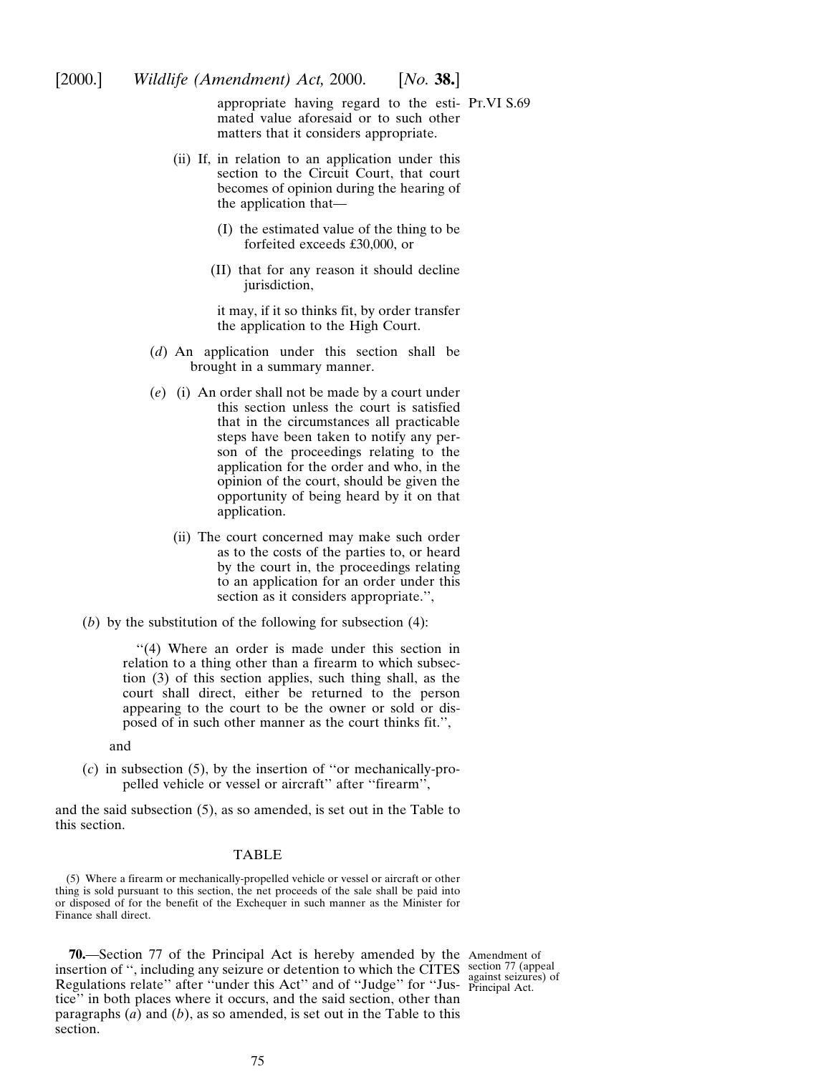appropriate having regard to the esti-Pt.VI S.69 mated value aforesaid or to such other matters that it considers appropriate.

- (ii) If, in relation to an application under this section to the Circuit Court, that court becomes of opinion during the hearing of the application that—
	- (I) the estimated value of the thing to be forfeited exceeds £30,000, or
	- (II) that for any reason it should decline jurisdiction,

it may, if it so thinks fit, by order transfer the application to the High Court.

- (*d*) An application under this section shall be brought in a summary manner.
- (*e*) (i) An order shall not be made by a court under this section unless the court is satisfied that in the circumstances all practicable steps have been taken to notify any person of the proceedings relating to the application for the order and who, in the opinion of the court, should be given the opportunity of being heard by it on that application.
	- (ii) The court concerned may make such order as to the costs of the parties to, or heard by the court in, the proceedings relating to an application for an order under this section as it considers appropriate.'',
- (*b*) by the substitution of the following for subsection (4):

''(4) Where an order is made under this section in relation to a thing other than a firearm to which subsection (3) of this section applies, such thing shall, as the court shall direct, either be returned to the person appearing to the court to be the owner or sold or disposed of in such other manner as the court thinks fit.'',

and

(*c*) in subsection (5), by the insertion of ''or mechanically-propelled vehicle or vessel or aircraft'' after ''firearm'',

and the said subsection (5), as so amended, is set out in the Table to this section.

#### TABLE

(5) Where a firearm or mechanically-propelled vehicle or vessel or aircraft or other thing is sold pursuant to this section, the net proceeds of the sale shall be paid into or disposed of for the benefit of the Exchequer in such manner as the Minister for Finance shall direct.

**70.**—Section 77 of the Principal Act is hereby amended by the Amendment of insertion of ", including any seizure or detention to which the CITES section 77 (appeal Regulations relate" after "under this Act" and of "Judge" for "Jus- principal Act. tice'' in both places where it occurs, and the said section, other than paragraphs (*a*) and (*b*), as so amended, is set out in the Table to this section.

against seizures) of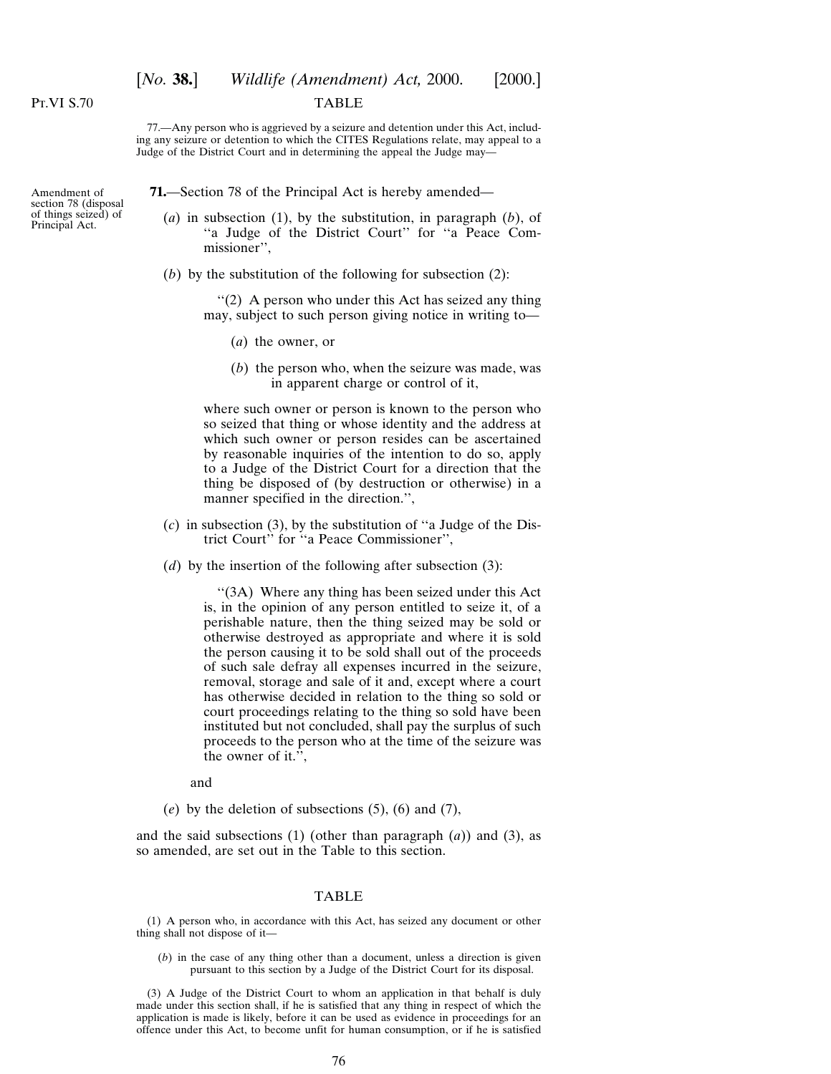# [*No.* **38.**] *Wildlife (Amendment) Act,* 2000. [2000.]

#### TABLE

77.—Any person who is aggrieved by a seizure and detention under this Act, including any seizure or detention to which the CITES Regulations relate, may appeal to a Judge of the District Court and in determining the appeal the Judge may—

Amendment of section 78 (disposal of things seized) of Principal Act.

**71.**—Section 78 of the Principal Act is hereby amended—

- (*a*) in subsection (1), by the substitution, in paragraph (*b*), of ''a Judge of the District Court'' for ''a Peace Commissioner'',
- (*b*) by the substitution of the following for subsection (2):

''(2) A person who under this Act has seized any thing may, subject to such person giving notice in writing to—

- (*a*) the owner, or
- (*b*) the person who, when the seizure was made, was in apparent charge or control of it,

where such owner or person is known to the person who so seized that thing or whose identity and the address at which such owner or person resides can be ascertained by reasonable inquiries of the intention to do so, apply to a Judge of the District Court for a direction that the thing be disposed of (by destruction or otherwise) in a manner specified in the direction.'',

- (*c*) in subsection (3), by the substitution of ''a Judge of the District Court'' for ''a Peace Commissioner'',
- (*d*) by the insertion of the following after subsection (3):

''(3A) Where any thing has been seized under this Act is, in the opinion of any person entitled to seize it, of a perishable nature, then the thing seized may be sold or otherwise destroyed as appropriate and where it is sold the person causing it to be sold shall out of the proceeds of such sale defray all expenses incurred in the seizure, removal, storage and sale of it and, except where a court has otherwise decided in relation to the thing so sold or court proceedings relating to the thing so sold have been instituted but not concluded, shall pay the surplus of such proceeds to the person who at the time of the seizure was the owner of it.'',

and

(*e*) by the deletion of subsections (5), (6) and (7),

and the said subsections  $(1)$  (other than paragraph  $(a)$ ) and  $(3)$ , as so amended, are set out in the Table to this section.

#### TABLE

(1) A person who, in accordance with this Act, has seized any document or other thing shall not dispose of it—

(*b*) in the case of any thing other than a document, unless a direction is given pursuant to this section by a Judge of the District Court for its disposal.

(3) A Judge of the District Court to whom an application in that behalf is duly made under this section shall, if he is satisfied that any thing in respect of which the application is made is likely, before it can be used as evidence in proceedings for an offence under this Act, to become unfit for human consumption, or if he is satisfied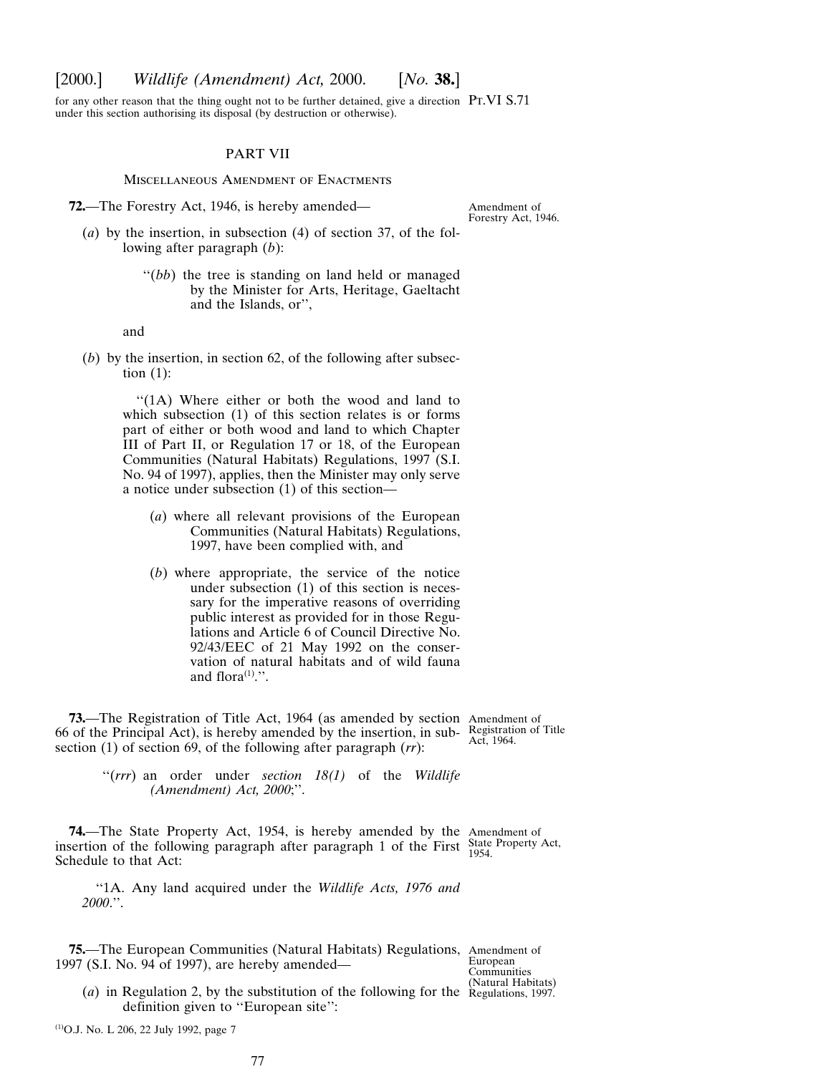## [2000.] *Wildlife (Amendment) Act,* 2000. [*No.* **38.**]

for any other reason that the thing ought not to be further detained, give a direction  $Pr.VI S.71$ under this section authorising its disposal (by destruction or otherwise).

#### PART VII

Miscellaneous Amendment of Enactments

**72.**—The Forestry Act, 1946, is hereby amended—

Amendment of Forestry Act, 1946.

- (*a*) by the insertion, in subsection (4) of section 37, of the following after paragraph (*b*):
	- "(*bb*) the tree is standing on land held or managed by the Minister for Arts, Heritage, Gaeltacht and the Islands, or'',

and

(*b*) by the insertion, in section 62, of the following after subsection (1):

> ''(1A) Where either or both the wood and land to which subsection (1) of this section relates is or forms part of either or both wood and land to which Chapter III of Part II, or Regulation 17 or 18, of the European Communities (Natural Habitats) Regulations, 1997 (S.I. No. 94 of 1997), applies, then the Minister may only serve a notice under subsection (1) of this section—

- (*a*) where all relevant provisions of the European Communities (Natural Habitats) Regulations, 1997, have been complied with, and
- (*b*) where appropriate, the service of the notice under subsection (1) of this section is necessary for the imperative reasons of overriding public interest as provided for in those Regulations and Article 6 of Council Directive No. 92/43/EEC of 21 May 1992 on the conservation of natural habitats and of wild fauna and flora $(1)$ .".

**73.**—The Registration of Title Act, 1964 (as amended by section Amendment of 66 of the Principal Act), is hereby amended by the insertion, in sub- $\frac{\text{Resistration of Title}}{\text{Act}}$ section (1) of section 69, of the following after paragraph (*rr*): Act, 1964.

"(rrr) an order under *section 18(1)* of the *Wildlife (Amendment) Act, 2000*;''.

**74.**—The State Property Act, 1954, is hereby amended by the Amendment of insertion of the following paragraph after paragraph 1 of the First State Property Act, 1954. Schedule to that Act:

''1A. Any land acquired under the *Wildlife Acts, 1976 and 2000*.''.

**75.**—The European Communities (Natural Habitats) Regulations, Amendment of 1997 (S.I. No. 94 of 1997), are hereby amended—

European Communities

(*a*) in Regulation 2, by the substitution of the following for the Regulations, 1997. definition given to "European site":

(1)O.J. No. L 206, 22 July 1992, page 7